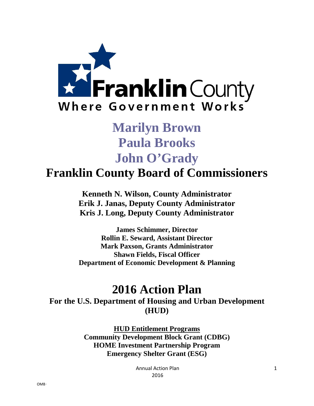

# **Marilyn Brown Paula Brooks John O'Grady**

**Franklin County Board of Commissioners**

**Kenneth N. Wilson, County Administrator Erik J. Janas, Deputy County Administrator Kris J. Long, Deputy County Administrator**

**James Schimmer, Director Rollin E. Seward, Assistant Director Mark Paxson, Grants Administrator Shawn Fields, Fiscal Officer Department of Economic Development & Planning**

## **2016 Action Plan**

**For the U.S. Department of Housing and Urban Development (HUD)**

> **HUD Entitlement Programs Community Development Block Grant (CDBG) HOME Investment Partnership Program Emergency Shelter Grant (ESG)**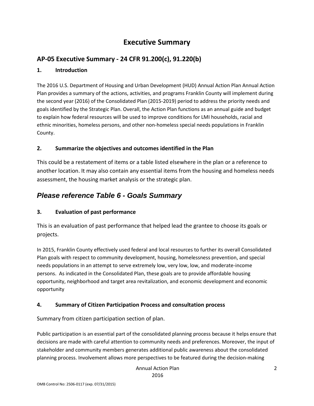## **Executive Summary**

## **AP-05 Executive Summary - 24 CFR 91.200(c), 91.220(b)**

#### **1. Introduction**

The 2016 U.S. Department of Housing and Urban Development (HUD) Annual Action Plan Annual Action Plan provides a summary of the actions, activities, and programs Franklin County will implement during the second year (2016) of the Consolidated Plan (2015-2019) period to address the priority needs and goals identified by the Strategic Plan. Overall, the Action Plan functions as an annual guide and budget to explain how federal resources will be used to improve conditions for LMI households, racial and ethnic minorities, homeless persons, and other non-homeless special needs populations in Franklin County.

#### **2. Summarize the objectives and outcomes identified in the Plan**

This could be a restatement of items or a table listed elsewhere in the plan or a reference to another location. It may also contain any essential items from the housing and homeless needs assessment, the housing market analysis or the strategic plan.

## *Please reference Table 6 - Goals Summary*

## **3. Evaluation of past performance**

This is an evaluation of past performance that helped lead the grantee to choose its goals or projects.

In 2015, Franklin County effectively used federal and local resources to further its overall Consolidated Plan goals with respect to community development, housing, homelessness prevention, and special needs populations in an attempt to serve extremely low, very low, low, and moderate-income persons. As indicated in the Consolidated Plan, these goals are to provide affordable housing opportunity, neighborhood and target area revitalization, and economic development and economic opportunity

## **4. Summary of Citizen Participation Process and consultation process**

Summary from citizen participation section of plan.

Public participation is an essential part of the consolidated planning process because it helps ensure that decisions are made with careful attention to community needs and preferences. Moreover, the input of stakeholder and community members generates additional public awareness about the consolidated planning process. Involvement allows more perspectives to be featured during the decision-making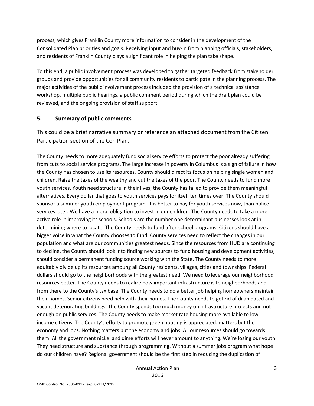process, which gives Franklin County more information to consider in the development of the Consolidated Plan priorities and goals. Receiving input and buy-in from planning officials, stakeholders, and residents of Franklin County plays a significant role in helping the plan take shape.

To this end, a public involvement process was developed to gather targeted feedback from stakeholder groups and provide opportunities for all community residents to participate in the planning process. The major activities of the public involvement process included the provision of a technical assistance workshop, multiple public hearings, a public comment period during which the draft plan could be reviewed, and the ongoing provision of staff support.

#### **5. Summary of public comments**

This could be a brief narrative summary or reference an attached document from the Citizen Participation section of the Con Plan.

The County needs to more adequately fund social service efforts to protect the poor already suffering from cuts to social service programs. The large increase in poverty in Columbus is a sign of failure in how the County has chosen to use its resources. County should direct its focus on helping single women and children. Raise the taxes of the wealthy and cut the taxes of the poor. The County needs to fund more youth services. Youth need structure in their lives; the County has failed to provide them meaningful alternatives. Every dollar that goes to youth services pays for itself ten times over. The County should sponsor a summer youth employment program. It is better to pay for youth services now, than police services later. We have a moral obligation to invest in our children. The County needs to take a more active role in improving its schools. Schools are the number one determinant businesses look at in determining where to locate. The County needs to fund after-school programs. Citizens should have a bigger voice in what the County chooses to fund. County services need to reflect the changes in our population and what are our communities greatest needs. Since the resources from HUD are continuing to decline, the County should look into finding new sources to fund housing and development activities; should consider a permanent funding source working with the State. The County needs to more equitably divide up its resources amoung all County residents, villages, cities and townships. Federal dollars should go to the neighborhoods with the greatest need. We need to leverage our neighborhood resources better. The County needs to realize how important infrastructure is to neighborhoods and from there to the County's tax base. The County needs to do a better job helping homeowners maintain their homes. Senior citizens need help with their homes. The County needs to get rid of dilapidated and vacant deteriorating buildings. The County spends too much money on infrastructure projects and not enough on public services. The County needs to make market rate housing more available to lowincome citizens. The County's efforts to promote green housing is appreciated. matters but the economy and jobs. Nothing matters but the economy and jobs. All our resources should go towards them. All the government nickel and dime efforts will never amount to anything. We're losing our youth. They need structure and substance through programming. Without a summer jobs program what hope do our children have? Regional government should be the first step in reducing the duplication of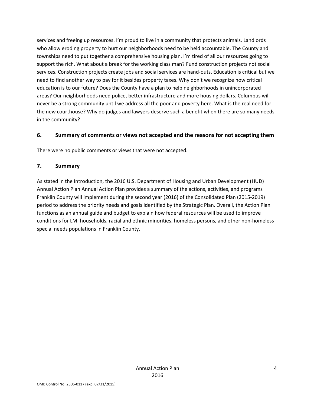services and freeing up resources. I'm proud to live in a community that protects animals. Landlords who allow eroding property to hurt our neighborhoods need to be held accountable. The County and townships need to put together a comprehensive housing plan. I'm tired of all our resources going to support the rich. What about a break for the working class man? Fund construction projects not social services. Construction projects create jobs and social services are hand-outs. Education is critical but we need to find another way to pay for it besides property taxes. Why don't we recognize how critical education is to our future? Does the County have a plan to help neighborhoods in unincorporated areas? Our neighborhoods need police, better infrastructure and more housing dollars. Columbus will never be a strong community until we address all the poor and poverty here. What is the real need for the new courthouse? Why do judges and lawyers deserve such a benefit when there are so many needs in the community?

#### **6. Summary of comments or views not accepted and the reasons for not accepting them**

There were no public comments or views that were not accepted.

#### **7. Summary**

As stated in the Introduction, the 2016 U.S. Department of Housing and Urban Development (HUD) Annual Action Plan Annual Action Plan provides a summary of the actions, activities, and programs Franklin County will implement during the second year (2016) of the Consolidated Plan (2015-2019) period to address the priority needs and goals identified by the Strategic Plan. Overall, the Action Plan functions as an annual guide and budget to explain how federal resources will be used to improve conditions for LMI households, racial and ethnic minorities, homeless persons, and other non-homeless special needs populations in Franklin County.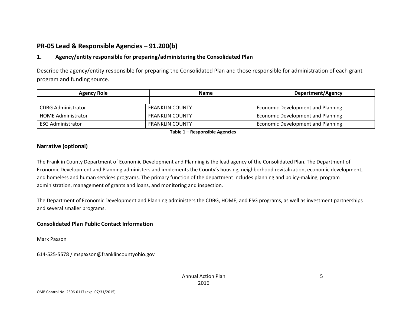## **PR-05 Lead & Responsible Agencies – 91.200(b)**

## **1. Agency/entity responsible for preparing/administering the Consolidated Plan**

Describe the agency/entity responsible for preparing the Consolidated Plan and those responsible for administration of each grant program and funding source.

| <b>Agency Role</b>        | <b>Name</b>            | Department/Agency                        |
|---------------------------|------------------------|------------------------------------------|
|                           |                        |                                          |
| <b>CDBG Administrator</b> | <b>FRANKLIN COUNTY</b> | <b>Economic Development and Planning</b> |
| <b>HOME Administrator</b> | <b>FRANKLIN COUNTY</b> | Economic Development and Planning        |
| <b>ESG Administrator</b>  | <b>FRANKLIN COUNTY</b> | Economic Development and Planning        |

**Table 1 – Responsible Agencies**

## **Narrative (optional)**

The Franklin County Department of Economic Development and Planning is the lead agency of the Consolidated Plan. The Department of Economic Development and Planning administers and implements the County's housing, neighborhood revitalization, economic development, and homeless and human services programs. The primary function of the department includes planning and policy-making, program administration, management of grants and loans, and monitoring and inspection.

The Department of Economic Development and Planning administers the CDBG, HOME, and ESG programs, as well as investment partnerships and several smaller programs.

## **Consolidated Plan Public Contact Information**

Mark Paxson

614-525-5578 / mspaxson@franklincountyohio.gov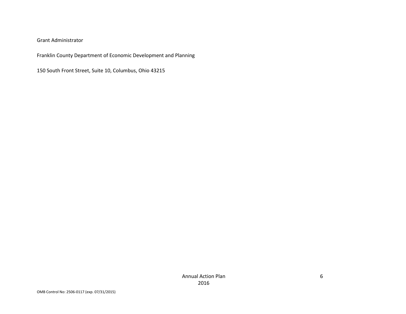#### Grant Administrator

Franklin County Department of Economic Development and Planning

150 South Front Street, Suite 10, Columbus, Ohio 43215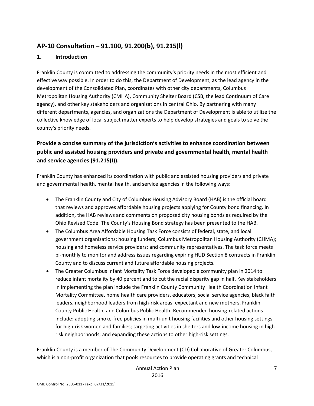## **AP-10 Consultation – 91.100, 91.200(b), 91.215(l)**

#### **1. Introduction**

Franklin County is committed to addressing the community's priority needs in the most efficient and effective way possible. In order to do this, the Department of Development, as the lead agency in the development of the Consolidated Plan, coordinates with other city departments, Columbus Metropolitan Housing Authority (CMHA), Community Shelter Board (CSB, the lead Continuum of Care agency), and other key stakeholders and organizations in central Ohio. By partnering with many different departments, agencies, and organizations the Department of Development is able to utilize the collective knowledge of local subject matter experts to help develop strategies and goals to solve the county's priority needs.

## **Provide a concise summary of the jurisdiction's activities to enhance coordination between public and assisted housing providers and private and governmental health, mental health and service agencies (91.215(I)).**

Franklin County has enhanced its coordination with public and assisted housing providers and private and governmental health, mental health, and service agencies in the following ways:

- The Franklin County and City of Columbus Housing Advisory Board (HAB) is the official board that reviews and approves affordable housing projects applying for County bond financing. In addition, the HAB reviews and comments on proposed city housing bonds as required by the Ohio Revised Code. The County's Housing Bond strategy has been presented to the HAB.
- The Columbus Area Affordable Housing Task Force consists of federal, state, and local government organizations; housing funders; Columbus Metropolitan Housing Authority (CHMA); housing and homeless service providers; and community representatives. The task force meets bi-monthly to monitor and address issues regarding expiring HUD Section 8 contracts in Franklin County and to discuss current and future affordable housing projects.
- The Greater Columbus Infant Mortality Task Force developed a community plan in 2014 to reduce infant mortality by 40 percent and to cut the racial disparity gap in half. Key stakeholders in implementing the plan include the Franklin County Community Health Coordination Infant Mortality Committee, home health care providers, educators, social service agencies, black faith leaders, neighborhood leaders from high-risk areas, expectant and new mothers, Franklin County Public Health, and Columbus Public Health. Recommended housing-related actions include: adopting smoke-free policies in multi-unit housing facilities and other housing settings for high-risk women and families; targeting activities in shelters and low-income housing in highrisk neighborhoods; and expanding these actions to other high-risk settings.

Franklin County is a member of The Community Development (CD) Collaborative of Greater Columbus, which is a non-profit organization that pools resources to provide operating grants and technical

> Annual Action Plan 2016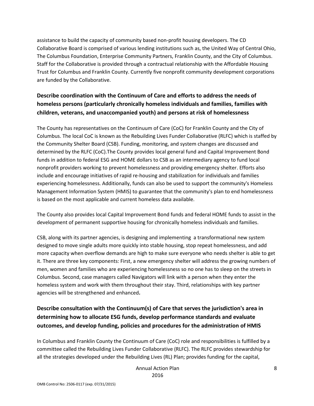assistance to build the capacity of community based non-profit housing developers. The CD Collaborative Board is comprised of various lending institutions such as, the United Way of Central Ohio, The Columbus Foundation, Enterprise Community Partners, Franklin County, and the City of Columbus. Staff for the Collaborative is provided through a contractual relationship with the Affordable Housing Trust for Columbus and Franklin County. Currently five nonprofit community development corporations are funded by the Collaborative.

## **Describe coordination with the Continuum of Care and efforts to address the needs of homeless persons (particularly chronically homeless individuals and families, families with children, veterans, and unaccompanied youth) and persons at risk of homelessness**

The County has representatives on the Continuum of Care (CoC) for Franklin County and the City of Columbus. The local CoC is known as the Rebuilding Lives Funder Collaborative (RLFC) which is staffed by the Community Shelter Board (CSB). Funding, monitoring, and system changes are discussed and determined by the RLFC (CoC).The County provides local general fund and Capital Improvement Bond funds in addition to federal ESG and HOME dollars to CSB as an intermediary agency to fund local nonprofit providers working to prevent homelessness and providing emergency shelter. Efforts also include and encourage initiatives of rapid re-housing and stabilization for individuals and families experiencing homelessness. Additionally, funds can also be used to support the community's Homeless Management Information System (HMIS) to guarantee that the community's plan to end homelessness is based on the most applicable and current homeless data available.

The County also provides local Capital Improvement Bond funds and federal HOME funds to assist in the development of permanent supportive housing for chronically homeless individuals and families.

CSB, along with its partner agencies, is designing and implementing a transformational new system designed to move single adults more quickly into stable housing, stop repeat homelessness, and add more capacity when overflow demands are high to make sure everyone who needs shelter is able to get it. There are three key components: First, a new emergency shelter will address the growing numbers of men, women and families who are experiencing homelessness so no one has to sleep on the streets in Columbus. Second, case managers called Navigators will link with a person when they enter the homeless system and work with them throughout their stay. Third, relationships with key partner agencies will be strengthened and enhanced**.**

## **Describe consultation with the Continuum(s) of Care that serves the jurisdiction's area in determining how to allocate ESG funds, develop performance standards and evaluate outcomes, and develop funding, policies and procedures for the administration of HMIS**

In Columbus and Franklin County the Continuum of Care (CoC) role and responsibilities is fulfilled by a committee called the Rebuilding Lives Funder Collaborative (RLFC). The RLFC provides stewardship for all the strategies developed under the Rebuilding Lives (RL) Plan; provides funding for the capital,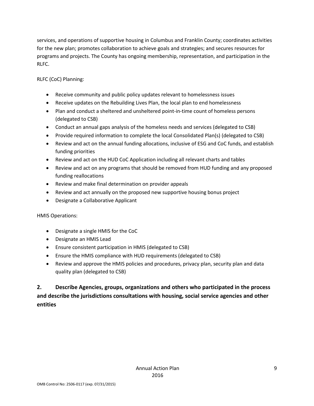services, and operations of supportive housing in Columbus and Franklin County; coordinates activities for the new plan; promotes collaboration to achieve goals and strategies; and secures resources for programs and projects. The County has ongoing membership, representation, and participation in the RLFC.

RLFC (CoC) Planning:

- Receive community and public policy updates relevant to homelessness issues
- Receive updates on the Rebuilding Lives Plan, the local plan to end homelessness
- Plan and conduct a sheltered and unsheltered point-in-time count of homeless persons (delegated to CSB)
- Conduct an annual gaps analysis of the homeless needs and services (delegated to CSB)
- Provide required information to complete the local Consolidated Plan(s) (delegated to CSB)
- Review and act on the annual funding allocations, inclusive of ESG and CoC funds, and establish funding priorities
- Review and act on the HUD CoC Application including all relevant charts and tables
- Review and act on any programs that should be removed from HUD funding and any proposed funding reallocations
- Review and make final determination on provider appeals
- Review and act annually on the proposed new supportive housing bonus project
- Designate a Collaborative Applicant

HMIS Operations:

- Designate a single HMIS for the CoC
- Designate an HMIS Lead
- Ensure consistent participation in HMIS (delegated to CSB)
- Ensure the HMIS compliance with HUD requirements (delegated to CSB)
- Review and approve the HMIS policies and procedures, privacy plan, security plan and data quality plan (delegated to CSB)

**2. Describe Agencies, groups, organizations and others who participated in the process and describe the jurisdictions consultations with housing, social service agencies and other entities**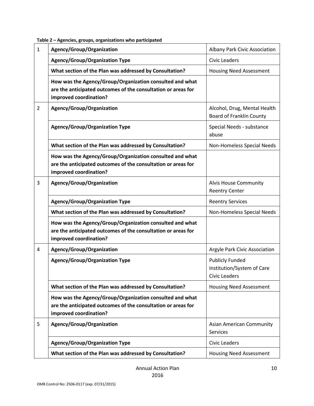| $\mathbf{1}$   | Agency/Group/Organization                                                                                                                           | Albany Park Civic Association                                                |
|----------------|-----------------------------------------------------------------------------------------------------------------------------------------------------|------------------------------------------------------------------------------|
|                | <b>Agency/Group/Organization Type</b>                                                                                                               | <b>Civic Leaders</b>                                                         |
|                | What section of the Plan was addressed by Consultation?                                                                                             | <b>Housing Need Assessment</b>                                               |
|                | How was the Agency/Group/Organization consulted and what<br>are the anticipated outcomes of the consultation or areas for<br>improved coordination? |                                                                              |
| $\overline{2}$ | Agency/Group/Organization                                                                                                                           | Alcohol, Drug, Mental Health<br><b>Board of Franklin County</b>              |
|                | <b>Agency/Group/Organization Type</b>                                                                                                               | Special Needs - substance<br>abuse                                           |
|                | What section of the Plan was addressed by Consultation?                                                                                             | Non-Homeless Special Needs                                                   |
|                | How was the Agency/Group/Organization consulted and what<br>are the anticipated outcomes of the consultation or areas for<br>improved coordination? |                                                                              |
| 3              | Agency/Group/Organization                                                                                                                           | Alvis House Community<br><b>Reentry Center</b>                               |
|                | <b>Agency/Group/Organization Type</b>                                                                                                               | <b>Reentry Services</b>                                                      |
|                | What section of the Plan was addressed by Consultation?                                                                                             | Non-Homeless Special Needs                                                   |
|                | How was the Agency/Group/Organization consulted and what<br>are the anticipated outcomes of the consultation or areas for<br>improved coordination? |                                                                              |
| 4              | Agency/Group/Organization                                                                                                                           | Argyle Park Civic Association                                                |
|                | <b>Agency/Group/Organization Type</b>                                                                                                               | <b>Publicly Funded</b><br>Institution/System of Care<br><b>Civic Leaders</b> |
|                | What section of the Plan was addressed by Consultation?                                                                                             | <b>Housing Need Assessment</b>                                               |
|                | How was the Agency/Group/Organization consulted and what<br>are the anticipated outcomes of the consultation or areas for<br>improved coordination? |                                                                              |
| 5              | Agency/Group/Organization                                                                                                                           | Asian American Community<br>Services                                         |
|                | <b>Agency/Group/Organization Type</b>                                                                                                               | <b>Civic Leaders</b>                                                         |
|                | What section of the Plan was addressed by Consultation?                                                                                             | <b>Housing Need Assessment</b>                                               |

#### **Table 2 – Agencies, groups, organizations who participated**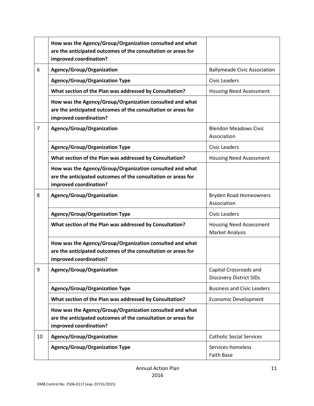|                | How was the Agency/Group/Organization consulted and what<br>are the anticipated outcomes of the consultation or areas for<br>improved coordination? |                                                          |
|----------------|-----------------------------------------------------------------------------------------------------------------------------------------------------|----------------------------------------------------------|
| 6              | Agency/Group/Organization                                                                                                                           | <b>Ballymeade Civic Association</b>                      |
|                | <b>Agency/Group/Organization Type</b>                                                                                                               | <b>Civic Leaders</b>                                     |
|                | What section of the Plan was addressed by Consultation?                                                                                             | <b>Housing Need Assessment</b>                           |
|                | How was the Agency/Group/Organization consulted and what<br>are the anticipated outcomes of the consultation or areas for<br>improved coordination? |                                                          |
| $\overline{7}$ | Agency/Group/Organization                                                                                                                           | <b>Blendon Meadows Civic</b><br>Association              |
|                | <b>Agency/Group/Organization Type</b>                                                                                                               | Civic Leaders                                            |
|                | What section of the Plan was addressed by Consultation?                                                                                             | <b>Housing Need Assessment</b>                           |
|                | How was the Agency/Group/Organization consulted and what<br>are the anticipated outcomes of the consultation or areas for<br>improved coordination? |                                                          |
| 8              | Agency/Group/Organization                                                                                                                           | <b>Bryden Road Homeowners</b><br>Association             |
|                | <b>Agency/Group/Organization Type</b>                                                                                                               | <b>Civic Leaders</b>                                     |
|                | What section of the Plan was addressed by Consultation?                                                                                             | <b>Housing Need Assessment</b><br><b>Market Analysis</b> |
|                | How was the Agency/Group/Organization consulted and what<br>are the anticipated outcomes of the consultation or areas for<br>improved coordination? |                                                          |
| 9              | Agency/Group/Organization                                                                                                                           | Capital Crossroads and<br><b>Discovery District SIDs</b> |
|                | <b>Agency/Group/Organization Type</b>                                                                                                               | <b>Business and Civic Leaders</b>                        |
|                | What section of the Plan was addressed by Consultation?                                                                                             | <b>Economic Development</b>                              |
|                | How was the Agency/Group/Organization consulted and what<br>are the anticipated outcomes of the consultation or areas for<br>improved coordination? |                                                          |
| 10             | Agency/Group/Organization                                                                                                                           | <b>Catholic Social Services</b>                          |
|                | <b>Agency/Group/Organization Type</b>                                                                                                               | Services-homeless<br>Faith Base                          |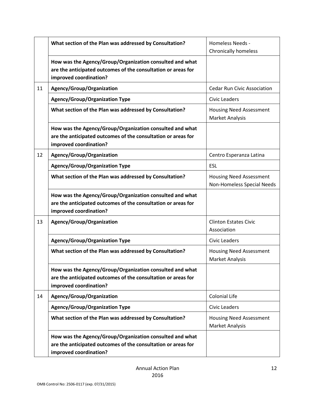|    | What section of the Plan was addressed by Consultation?                                                                                             | <b>Homeless Needs -</b><br><b>Chronically homeless</b>       |
|----|-----------------------------------------------------------------------------------------------------------------------------------------------------|--------------------------------------------------------------|
|    | How was the Agency/Group/Organization consulted and what<br>are the anticipated outcomes of the consultation or areas for<br>improved coordination? |                                                              |
| 11 | Agency/Group/Organization                                                                                                                           | <b>Cedar Run Civic Association</b>                           |
|    | <b>Agency/Group/Organization Type</b>                                                                                                               | Civic Leaders                                                |
|    | What section of the Plan was addressed by Consultation?                                                                                             | <b>Housing Need Assessment</b><br>Market Analysis            |
|    | How was the Agency/Group/Organization consulted and what<br>are the anticipated outcomes of the consultation or areas for<br>improved coordination? |                                                              |
| 12 | Agency/Group/Organization                                                                                                                           | Centro Esperanza Latina                                      |
|    | <b>Agency/Group/Organization Type</b>                                                                                                               | <b>ESL</b>                                                   |
|    | What section of the Plan was addressed by Consultation?                                                                                             | <b>Housing Need Assessment</b><br>Non-Homeless Special Needs |
|    | How was the Agency/Group/Organization consulted and what<br>are the anticipated outcomes of the consultation or areas for<br>improved coordination? |                                                              |
| 13 | Agency/Group/Organization                                                                                                                           | <b>Clinton Estates Civic</b><br>Association                  |
|    | <b>Agency/Group/Organization Type</b>                                                                                                               | Civic Leaders                                                |
|    | What section of the Plan was addressed by Consultation?                                                                                             | <b>Housing Need Assessment</b><br><b>Market Analysis</b>     |
|    | How was the Agency/Group/Organization consulted and what<br>are the anticipated outcomes of the consultation or areas for<br>improved coordination? |                                                              |
| 14 | Agency/Group/Organization                                                                                                                           | <b>Colonial Life</b>                                         |
|    | <b>Agency/Group/Organization Type</b>                                                                                                               | <b>Civic Leaders</b>                                         |
|    | What section of the Plan was addressed by Consultation?                                                                                             | <b>Housing Need Assessment</b><br><b>Market Analysis</b>     |
|    | How was the Agency/Group/Organization consulted and what<br>are the anticipated outcomes of the consultation or areas for<br>improved coordination? |                                                              |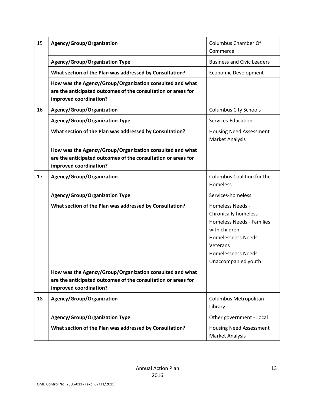| 15 | Agency/Group/Organization                                                                                                                           | <b>Columbus Chamber Of</b><br>Commerce                                                                                                                                                                |
|----|-----------------------------------------------------------------------------------------------------------------------------------------------------|-------------------------------------------------------------------------------------------------------------------------------------------------------------------------------------------------------|
|    | <b>Agency/Group/Organization Type</b>                                                                                                               | <b>Business and Civic Leaders</b>                                                                                                                                                                     |
|    | What section of the Plan was addressed by Consultation?                                                                                             | <b>Economic Development</b>                                                                                                                                                                           |
|    | How was the Agency/Group/Organization consulted and what<br>are the anticipated outcomes of the consultation or areas for<br>improved coordination? |                                                                                                                                                                                                       |
| 16 | Agency/Group/Organization                                                                                                                           | <b>Columbus City Schools</b>                                                                                                                                                                          |
|    | <b>Agency/Group/Organization Type</b>                                                                                                               | Services-Education                                                                                                                                                                                    |
|    | What section of the Plan was addressed by Consultation?                                                                                             | <b>Housing Need Assessment</b><br><b>Market Analysis</b>                                                                                                                                              |
|    | How was the Agency/Group/Organization consulted and what<br>are the anticipated outcomes of the consultation or areas for<br>improved coordination? |                                                                                                                                                                                                       |
| 17 | Agency/Group/Organization                                                                                                                           | Columbus Coalition for the<br>Homeless                                                                                                                                                                |
|    | <b>Agency/Group/Organization Type</b>                                                                                                               | Services-homeless                                                                                                                                                                                     |
|    | What section of the Plan was addressed by Consultation?                                                                                             | <b>Homeless Needs -</b><br><b>Chronically homeless</b><br><b>Homeless Needs - Families</b><br>with children<br><b>Homelessness Needs -</b><br>Veterans<br>Homelessness Needs -<br>Unaccompanied youth |
|    | How was the Agency/Group/Organization consulted and what<br>are the anticipated outcomes of the consultation or areas for<br>improved coordination? |                                                                                                                                                                                                       |
| 18 | Agency/Group/Organization                                                                                                                           | Columbus Metropolitan<br>Library                                                                                                                                                                      |
|    | <b>Agency/Group/Organization Type</b>                                                                                                               | Other government - Local                                                                                                                                                                              |
|    | What section of the Plan was addressed by Consultation?                                                                                             | <b>Housing Need Assessment</b>                                                                                                                                                                        |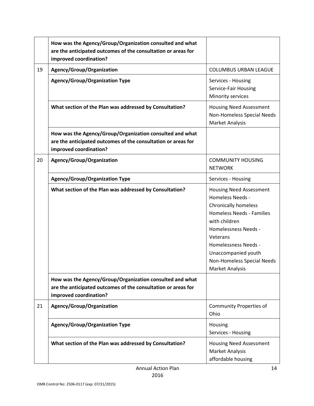|    | How was the Agency/Group/Organization consulted and what<br>are the anticipated outcomes of the consultation or areas for<br>improved coordination? |                                                                                                                                                                                                                                                                                                 |
|----|-----------------------------------------------------------------------------------------------------------------------------------------------------|-------------------------------------------------------------------------------------------------------------------------------------------------------------------------------------------------------------------------------------------------------------------------------------------------|
| 19 | Agency/Group/Organization                                                                                                                           | <b>COLUMBUS URBAN LEAGUE</b>                                                                                                                                                                                                                                                                    |
|    | <b>Agency/Group/Organization Type</b>                                                                                                               | Services - Housing<br>Service-Fair Housing<br>Minority services                                                                                                                                                                                                                                 |
|    | What section of the Plan was addressed by Consultation?                                                                                             | <b>Housing Need Assessment</b><br>Non-Homeless Special Needs<br><b>Market Analysis</b>                                                                                                                                                                                                          |
|    | How was the Agency/Group/Organization consulted and what<br>are the anticipated outcomes of the consultation or areas for<br>improved coordination? |                                                                                                                                                                                                                                                                                                 |
| 20 | Agency/Group/Organization                                                                                                                           | <b>COMMUNITY HOUSING</b><br><b>NETWORK</b>                                                                                                                                                                                                                                                      |
|    | <b>Agency/Group/Organization Type</b>                                                                                                               | Services - Housing                                                                                                                                                                                                                                                                              |
|    | What section of the Plan was addressed by Consultation?                                                                                             | <b>Housing Need Assessment</b><br><b>Homeless Needs -</b><br><b>Chronically homeless</b><br><b>Homeless Needs - Families</b><br>with children<br><b>Homelessness Needs -</b><br>Veterans<br><b>Homelessness Needs -</b><br>Unaccompanied youth<br>Non-Homeless Special Needs<br>Market Analysis |
|    | How was the Agency/Group/Organization consulted and what<br>are the anticipated outcomes of the consultation or areas for<br>improved coordination? |                                                                                                                                                                                                                                                                                                 |
| 21 | Agency/Group/Organization                                                                                                                           | <b>Community Properties of</b><br>Ohio                                                                                                                                                                                                                                                          |
|    | <b>Agency/Group/Organization Type</b>                                                                                                               | Housing<br>Services - Housing                                                                                                                                                                                                                                                                   |
|    | What section of the Plan was addressed by Consultation?                                                                                             | <b>Housing Need Assessment</b><br>Market Analysis<br>affordable housing                                                                                                                                                                                                                         |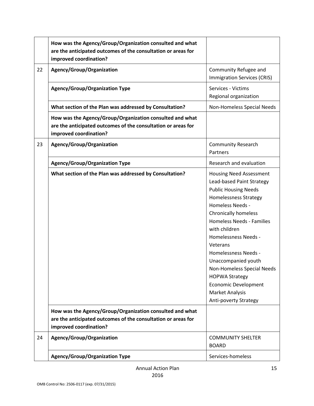|    | How was the Agency/Group/Organization consulted and what<br>are the anticipated outcomes of the consultation or areas for<br>improved coordination? |                                                                                                                                                                                                                                                                                                                                                                                                                                                         |
|----|-----------------------------------------------------------------------------------------------------------------------------------------------------|---------------------------------------------------------------------------------------------------------------------------------------------------------------------------------------------------------------------------------------------------------------------------------------------------------------------------------------------------------------------------------------------------------------------------------------------------------|
| 22 | Agency/Group/Organization                                                                                                                           | Community Refugee and<br><b>Immigration Services (CRIS)</b>                                                                                                                                                                                                                                                                                                                                                                                             |
|    | <b>Agency/Group/Organization Type</b>                                                                                                               | Services - Victims<br>Regional organization                                                                                                                                                                                                                                                                                                                                                                                                             |
|    | What section of the Plan was addressed by Consultation?                                                                                             | Non-Homeless Special Needs                                                                                                                                                                                                                                                                                                                                                                                                                              |
|    | How was the Agency/Group/Organization consulted and what<br>are the anticipated outcomes of the consultation or areas for<br>improved coordination? |                                                                                                                                                                                                                                                                                                                                                                                                                                                         |
| 23 | Agency/Group/Organization                                                                                                                           | <b>Community Research</b><br>Partners                                                                                                                                                                                                                                                                                                                                                                                                                   |
|    | <b>Agency/Group/Organization Type</b>                                                                                                               | Research and evaluation                                                                                                                                                                                                                                                                                                                                                                                                                                 |
|    | What section of the Plan was addressed by Consultation?                                                                                             | <b>Housing Need Assessment</b><br>Lead-based Paint Strategy<br><b>Public Housing Needs</b><br><b>Homelessness Strategy</b><br>Homeless Needs -<br>Chronically homeless<br>Homeless Needs - Families<br>with children<br><b>Homelessness Needs -</b><br>Veterans<br>Homelessness Needs -<br>Unaccompanied youth<br>Non-Homeless Special Needs<br><b>HOPWA Strategy</b><br><b>Economic Development</b><br><b>Market Analysis</b><br>Anti-poverty Strategy |
|    | How was the Agency/Group/Organization consulted and what<br>are the anticipated outcomes of the consultation or areas for<br>improved coordination? |                                                                                                                                                                                                                                                                                                                                                                                                                                                         |
| 24 | Agency/Group/Organization                                                                                                                           | <b>COMMUNITY SHELTER</b><br><b>BOARD</b>                                                                                                                                                                                                                                                                                                                                                                                                                |
|    | <b>Agency/Group/Organization Type</b>                                                                                                               | Services-homeless                                                                                                                                                                                                                                                                                                                                                                                                                                       |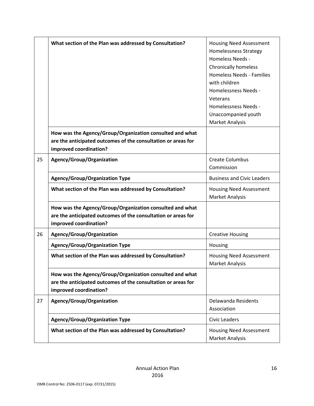|    | What section of the Plan was addressed by Consultation?                                                                                             | <b>Housing Need Assessment</b><br><b>Homelessness Strategy</b><br>Homeless Needs -<br><b>Chronically homeless</b><br><b>Homeless Needs - Families</b><br>with children<br><b>Homelessness Needs -</b><br>Veterans<br>Homelessness Needs -<br>Unaccompanied youth<br><b>Market Analysis</b> |
|----|-----------------------------------------------------------------------------------------------------------------------------------------------------|--------------------------------------------------------------------------------------------------------------------------------------------------------------------------------------------------------------------------------------------------------------------------------------------|
|    | How was the Agency/Group/Organization consulted and what<br>are the anticipated outcomes of the consultation or areas for<br>improved coordination? |                                                                                                                                                                                                                                                                                            |
| 25 | Agency/Group/Organization                                                                                                                           | <b>Create Columbus</b><br>Commission                                                                                                                                                                                                                                                       |
|    | <b>Agency/Group/Organization Type</b>                                                                                                               | <b>Business and Civic Leaders</b>                                                                                                                                                                                                                                                          |
|    | What section of the Plan was addressed by Consultation?                                                                                             | <b>Housing Need Assessment</b><br><b>Market Analysis</b>                                                                                                                                                                                                                                   |
|    | How was the Agency/Group/Organization consulted and what<br>are the anticipated outcomes of the consultation or areas for<br>improved coordination? |                                                                                                                                                                                                                                                                                            |
| 26 | Agency/Group/Organization                                                                                                                           | <b>Creative Housing</b>                                                                                                                                                                                                                                                                    |
|    | <b>Agency/Group/Organization Type</b>                                                                                                               | Housing                                                                                                                                                                                                                                                                                    |
|    | What section of the Plan was addressed by Consultation?                                                                                             | <b>Housing Need Assessment</b><br>Market Analysis                                                                                                                                                                                                                                          |
|    | How was the Agency/Group/Organization consulted and what<br>are the anticipated outcomes of the consultation or areas for<br>improved coordination? |                                                                                                                                                                                                                                                                                            |
| 27 | Agency/Group/Organization                                                                                                                           | Delawanda Residents<br>Association                                                                                                                                                                                                                                                         |
|    | <b>Agency/Group/Organization Type</b>                                                                                                               | <b>Civic Leaders</b>                                                                                                                                                                                                                                                                       |
|    | What section of the Plan was addressed by Consultation?                                                                                             | <b>Housing Need Assessment</b><br><b>Market Analysis</b>                                                                                                                                                                                                                                   |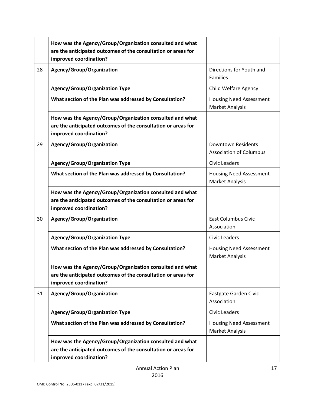|    | How was the Agency/Group/Organization consulted and what<br>are the anticipated outcomes of the consultation or areas for<br>improved coordination? |                                                             |
|----|-----------------------------------------------------------------------------------------------------------------------------------------------------|-------------------------------------------------------------|
| 28 | Agency/Group/Organization                                                                                                                           | Directions for Youth and<br><b>Families</b>                 |
|    | <b>Agency/Group/Organization Type</b>                                                                                                               | <b>Child Welfare Agency</b>                                 |
|    | What section of the Plan was addressed by Consultation?                                                                                             | <b>Housing Need Assessment</b><br>Market Analysis           |
|    | How was the Agency/Group/Organization consulted and what<br>are the anticipated outcomes of the consultation or areas for<br>improved coordination? |                                                             |
| 29 | Agency/Group/Organization                                                                                                                           | <b>Downtown Residents</b><br><b>Association of Columbus</b> |
|    | <b>Agency/Group/Organization Type</b>                                                                                                               | Civic Leaders                                               |
|    | What section of the Plan was addressed by Consultation?                                                                                             | <b>Housing Need Assessment</b><br>Market Analysis           |
|    | How was the Agency/Group/Organization consulted and what<br>are the anticipated outcomes of the consultation or areas for<br>improved coordination? |                                                             |
| 30 | Agency/Group/Organization                                                                                                                           | <b>East Columbus Civic</b><br>Association                   |
|    | <b>Agency/Group/Organization Type</b>                                                                                                               | <b>Civic Leaders</b>                                        |
|    | What section of the Plan was addressed by Consultation?                                                                                             | <b>Housing Need Assessment</b><br>Market Analysis           |
|    | How was the Agency/Group/Organization consulted and what<br>are the anticipated outcomes of the consultation or areas for<br>improved coordination? |                                                             |
| 31 | Agency/Group/Organization                                                                                                                           | Eastgate Garden Civic<br>Association                        |
|    | <b>Agency/Group/Organization Type</b>                                                                                                               | <b>Civic Leaders</b>                                        |
|    | What section of the Plan was addressed by Consultation?                                                                                             | <b>Housing Need Assessment</b><br>Market Analysis           |
|    | How was the Agency/Group/Organization consulted and what<br>are the anticipated outcomes of the consultation or areas for<br>improved coordination? |                                                             |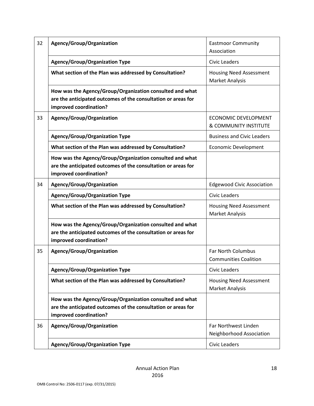| 32 | Agency/Group/Organization                                                                                                                           | <b>Eastmoor Community</b><br>Association                        |
|----|-----------------------------------------------------------------------------------------------------------------------------------------------------|-----------------------------------------------------------------|
|    | <b>Agency/Group/Organization Type</b>                                                                                                               | <b>Civic Leaders</b>                                            |
|    | What section of the Plan was addressed by Consultation?                                                                                             | <b>Housing Need Assessment</b><br><b>Market Analysis</b>        |
|    | How was the Agency/Group/Organization consulted and what<br>are the anticipated outcomes of the consultation or areas for<br>improved coordination? |                                                                 |
| 33 | Agency/Group/Organization                                                                                                                           | <b>ECONOMIC DEVELOPMENT</b><br><b>&amp; COMMUNITY INSTITUTE</b> |
|    | <b>Agency/Group/Organization Type</b>                                                                                                               | <b>Business and Civic Leaders</b>                               |
|    | What section of the Plan was addressed by Consultation?                                                                                             | <b>Economic Development</b>                                     |
|    | How was the Agency/Group/Organization consulted and what<br>are the anticipated outcomes of the consultation or areas for<br>improved coordination? |                                                                 |
| 34 | Agency/Group/Organization                                                                                                                           | <b>Edgewood Civic Association</b>                               |
|    | <b>Agency/Group/Organization Type</b>                                                                                                               | <b>Civic Leaders</b>                                            |
|    | What section of the Plan was addressed by Consultation?                                                                                             | <b>Housing Need Assessment</b><br><b>Market Analysis</b>        |
|    | How was the Agency/Group/Organization consulted and what<br>are the anticipated outcomes of the consultation or areas for<br>improved coordination? |                                                                 |
| 35 | Agency/Group/Organization                                                                                                                           | <b>Far North Columbus</b><br><b>Communities Coalition</b>       |
|    | <b>Agency/Group/Organization Type</b>                                                                                                               | <b>Civic Leaders</b>                                            |
|    | What section of the Plan was addressed by Consultation?                                                                                             | <b>Housing Need Assessment</b><br><b>Market Analysis</b>        |
|    | How was the Agency/Group/Organization consulted and what<br>are the anticipated outcomes of the consultation or areas for<br>improved coordination? |                                                                 |
| 36 | Agency/Group/Organization                                                                                                                           | Far Northwest Linden<br>Neighborhood Association                |
|    | <b>Agency/Group/Organization Type</b>                                                                                                               | <b>Civic Leaders</b>                                            |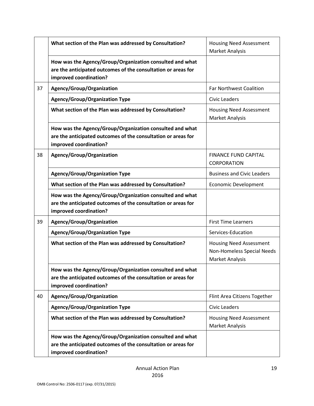|    | What section of the Plan was addressed by Consultation?                                                                                             | <b>Housing Need Assessment</b><br><b>Market Analysis</b>                               |
|----|-----------------------------------------------------------------------------------------------------------------------------------------------------|----------------------------------------------------------------------------------------|
|    | How was the Agency/Group/Organization consulted and what<br>are the anticipated outcomes of the consultation or areas for<br>improved coordination? |                                                                                        |
| 37 | Agency/Group/Organization                                                                                                                           | <b>Far Northwest Coalition</b>                                                         |
|    | <b>Agency/Group/Organization Type</b>                                                                                                               | <b>Civic Leaders</b>                                                                   |
|    | What section of the Plan was addressed by Consultation?                                                                                             | <b>Housing Need Assessment</b><br><b>Market Analysis</b>                               |
|    | How was the Agency/Group/Organization consulted and what<br>are the anticipated outcomes of the consultation or areas for<br>improved coordination? |                                                                                        |
| 38 | Agency/Group/Organization                                                                                                                           | <b>FINANCE FUND CAPITAL</b><br><b>CORPORATION</b>                                      |
|    | <b>Agency/Group/Organization Type</b>                                                                                                               | <b>Business and Civic Leaders</b>                                                      |
|    | What section of the Plan was addressed by Consultation?                                                                                             | <b>Economic Development</b>                                                            |
|    | How was the Agency/Group/Organization consulted and what<br>are the anticipated outcomes of the consultation or areas for<br>improved coordination? |                                                                                        |
| 39 | Agency/Group/Organization                                                                                                                           | <b>First Time Learners</b>                                                             |
|    | <b>Agency/Group/Organization Type</b>                                                                                                               | Services-Education                                                                     |
|    | What section of the Plan was addressed by Consultation?                                                                                             | <b>Housing Need Assessment</b><br>Non-Homeless Special Needs<br><b>Market Analysis</b> |
|    | How was the Agency/Group/Organization consulted and what<br>are the anticipated outcomes of the consultation or areas for<br>improved coordination? |                                                                                        |
| 40 | Agency/Group/Organization                                                                                                                           | Flint Area Citizens Together                                                           |
|    | <b>Agency/Group/Organization Type</b>                                                                                                               | <b>Civic Leaders</b>                                                                   |
|    | What section of the Plan was addressed by Consultation?                                                                                             | <b>Housing Need Assessment</b><br>Market Analysis                                      |
|    | How was the Agency/Group/Organization consulted and what<br>are the anticipated outcomes of the consultation or areas for<br>improved coordination? |                                                                                        |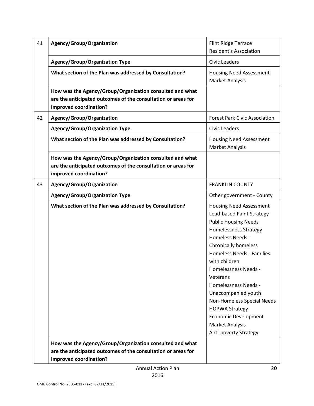| 41 | Agency/Group/Organization                                                                                                                           | Flint Ridge Terrace<br><b>Resident's Association</b>                                                                                                                                                                                                                                                                                                                                                                                                                  |
|----|-----------------------------------------------------------------------------------------------------------------------------------------------------|-----------------------------------------------------------------------------------------------------------------------------------------------------------------------------------------------------------------------------------------------------------------------------------------------------------------------------------------------------------------------------------------------------------------------------------------------------------------------|
|    | <b>Agency/Group/Organization Type</b>                                                                                                               | <b>Civic Leaders</b>                                                                                                                                                                                                                                                                                                                                                                                                                                                  |
|    | What section of the Plan was addressed by Consultation?                                                                                             | <b>Housing Need Assessment</b><br><b>Market Analysis</b>                                                                                                                                                                                                                                                                                                                                                                                                              |
|    | How was the Agency/Group/Organization consulted and what<br>are the anticipated outcomes of the consultation or areas for<br>improved coordination? |                                                                                                                                                                                                                                                                                                                                                                                                                                                                       |
| 42 | Agency/Group/Organization                                                                                                                           | <b>Forest Park Civic Association</b>                                                                                                                                                                                                                                                                                                                                                                                                                                  |
|    | <b>Agency/Group/Organization Type</b>                                                                                                               | <b>Civic Leaders</b>                                                                                                                                                                                                                                                                                                                                                                                                                                                  |
|    | What section of the Plan was addressed by Consultation?                                                                                             | <b>Housing Need Assessment</b><br><b>Market Analysis</b>                                                                                                                                                                                                                                                                                                                                                                                                              |
|    | How was the Agency/Group/Organization consulted and what<br>are the anticipated outcomes of the consultation or areas for<br>improved coordination? |                                                                                                                                                                                                                                                                                                                                                                                                                                                                       |
| 43 | Agency/Group/Organization                                                                                                                           | <b>FRANKLIN COUNTY</b>                                                                                                                                                                                                                                                                                                                                                                                                                                                |
|    | <b>Agency/Group/Organization Type</b>                                                                                                               | Other government - County                                                                                                                                                                                                                                                                                                                                                                                                                                             |
|    | What section of the Plan was addressed by Consultation?                                                                                             | <b>Housing Need Assessment</b><br>Lead-based Paint Strategy<br><b>Public Housing Needs</b><br><b>Homelessness Strategy</b><br>Homeless Needs -<br><b>Chronically homeless</b><br><b>Homeless Needs - Families</b><br>with children<br><b>Homelessness Needs -</b><br>Veterans<br>Homelessness Needs -<br>Unaccompanied youth<br>Non-Homeless Special Needs<br><b>HOPWA Strategy</b><br>Economic Development<br><b>Market Analysis</b><br><b>Anti-poverty Strategy</b> |
|    | How was the Agency/Group/Organization consulted and what<br>are the anticipated outcomes of the consultation or areas for<br>improved coordination? |                                                                                                                                                                                                                                                                                                                                                                                                                                                                       |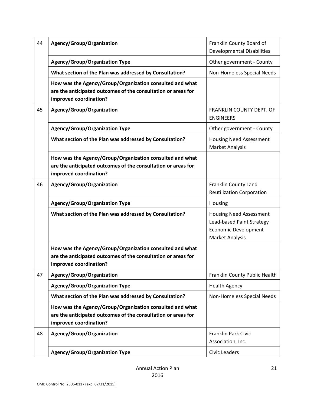| 44 | Agency/Group/Organization                                                                                                                           | Franklin County Board of<br><b>Developmental Disabilities</b>                                                 |
|----|-----------------------------------------------------------------------------------------------------------------------------------------------------|---------------------------------------------------------------------------------------------------------------|
|    | <b>Agency/Group/Organization Type</b>                                                                                                               | Other government - County                                                                                     |
|    | What section of the Plan was addressed by Consultation?                                                                                             | Non-Homeless Special Needs                                                                                    |
|    | How was the Agency/Group/Organization consulted and what<br>are the anticipated outcomes of the consultation or areas for<br>improved coordination? |                                                                                                               |
| 45 | Agency/Group/Organization                                                                                                                           | FRANKLIN COUNTY DEPT. OF<br><b>ENGINEERS</b>                                                                  |
|    | <b>Agency/Group/Organization Type</b>                                                                                                               | Other government - County                                                                                     |
|    | What section of the Plan was addressed by Consultation?                                                                                             | <b>Housing Need Assessment</b><br><b>Market Analysis</b>                                                      |
|    | How was the Agency/Group/Organization consulted and what<br>are the anticipated outcomes of the consultation or areas for<br>improved coordination? |                                                                                                               |
| 46 | Agency/Group/Organization                                                                                                                           | Franklin County Land<br><b>Reutilization Corporation</b>                                                      |
|    | <b>Agency/Group/Organization Type</b>                                                                                                               | Housing                                                                                                       |
|    | What section of the Plan was addressed by Consultation?                                                                                             | <b>Housing Need Assessment</b><br>Lead-based Paint Strategy<br><b>Economic Development</b><br>Market Analysis |
|    | How was the Agency/Group/Organization consulted and what<br>are the anticipated outcomes of the consultation or areas for<br>improved coordination? |                                                                                                               |
| 47 | Agency/Group/Organization                                                                                                                           | Franklin County Public Health                                                                                 |
|    | <b>Agency/Group/Organization Type</b>                                                                                                               | <b>Health Agency</b>                                                                                          |
|    | What section of the Plan was addressed by Consultation?                                                                                             | Non-Homeless Special Needs                                                                                    |
|    | How was the Agency/Group/Organization consulted and what<br>are the anticipated outcomes of the consultation or areas for<br>improved coordination? |                                                                                                               |
| 48 | Agency/Group/Organization                                                                                                                           | Franklin Park Civic<br>Association, Inc.                                                                      |
|    | <b>Agency/Group/Organization Type</b>                                                                                                               | <b>Civic Leaders</b>                                                                                          |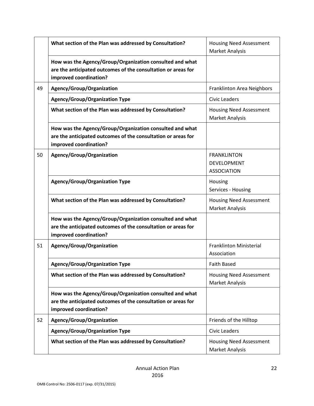|    | What section of the Plan was addressed by Consultation?                                                                                             | <b>Housing Need Assessment</b><br><b>Market Analysis</b>       |
|----|-----------------------------------------------------------------------------------------------------------------------------------------------------|----------------------------------------------------------------|
|    | How was the Agency/Group/Organization consulted and what<br>are the anticipated outcomes of the consultation or areas for<br>improved coordination? |                                                                |
| 49 | Agency/Group/Organization                                                                                                                           | Franklinton Area Neighbors                                     |
|    | <b>Agency/Group/Organization Type</b>                                                                                                               | <b>Civic Leaders</b>                                           |
|    | What section of the Plan was addressed by Consultation?                                                                                             | <b>Housing Need Assessment</b><br><b>Market Analysis</b>       |
|    | How was the Agency/Group/Organization consulted and what<br>are the anticipated outcomes of the consultation or areas for<br>improved coordination? |                                                                |
| 50 | Agency/Group/Organization                                                                                                                           | <b>FRANKLINTON</b><br><b>DEVELOPMENT</b><br><b>ASSOCIATION</b> |
|    | <b>Agency/Group/Organization Type</b>                                                                                                               | Housing<br>Services - Housing                                  |
|    | What section of the Plan was addressed by Consultation?                                                                                             | <b>Housing Need Assessment</b><br>Market Analysis              |
|    | How was the Agency/Group/Organization consulted and what<br>are the anticipated outcomes of the consultation or areas for<br>improved coordination? |                                                                |
| 51 | Agency/Group/Organization                                                                                                                           | <b>Franklinton Ministerial</b><br>Association                  |
|    | <b>Agency/Group/Organization Type</b>                                                                                                               | <b>Faith Based</b>                                             |
|    | What section of the Plan was addressed by Consultation?                                                                                             | <b>Housing Need Assessment</b><br><b>Market Analysis</b>       |
|    | How was the Agency/Group/Organization consulted and what<br>are the anticipated outcomes of the consultation or areas for<br>improved coordination? |                                                                |
| 52 | Agency/Group/Organization                                                                                                                           | Friends of the Hilltop                                         |
|    | <b>Agency/Group/Organization Type</b>                                                                                                               | <b>Civic Leaders</b>                                           |
|    | What section of the Plan was addressed by Consultation?                                                                                             | <b>Housing Need Assessment</b><br>Market Analysis              |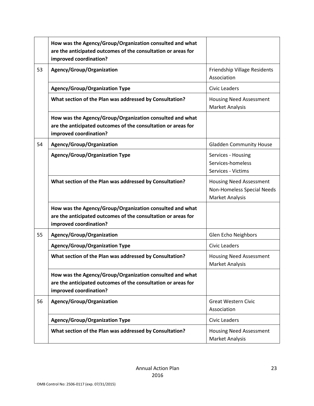|    | How was the Agency/Group/Organization consulted and what<br>are the anticipated outcomes of the consultation or areas for<br>improved coordination? |                                                                                 |
|----|-----------------------------------------------------------------------------------------------------------------------------------------------------|---------------------------------------------------------------------------------|
| 53 | Agency/Group/Organization                                                                                                                           | Friendship Village Residents<br>Association                                     |
|    | <b>Agency/Group/Organization Type</b>                                                                                                               | <b>Civic Leaders</b>                                                            |
|    | What section of the Plan was addressed by Consultation?                                                                                             | <b>Housing Need Assessment</b><br><b>Market Analysis</b>                        |
|    | How was the Agency/Group/Organization consulted and what<br>are the anticipated outcomes of the consultation or areas for<br>improved coordination? |                                                                                 |
| 54 | Agency/Group/Organization                                                                                                                           | <b>Gladden Community House</b>                                                  |
|    | <b>Agency/Group/Organization Type</b>                                                                                                               | Services - Housing<br>Services-homeless<br>Services - Victims                   |
|    | What section of the Plan was addressed by Consultation?                                                                                             | <b>Housing Need Assessment</b><br>Non-Homeless Special Needs<br>Market Analysis |
|    | How was the Agency/Group/Organization consulted and what<br>are the anticipated outcomes of the consultation or areas for<br>improved coordination? |                                                                                 |
| 55 | Agency/Group/Organization                                                                                                                           | Glen Echo Neighbors                                                             |
|    | <b>Agency/Group/Organization Type</b>                                                                                                               | <b>Civic Leaders</b>                                                            |
|    | What section of the Plan was addressed by Consultation?                                                                                             | <b>Housing Need Assessment</b><br>Market Analysis                               |
|    | How was the Agency/Group/Organization consulted and what<br>are the anticipated outcomes of the consultation or areas for<br>improved coordination? |                                                                                 |
| 56 | Agency/Group/Organization                                                                                                                           | <b>Great Western Civic</b><br>Association                                       |
|    | <b>Agency/Group/Organization Type</b>                                                                                                               | <b>Civic Leaders</b>                                                            |
|    | What section of the Plan was addressed by Consultation?                                                                                             | <b>Housing Need Assessment</b><br>Market Analysis                               |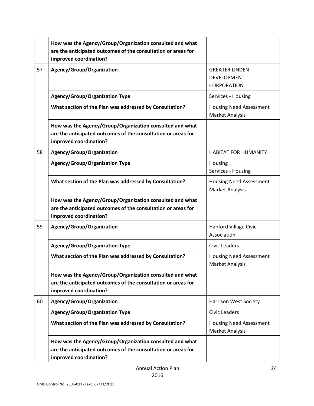|    | How was the Agency/Group/Organization consulted and what<br>are the anticipated outcomes of the consultation or areas for<br>improved coordination? |                                                                   |
|----|-----------------------------------------------------------------------------------------------------------------------------------------------------|-------------------------------------------------------------------|
| 57 | Agency/Group/Organization                                                                                                                           | <b>GREATER LINDEN</b><br><b>DEVELOPMENT</b><br><b>CORPORATION</b> |
|    | <b>Agency/Group/Organization Type</b>                                                                                                               | Services - Housing                                                |
|    | What section of the Plan was addressed by Consultation?                                                                                             | <b>Housing Need Assessment</b><br>Market Analysis                 |
|    | How was the Agency/Group/Organization consulted and what<br>are the anticipated outcomes of the consultation or areas for<br>improved coordination? |                                                                   |
| 58 | Agency/Group/Organization                                                                                                                           | <b>HABITAT FOR HUMANITY</b>                                       |
|    | <b>Agency/Group/Organization Type</b>                                                                                                               | Housing<br>Services - Housing                                     |
|    | What section of the Plan was addressed by Consultation?                                                                                             | <b>Housing Need Assessment</b><br>Market Analysis                 |
|    | How was the Agency/Group/Organization consulted and what<br>are the anticipated outcomes of the consultation or areas for<br>improved coordination? |                                                                   |
| 59 | Agency/Group/Organization                                                                                                                           | Hanford Village Civic<br>Association                              |
|    | <b>Agency/Group/Organization Type</b>                                                                                                               | <b>Civic Leaders</b>                                              |
|    | What section of the Plan was addressed by Consultation?                                                                                             | <b>Housing Need Assessment</b><br><b>Market Analysis</b>          |
|    | How was the Agency/Group/Organization consulted and what<br>are the anticipated outcomes of the consultation or areas for<br>improved coordination? |                                                                   |
| 60 | Agency/Group/Organization                                                                                                                           | <b>Harrison West Society</b>                                      |
|    | <b>Agency/Group/Organization Type</b>                                                                                                               | <b>Civic Leaders</b>                                              |
|    | What section of the Plan was addressed by Consultation?                                                                                             | <b>Housing Need Assessment</b><br>Market Analysis                 |
|    | How was the Agency/Group/Organization consulted and what<br>are the anticipated outcomes of the consultation or areas for<br>improved coordination? |                                                                   |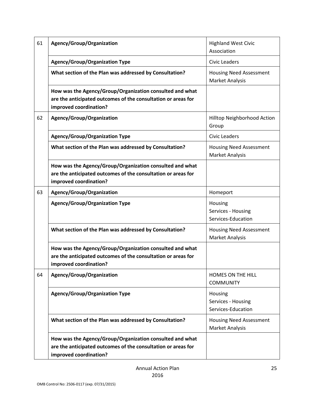| 61 | Agency/Group/Organization                                                                                                                           | <b>Highland West Civic</b><br>Association                |
|----|-----------------------------------------------------------------------------------------------------------------------------------------------------|----------------------------------------------------------|
|    | <b>Agency/Group/Organization Type</b>                                                                                                               | Civic Leaders                                            |
|    | What section of the Plan was addressed by Consultation?                                                                                             | <b>Housing Need Assessment</b><br>Market Analysis        |
|    | How was the Agency/Group/Organization consulted and what<br>are the anticipated outcomes of the consultation or areas for<br>improved coordination? |                                                          |
| 62 | Agency/Group/Organization                                                                                                                           | Hilltop Neighborhood Action<br>Group                     |
|    | <b>Agency/Group/Organization Type</b>                                                                                                               | <b>Civic Leaders</b>                                     |
|    | What section of the Plan was addressed by Consultation?                                                                                             | <b>Housing Need Assessment</b><br>Market Analysis        |
|    | How was the Agency/Group/Organization consulted and what<br>are the anticipated outcomes of the consultation or areas for<br>improved coordination? |                                                          |
| 63 | Agency/Group/Organization                                                                                                                           | Homeport                                                 |
|    | <b>Agency/Group/Organization Type</b>                                                                                                               | Housing<br>Services - Housing<br>Services-Education      |
|    | What section of the Plan was addressed by Consultation?                                                                                             | <b>Housing Need Assessment</b><br><b>Market Analysis</b> |
|    | How was the Agency/Group/Organization consulted and what<br>are the anticipated outcomes of the consultation or areas for<br>improved coordination? |                                                          |
| 64 | Agency/Group/Organization                                                                                                                           | HOMES ON THE HILL<br><b>COMMUNITY</b>                    |
|    | <b>Agency/Group/Organization Type</b>                                                                                                               | Housing<br>Services - Housing<br>Services-Education      |
|    | What section of the Plan was addressed by Consultation?                                                                                             | <b>Housing Need Assessment</b><br><b>Market Analysis</b> |
|    | How was the Agency/Group/Organization consulted and what<br>are the anticipated outcomes of the consultation or areas for<br>improved coordination? |                                                          |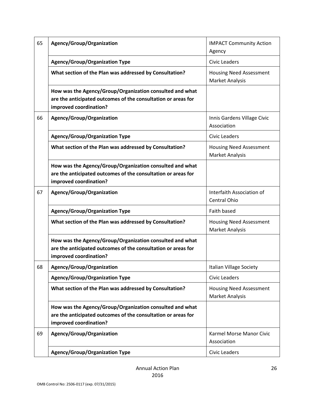| 65 | Agency/Group/Organization                                                                                                                           | <b>IMPACT Community Action</b><br>Agency                 |
|----|-----------------------------------------------------------------------------------------------------------------------------------------------------|----------------------------------------------------------|
|    | <b>Agency/Group/Organization Type</b>                                                                                                               | <b>Civic Leaders</b>                                     |
|    | What section of the Plan was addressed by Consultation?                                                                                             | <b>Housing Need Assessment</b><br><b>Market Analysis</b> |
|    | How was the Agency/Group/Organization consulted and what<br>are the anticipated outcomes of the consultation or areas for<br>improved coordination? |                                                          |
| 66 | Agency/Group/Organization                                                                                                                           | Innis Gardens Village Civic<br>Association               |
|    | <b>Agency/Group/Organization Type</b>                                                                                                               | <b>Civic Leaders</b>                                     |
|    | What section of the Plan was addressed by Consultation?                                                                                             | <b>Housing Need Assessment</b><br><b>Market Analysis</b> |
|    | How was the Agency/Group/Organization consulted and what<br>are the anticipated outcomes of the consultation or areas for<br>improved coordination? |                                                          |
| 67 | Agency/Group/Organization                                                                                                                           | Interfaith Association of<br><b>Central Ohio</b>         |
|    | <b>Agency/Group/Organization Type</b>                                                                                                               | Faith based                                              |
|    | What section of the Plan was addressed by Consultation?                                                                                             | <b>Housing Need Assessment</b><br>Market Analysis        |
|    | How was the Agency/Group/Organization consulted and what<br>are the anticipated outcomes of the consultation or areas for<br>improved coordination? |                                                          |
| 68 | Agency/Group/Organization                                                                                                                           | <b>Italian Village Society</b>                           |
|    | <b>Agency/Group/Organization Type</b>                                                                                                               | <b>Civic Leaders</b>                                     |
|    | What section of the Plan was addressed by Consultation?                                                                                             | <b>Housing Need Assessment</b><br><b>Market Analysis</b> |
|    | How was the Agency/Group/Organization consulted and what<br>are the anticipated outcomes of the consultation or areas for<br>improved coordination? |                                                          |
| 69 | Agency/Group/Organization                                                                                                                           | Karmel Morse Manor Civic<br>Association                  |
|    | <b>Agency/Group/Organization Type</b>                                                                                                               | <b>Civic Leaders</b>                                     |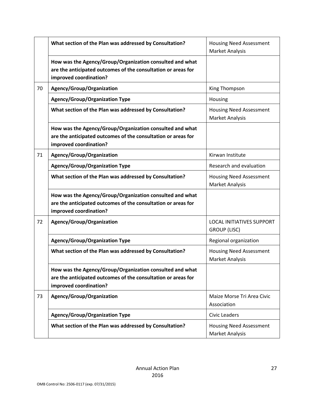|    | What section of the Plan was addressed by Consultation?                                                                                             | <b>Housing Need Assessment</b><br>Market Analysis        |
|----|-----------------------------------------------------------------------------------------------------------------------------------------------------|----------------------------------------------------------|
|    | How was the Agency/Group/Organization consulted and what<br>are the anticipated outcomes of the consultation or areas for<br>improved coordination? |                                                          |
| 70 | Agency/Group/Organization                                                                                                                           | King Thompson                                            |
|    | <b>Agency/Group/Organization Type</b>                                                                                                               | Housing                                                  |
|    | What section of the Plan was addressed by Consultation?                                                                                             | <b>Housing Need Assessment</b><br><b>Market Analysis</b> |
|    | How was the Agency/Group/Organization consulted and what<br>are the anticipated outcomes of the consultation or areas for<br>improved coordination? |                                                          |
| 71 | Agency/Group/Organization                                                                                                                           | Kirwan Institute                                         |
|    | <b>Agency/Group/Organization Type</b>                                                                                                               | Research and evaluation                                  |
|    | What section of the Plan was addressed by Consultation?                                                                                             | <b>Housing Need Assessment</b><br><b>Market Analysis</b> |
|    | How was the Agency/Group/Organization consulted and what<br>are the anticipated outcomes of the consultation or areas for<br>improved coordination? |                                                          |
| 72 | Agency/Group/Organization                                                                                                                           | <b>LOCAL INITIATIVES SUPPORT</b><br><b>GROUP (LISC)</b>  |
|    | <b>Agency/Group/Organization Type</b>                                                                                                               | Regional organization                                    |
|    | What section of the Plan was addressed by Consultation?                                                                                             | <b>Housing Need Assessment</b><br><b>Market Analysis</b> |
|    | How was the Agency/Group/Organization consulted and what<br>are the anticipated outcomes of the consultation or areas for<br>improved coordination? |                                                          |
| 73 | Agency/Group/Organization                                                                                                                           | Maize Morse Tri Area Civic<br>Association                |
|    | <b>Agency/Group/Organization Type</b>                                                                                                               | <b>Civic Leaders</b>                                     |
|    | What section of the Plan was addressed by Consultation?                                                                                             | <b>Housing Need Assessment</b><br>Market Analysis        |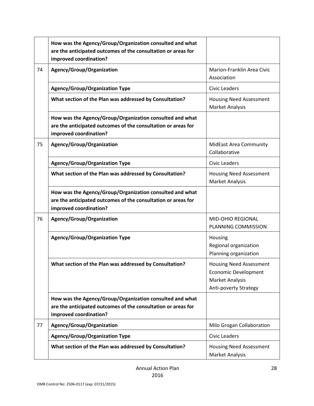|    | How was the Agency/Group/Organization consulted and what<br>are the anticipated outcomes of the consultation or areas for                           |                                                                                                                  |
|----|-----------------------------------------------------------------------------------------------------------------------------------------------------|------------------------------------------------------------------------------------------------------------------|
|    | improved coordination?                                                                                                                              |                                                                                                                  |
| 74 | Agency/Group/Organization                                                                                                                           | Marion-Franklin Area Civic<br>Association                                                                        |
|    | <b>Agency/Group/Organization Type</b>                                                                                                               | <b>Civic Leaders</b>                                                                                             |
|    | What section of the Plan was addressed by Consultation?                                                                                             | <b>Housing Need Assessment</b><br><b>Market Analysis</b>                                                         |
|    | How was the Agency/Group/Organization consulted and what<br>are the anticipated outcomes of the consultation or areas for<br>improved coordination? |                                                                                                                  |
| 75 | Agency/Group/Organization                                                                                                                           | <b>MidEast Area Community</b><br>Collaborative                                                                   |
|    | <b>Agency/Group/Organization Type</b>                                                                                                               | <b>Civic Leaders</b>                                                                                             |
|    | What section of the Plan was addressed by Consultation?                                                                                             | <b>Housing Need Assessment</b><br>Market Analysis                                                                |
|    | How was the Agency/Group/Organization consulted and what<br>are the anticipated outcomes of the consultation or areas for<br>improved coordination? |                                                                                                                  |
| 76 | Agency/Group/Organization                                                                                                                           | <b>MID-OHIO REGIONAL</b><br>PLANNING COMMISSION                                                                  |
|    | <b>Agency/Group/Organization Type</b>                                                                                                               | Housing<br>Regional organization<br>Planning organization                                                        |
|    | What section of the Plan was addressed by Consultation?                                                                                             | <b>Housing Need Assessment</b><br><b>Economic Development</b><br><b>Market Analysis</b><br>Anti-poverty Strategy |
|    | How was the Agency/Group/Organization consulted and what<br>are the anticipated outcomes of the consultation or areas for<br>improved coordination? |                                                                                                                  |
| 77 | Agency/Group/Organization                                                                                                                           | Milo Grogan Collaboration                                                                                        |
|    | <b>Agency/Group/Organization Type</b>                                                                                                               | <b>Civic Leaders</b>                                                                                             |
|    | What section of the Plan was addressed by Consultation?                                                                                             | <b>Housing Need Assessment</b><br>Market Analysis                                                                |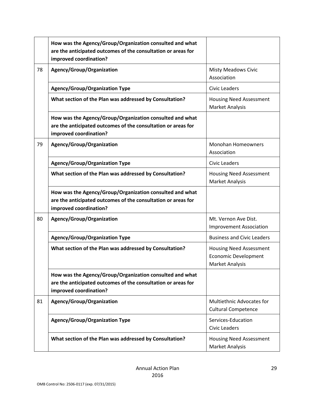|    | How was the Agency/Group/Organization consulted and what<br>are the anticipated outcomes of the consultation or areas for<br>improved coordination? |                                                                                         |
|----|-----------------------------------------------------------------------------------------------------------------------------------------------------|-----------------------------------------------------------------------------------------|
| 78 | Agency/Group/Organization                                                                                                                           | <b>Misty Meadows Civic</b><br>Association                                               |
|    | <b>Agency/Group/Organization Type</b>                                                                                                               | <b>Civic Leaders</b>                                                                    |
|    | What section of the Plan was addressed by Consultation?                                                                                             | <b>Housing Need Assessment</b><br><b>Market Analysis</b>                                |
|    | How was the Agency/Group/Organization consulted and what<br>are the anticipated outcomes of the consultation or areas for<br>improved coordination? |                                                                                         |
| 79 | Agency/Group/Organization                                                                                                                           | <b>Monohan Homeowners</b><br>Association                                                |
|    | <b>Agency/Group/Organization Type</b>                                                                                                               | <b>Civic Leaders</b>                                                                    |
|    | What section of the Plan was addressed by Consultation?                                                                                             | <b>Housing Need Assessment</b><br><b>Market Analysis</b>                                |
|    | How was the Agency/Group/Organization consulted and what<br>are the anticipated outcomes of the consultation or areas for<br>improved coordination? |                                                                                         |
| 80 | Agency/Group/Organization                                                                                                                           | Mt. Vernon Ave Dist.<br><b>Improvement Association</b>                                  |
|    | <b>Agency/Group/Organization Type</b>                                                                                                               | <b>Business and Civic Leaders</b>                                                       |
|    | What section of the Plan was addressed by Consultation?                                                                                             | <b>Housing Need Assessment</b><br><b>Economic Development</b><br><b>Market Analysis</b> |
|    | How was the Agency/Group/Organization consulted and what<br>are the anticipated outcomes of the consultation or areas for<br>improved coordination? |                                                                                         |
| 81 | Agency/Group/Organization                                                                                                                           | Multiethnic Advocates for<br><b>Cultural Competence</b>                                 |
|    | <b>Agency/Group/Organization Type</b>                                                                                                               | Services-Education<br><b>Civic Leaders</b>                                              |
|    | What section of the Plan was addressed by Consultation?                                                                                             | <b>Housing Need Assessment</b><br><b>Market Analysis</b>                                |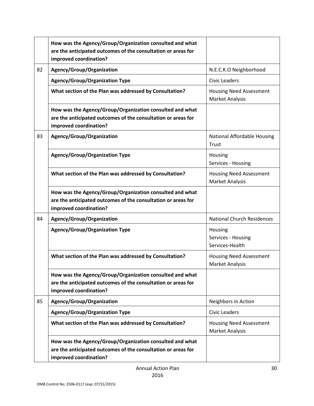|    | How was the Agency/Group/Organization consulted and what<br>are the anticipated outcomes of the consultation or areas for<br>improved coordination? |                                                          |
|----|-----------------------------------------------------------------------------------------------------------------------------------------------------|----------------------------------------------------------|
| 82 | Agency/Group/Organization                                                                                                                           | N.E.C.K.O Neighborhood                                   |
|    | <b>Agency/Group/Organization Type</b>                                                                                                               | <b>Civic Leaders</b>                                     |
|    | What section of the Plan was addressed by Consultation?                                                                                             | <b>Housing Need Assessment</b><br>Market Analysis        |
|    | How was the Agency/Group/Organization consulted and what<br>are the anticipated outcomes of the consultation or areas for<br>improved coordination? |                                                          |
| 83 | Agency/Group/Organization                                                                                                                           | National Affordable Housing<br>Trust                     |
|    | <b>Agency/Group/Organization Type</b>                                                                                                               | Housing<br>Services - Housing                            |
|    | What section of the Plan was addressed by Consultation?                                                                                             | <b>Housing Need Assessment</b><br><b>Market Analysis</b> |
|    | How was the Agency/Group/Organization consulted and what<br>are the anticipated outcomes of the consultation or areas for<br>improved coordination? |                                                          |
| 84 | Agency/Group/Organization                                                                                                                           | <b>National Church Residences</b>                        |
|    | <b>Agency/Group/Organization Type</b>                                                                                                               | Housing<br>Services - Housing<br>Services-Health         |
|    | What section of the Plan was addressed by Consultation?                                                                                             | <b>Housing Need Assessment</b><br>Market Analysis        |
|    | How was the Agency/Group/Organization consulted and what<br>are the anticipated outcomes of the consultation or areas for<br>improved coordination? |                                                          |
| 85 | Agency/Group/Organization                                                                                                                           | Neighbors in Action                                      |
|    | <b>Agency/Group/Organization Type</b>                                                                                                               | <b>Civic Leaders</b>                                     |
|    | What section of the Plan was addressed by Consultation?                                                                                             | <b>Housing Need Assessment</b><br>Market Analysis        |
|    | How was the Agency/Group/Organization consulted and what<br>are the anticipated outcomes of the consultation or areas for<br>improved coordination? |                                                          |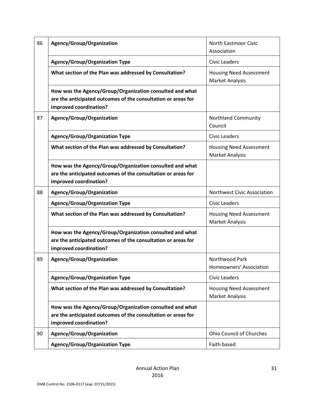| 86 | Agency/Group/Organization                                                                                                                           | <b>North Eastmoor Civic</b><br>Association               |
|----|-----------------------------------------------------------------------------------------------------------------------------------------------------|----------------------------------------------------------|
|    | <b>Agency/Group/Organization Type</b>                                                                                                               | Civic Leaders                                            |
|    | What section of the Plan was addressed by Consultation?                                                                                             | <b>Housing Need Assessment</b><br>Market Analysis        |
|    | How was the Agency/Group/Organization consulted and what<br>are the anticipated outcomes of the consultation or areas for<br>improved coordination? |                                                          |
| 87 | Agency/Group/Organization                                                                                                                           | Northland Community<br>Council                           |
|    | <b>Agency/Group/Organization Type</b>                                                                                                               | <b>Civic Leaders</b>                                     |
|    | What section of the Plan was addressed by Consultation?                                                                                             | <b>Housing Need Assessment</b><br>Market Analysis        |
|    | How was the Agency/Group/Organization consulted and what<br>are the anticipated outcomes of the consultation or areas for<br>improved coordination? |                                                          |
| 88 | Agency/Group/Organization                                                                                                                           | Northwest Civic Association                              |
|    | <b>Agency/Group/Organization Type</b>                                                                                                               | <b>Civic Leaders</b>                                     |
|    | What section of the Plan was addressed by Consultation?                                                                                             | <b>Housing Need Assessment</b><br><b>Market Analysis</b> |
|    | How was the Agency/Group/Organization consulted and what<br>are the anticipated outcomes of the consultation or areas for<br>improved coordination? |                                                          |
| 89 | Agency/Group/Organization                                                                                                                           | Northwood Park<br>Homeowners' Association                |
|    | <b>Agency/Group/Organization Type</b>                                                                                                               | <b>Civic Leaders</b>                                     |
|    | What section of the Plan was addressed by Consultation?                                                                                             | <b>Housing Need Assessment</b><br>Market Analysis        |
|    | How was the Agency/Group/Organization consulted and what<br>are the anticipated outcomes of the consultation or areas for<br>improved coordination? |                                                          |
| 90 | Agency/Group/Organization                                                                                                                           | <b>Ohio Council of Churches</b>                          |
|    | <b>Agency/Group/Organization Type</b>                                                                                                               | Faith based                                              |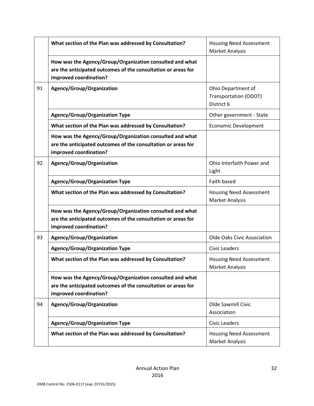|    | What section of the Plan was addressed by Consultation?                                                                                             | <b>Housing Need Assessment</b><br><b>Market Analysis</b>         |
|----|-----------------------------------------------------------------------------------------------------------------------------------------------------|------------------------------------------------------------------|
|    | How was the Agency/Group/Organization consulted and what<br>are the anticipated outcomes of the consultation or areas for<br>improved coordination? |                                                                  |
| 91 | Agency/Group/Organization                                                                                                                           | Ohio Department of<br><b>Transportation (ODOT)</b><br>District 6 |
|    | <b>Agency/Group/Organization Type</b>                                                                                                               | Other government - State                                         |
|    | What section of the Plan was addressed by Consultation?                                                                                             | <b>Economic Development</b>                                      |
|    | How was the Agency/Group/Organization consulted and what<br>are the anticipated outcomes of the consultation or areas for<br>improved coordination? |                                                                  |
| 92 | Agency/Group/Organization                                                                                                                           | Ohio Interfaith Power and<br>Light                               |
|    | <b>Agency/Group/Organization Type</b>                                                                                                               | Faith based                                                      |
|    | What section of the Plan was addressed by Consultation?                                                                                             | <b>Housing Need Assessment</b><br>Market Analysis                |
|    | How was the Agency/Group/Organization consulted and what<br>are the anticipated outcomes of the consultation or areas for<br>improved coordination? |                                                                  |
| 93 | Agency/Group/Organization                                                                                                                           | Olde Oaks Civic Association                                      |
|    | <b>Agency/Group/Organization Type</b>                                                                                                               | <b>Civic Leaders</b>                                             |
|    | What section of the Plan was addressed by Consultation?                                                                                             | <b>Housing Need Assessment</b><br>Market Analysis                |
|    | How was the Agency/Group/Organization consulted and what<br>are the anticipated outcomes of the consultation or areas for<br>improved coordination? |                                                                  |
| 94 | Agency/Group/Organization                                                                                                                           | Olde Sawmill Civic<br>Association                                |
|    | <b>Agency/Group/Organization Type</b>                                                                                                               | <b>Civic Leaders</b>                                             |
|    | What section of the Plan was addressed by Consultation?                                                                                             | <b>Housing Need Assessment</b><br><b>Market Analysis</b>         |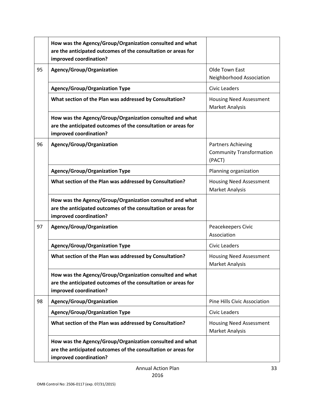|    | How was the Agency/Group/Organization consulted and what<br>are the anticipated outcomes of the consultation or areas for<br>improved coordination? |                                                                        |
|----|-----------------------------------------------------------------------------------------------------------------------------------------------------|------------------------------------------------------------------------|
| 95 | Agency/Group/Organization                                                                                                                           | Olde Town East<br>Neighborhood Association                             |
|    | <b>Agency/Group/Organization Type</b>                                                                                                               | <b>Civic Leaders</b>                                                   |
|    | What section of the Plan was addressed by Consultation?                                                                                             | <b>Housing Need Assessment</b><br><b>Market Analysis</b>               |
|    | How was the Agency/Group/Organization consulted and what<br>are the anticipated outcomes of the consultation or areas for<br>improved coordination? |                                                                        |
| 96 | Agency/Group/Organization                                                                                                                           | <b>Partners Achieving</b><br><b>Community Transformation</b><br>(PACT) |
|    | <b>Agency/Group/Organization Type</b>                                                                                                               | Planning organization                                                  |
|    | What section of the Plan was addressed by Consultation?                                                                                             | <b>Housing Need Assessment</b><br><b>Market Analysis</b>               |
|    | How was the Agency/Group/Organization consulted and what<br>are the anticipated outcomes of the consultation or areas for<br>improved coordination? |                                                                        |
| 97 | Agency/Group/Organization                                                                                                                           | Peacekeepers Civic<br>Association                                      |
|    | <b>Agency/Group/Organization Type</b>                                                                                                               | <b>Civic Leaders</b>                                                   |
|    | What section of the Plan was addressed by Consultation?                                                                                             | <b>Housing Need Assessment</b><br><b>Market Analysis</b>               |
|    | How was the Agency/Group/Organization consulted and what<br>are the anticipated outcomes of the consultation or areas for<br>improved coordination? |                                                                        |
| 98 | Agency/Group/Organization                                                                                                                           | Pine Hills Civic Association                                           |
|    | <b>Agency/Group/Organization Type</b>                                                                                                               | <b>Civic Leaders</b>                                                   |
|    | What section of the Plan was addressed by Consultation?                                                                                             | <b>Housing Need Assessment</b><br><b>Market Analysis</b>               |
|    | How was the Agency/Group/Organization consulted and what<br>are the anticipated outcomes of the consultation or areas for<br>improved coordination? |                                                                        |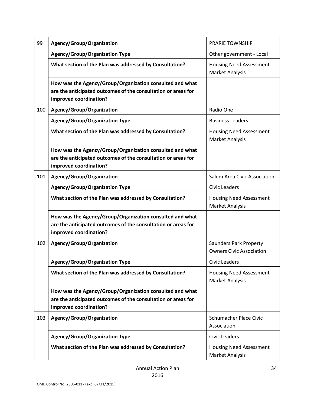| 99  | Agency/Group/Organization                                                                                                                           | <b>PRARIE TOWNSHIP</b>                                           |
|-----|-----------------------------------------------------------------------------------------------------------------------------------------------------|------------------------------------------------------------------|
|     | <b>Agency/Group/Organization Type</b>                                                                                                               | Other government - Local                                         |
|     | What section of the Plan was addressed by Consultation?                                                                                             | <b>Housing Need Assessment</b><br>Market Analysis                |
|     | How was the Agency/Group/Organization consulted and what<br>are the anticipated outcomes of the consultation or areas for<br>improved coordination? |                                                                  |
| 100 | Agency/Group/Organization                                                                                                                           | Radio One                                                        |
|     | <b>Agency/Group/Organization Type</b>                                                                                                               | <b>Business Leaders</b>                                          |
|     | What section of the Plan was addressed by Consultation?                                                                                             | <b>Housing Need Assessment</b><br><b>Market Analysis</b>         |
|     | How was the Agency/Group/Organization consulted and what<br>are the anticipated outcomes of the consultation or areas for<br>improved coordination? |                                                                  |
| 101 | Agency/Group/Organization                                                                                                                           | Salem Area Civic Association                                     |
|     | <b>Agency/Group/Organization Type</b>                                                                                                               | <b>Civic Leaders</b>                                             |
|     | What section of the Plan was addressed by Consultation?                                                                                             | <b>Housing Need Assessment</b><br><b>Market Analysis</b>         |
|     | How was the Agency/Group/Organization consulted and what<br>are the anticipated outcomes of the consultation or areas for<br>improved coordination? |                                                                  |
| 102 | Agency/Group/Organization                                                                                                                           | <b>Saunders Park Property</b><br><b>Owners Civic Association</b> |
|     | <b>Agency/Group/Organization Type</b>                                                                                                               | <b>Civic Leaders</b>                                             |
|     | What section of the Plan was addressed by Consultation?                                                                                             | <b>Housing Need Assessment</b><br><b>Market Analysis</b>         |
|     | How was the Agency/Group/Organization consulted and what<br>are the anticipated outcomes of the consultation or areas for<br>improved coordination? |                                                                  |
| 103 | Agency/Group/Organization                                                                                                                           | <b>Schumacher Place Civic</b><br>Association                     |
|     | <b>Agency/Group/Organization Type</b>                                                                                                               | <b>Civic Leaders</b>                                             |
|     | What section of the Plan was addressed by Consultation?                                                                                             | <b>Housing Need Assessment</b><br>Market Analysis                |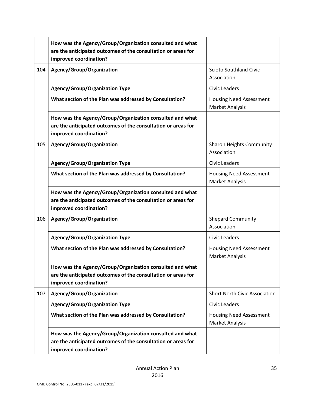|     | How was the Agency/Group/Organization consulted and what<br>are the anticipated outcomes of the consultation or areas for<br>improved coordination? |                                                          |
|-----|-----------------------------------------------------------------------------------------------------------------------------------------------------|----------------------------------------------------------|
| 104 | Agency/Group/Organization                                                                                                                           | <b>Scioto Southland Civic</b><br>Association             |
|     | <b>Agency/Group/Organization Type</b>                                                                                                               | <b>Civic Leaders</b>                                     |
|     | What section of the Plan was addressed by Consultation?                                                                                             | <b>Housing Need Assessment</b><br><b>Market Analysis</b> |
|     | How was the Agency/Group/Organization consulted and what<br>are the anticipated outcomes of the consultation or areas for<br>improved coordination? |                                                          |
| 105 | Agency/Group/Organization                                                                                                                           | <b>Sharon Heights Community</b><br>Association           |
|     | <b>Agency/Group/Organization Type</b>                                                                                                               | <b>Civic Leaders</b>                                     |
|     | What section of the Plan was addressed by Consultation?                                                                                             | <b>Housing Need Assessment</b><br>Market Analysis        |
|     | How was the Agency/Group/Organization consulted and what<br>are the anticipated outcomes of the consultation or areas for<br>improved coordination? |                                                          |
| 106 | Agency/Group/Organization                                                                                                                           | <b>Shepard Community</b><br>Association                  |
|     | <b>Agency/Group/Organization Type</b>                                                                                                               | <b>Civic Leaders</b>                                     |
|     | What section of the Plan was addressed by Consultation?                                                                                             | <b>Housing Need Assessment</b><br>Market Analysis        |
|     | How was the Agency/Group/Organization consulted and what<br>are the anticipated outcomes of the consultation or areas for<br>improved coordination? |                                                          |
| 107 | Agency/Group/Organization                                                                                                                           | <b>Short North Civic Association</b>                     |
|     | <b>Agency/Group/Organization Type</b>                                                                                                               | <b>Civic Leaders</b>                                     |
|     | What section of the Plan was addressed by Consultation?                                                                                             | <b>Housing Need Assessment</b><br><b>Market Analysis</b> |
|     | How was the Agency/Group/Organization consulted and what<br>are the anticipated outcomes of the consultation or areas for<br>improved coordination? |                                                          |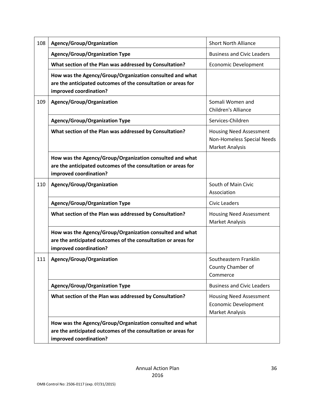| 108 | Agency/Group/Organization                                                                                                                           | <b>Short North Alliance</b>                                                            |
|-----|-----------------------------------------------------------------------------------------------------------------------------------------------------|----------------------------------------------------------------------------------------|
|     | <b>Agency/Group/Organization Type</b>                                                                                                               | <b>Business and Civic Leaders</b>                                                      |
|     | What section of the Plan was addressed by Consultation?                                                                                             | <b>Economic Development</b>                                                            |
|     | How was the Agency/Group/Organization consulted and what<br>are the anticipated outcomes of the consultation or areas for<br>improved coordination? |                                                                                        |
| 109 | Agency/Group/Organization                                                                                                                           | Somali Women and<br>Children's Alliance                                                |
|     | <b>Agency/Group/Organization Type</b>                                                                                                               | Services-Children                                                                      |
|     | What section of the Plan was addressed by Consultation?                                                                                             | <b>Housing Need Assessment</b><br>Non-Homeless Special Needs<br><b>Market Analysis</b> |
|     | How was the Agency/Group/Organization consulted and what<br>are the anticipated outcomes of the consultation or areas for<br>improved coordination? |                                                                                        |
| 110 | Agency/Group/Organization                                                                                                                           | South of Main Civic<br>Association                                                     |
|     | <b>Agency/Group/Organization Type</b>                                                                                                               | <b>Civic Leaders</b>                                                                   |
|     | What section of the Plan was addressed by Consultation?                                                                                             | <b>Housing Need Assessment</b><br>Market Analysis                                      |
|     | How was the Agency/Group/Organization consulted and what<br>are the anticipated outcomes of the consultation or areas for<br>improved coordination? |                                                                                        |
| 111 | Agency/Group/Organization                                                                                                                           | Southeastern Franklin<br>County Chamber of<br>Commerce                                 |
|     | <b>Agency/Group/Organization Type</b>                                                                                                               | <b>Business and Civic Leaders</b>                                                      |
|     | What section of the Plan was addressed by Consultation?                                                                                             | <b>Housing Need Assessment</b><br><b>Economic Development</b><br>Market Analysis       |
|     | How was the Agency/Group/Organization consulted and what<br>are the anticipated outcomes of the consultation or areas for<br>improved coordination? |                                                                                        |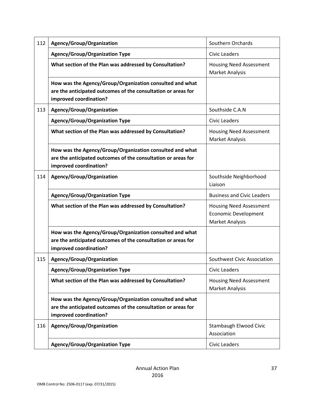| 112 | Agency/Group/Organization                                                                                                                           | Southern Orchards                                                                       |
|-----|-----------------------------------------------------------------------------------------------------------------------------------------------------|-----------------------------------------------------------------------------------------|
|     | <b>Agency/Group/Organization Type</b>                                                                                                               | <b>Civic Leaders</b>                                                                    |
|     | What section of the Plan was addressed by Consultation?                                                                                             | <b>Housing Need Assessment</b><br><b>Market Analysis</b>                                |
|     | How was the Agency/Group/Organization consulted and what<br>are the anticipated outcomes of the consultation or areas for<br>improved coordination? |                                                                                         |
| 113 | Agency/Group/Organization                                                                                                                           | Southside C.A.N                                                                         |
|     | <b>Agency/Group/Organization Type</b>                                                                                                               | <b>Civic Leaders</b>                                                                    |
|     | What section of the Plan was addressed by Consultation?                                                                                             | <b>Housing Need Assessment</b><br><b>Market Analysis</b>                                |
|     | How was the Agency/Group/Organization consulted and what<br>are the anticipated outcomes of the consultation or areas for<br>improved coordination? |                                                                                         |
| 114 | Agency/Group/Organization                                                                                                                           | Southside Neighborhood<br>Liaison                                                       |
|     | <b>Agency/Group/Organization Type</b>                                                                                                               | <b>Business and Civic Leaders</b>                                                       |
|     | What section of the Plan was addressed by Consultation?                                                                                             | <b>Housing Need Assessment</b><br><b>Economic Development</b><br><b>Market Analysis</b> |
|     | How was the Agency/Group/Organization consulted and what<br>are the anticipated outcomes of the consultation or areas for<br>improved coordination? |                                                                                         |
| 115 | Agency/Group/Organization                                                                                                                           | Southwest Civic Association                                                             |
|     | <b>Agency/Group/Organization Type</b>                                                                                                               | <b>Civic Leaders</b>                                                                    |
|     | What section of the Plan was addressed by Consultation?                                                                                             | <b>Housing Need Assessment</b><br><b>Market Analysis</b>                                |
|     | How was the Agency/Group/Organization consulted and what<br>are the anticipated outcomes of the consultation or areas for<br>improved coordination? |                                                                                         |
| 116 | Agency/Group/Organization                                                                                                                           | Stambaugh Elwood Civic<br>Association                                                   |
|     | <b>Agency/Group/Organization Type</b>                                                                                                               | <b>Civic Leaders</b>                                                                    |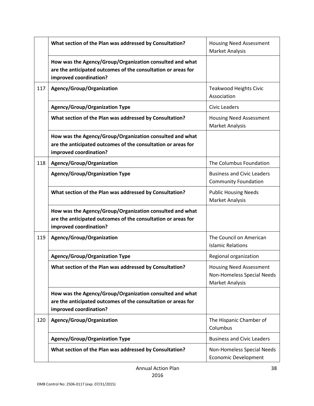|     | What section of the Plan was addressed by Consultation?                                                                                             | <b>Housing Need Assessment</b><br><b>Market Analysis</b>                               |
|-----|-----------------------------------------------------------------------------------------------------------------------------------------------------|----------------------------------------------------------------------------------------|
|     | How was the Agency/Group/Organization consulted and what<br>are the anticipated outcomes of the consultation or areas for<br>improved coordination? |                                                                                        |
| 117 | Agency/Group/Organization                                                                                                                           | Teakwood Heights Civic<br>Association                                                  |
|     | <b>Agency/Group/Organization Type</b>                                                                                                               | <b>Civic Leaders</b>                                                                   |
|     | What section of the Plan was addressed by Consultation?                                                                                             | <b>Housing Need Assessment</b><br>Market Analysis                                      |
|     | How was the Agency/Group/Organization consulted and what<br>are the anticipated outcomes of the consultation or areas for<br>improved coordination? |                                                                                        |
| 118 | Agency/Group/Organization                                                                                                                           | The Columbus Foundation                                                                |
|     | <b>Agency/Group/Organization Type</b>                                                                                                               | <b>Business and Civic Leaders</b><br><b>Community Foundation</b>                       |
|     | What section of the Plan was addressed by Consultation?                                                                                             | <b>Public Housing Needs</b><br><b>Market Analysis</b>                                  |
|     | How was the Agency/Group/Organization consulted and what<br>are the anticipated outcomes of the consultation or areas for<br>improved coordination? |                                                                                        |
| 119 | Agency/Group/Organization                                                                                                                           | The Council on American<br><b>Islamic Relations</b>                                    |
|     | <b>Agency/Group/Organization Type</b>                                                                                                               | Regional organization                                                                  |
|     | What section of the Plan was addressed by Consultation?                                                                                             | <b>Housing Need Assessment</b><br>Non-Homeless Special Needs<br><b>Market Analysis</b> |
|     | How was the Agency/Group/Organization consulted and what<br>are the anticipated outcomes of the consultation or areas for<br>improved coordination? |                                                                                        |
| 120 | Agency/Group/Organization                                                                                                                           | The Hispanic Chamber of<br>Columbus                                                    |
|     | <b>Agency/Group/Organization Type</b>                                                                                                               | <b>Business and Civic Leaders</b>                                                      |
|     | What section of the Plan was addressed by Consultation?                                                                                             | Non-Homeless Special Needs<br><b>Economic Development</b>                              |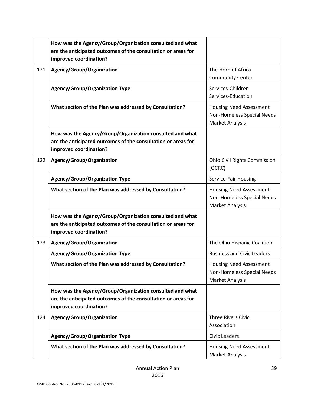|     | How was the Agency/Group/Organization consulted and what<br>are the anticipated outcomes of the consultation or areas for<br>improved coordination? |                                                                                 |
|-----|-----------------------------------------------------------------------------------------------------------------------------------------------------|---------------------------------------------------------------------------------|
| 121 | Agency/Group/Organization                                                                                                                           | The Horn of Africa<br><b>Community Center</b>                                   |
|     | <b>Agency/Group/Organization Type</b>                                                                                                               | Services-Children<br>Services-Education                                         |
|     | What section of the Plan was addressed by Consultation?                                                                                             | <b>Housing Need Assessment</b><br>Non-Homeless Special Needs<br>Market Analysis |
|     | How was the Agency/Group/Organization consulted and what<br>are the anticipated outcomes of the consultation or areas for<br>improved coordination? |                                                                                 |
| 122 | Agency/Group/Organization                                                                                                                           | Ohio Civil Rights Commission<br>(OCRC)                                          |
|     | <b>Agency/Group/Organization Type</b>                                                                                                               | Service-Fair Housing                                                            |
|     | What section of the Plan was addressed by Consultation?                                                                                             | <b>Housing Need Assessment</b><br>Non-Homeless Special Needs<br>Market Analysis |
|     | How was the Agency/Group/Organization consulted and what<br>are the anticipated outcomes of the consultation or areas for<br>improved coordination? |                                                                                 |
| 123 | Agency/Group/Organization                                                                                                                           | The Ohio Hispanic Coalition                                                     |
|     | <b>Agency/Group/Organization Type</b>                                                                                                               | <b>Business and Civic Leaders</b>                                               |
|     | What section of the Plan was addressed by Consultation?                                                                                             | <b>Housing Need Assessment</b><br>Non-Homeless Special Needs<br>Market Analysis |
|     | How was the Agency/Group/Organization consulted and what<br>are the anticipated outcomes of the consultation or areas for<br>improved coordination? |                                                                                 |
| 124 | Agency/Group/Organization                                                                                                                           | <b>Three Rivers Civic</b><br>Association                                        |
|     | <b>Agency/Group/Organization Type</b>                                                                                                               | Civic Leaders                                                                   |
|     | What section of the Plan was addressed by Consultation?                                                                                             | <b>Housing Need Assessment</b><br>Market Analysis                               |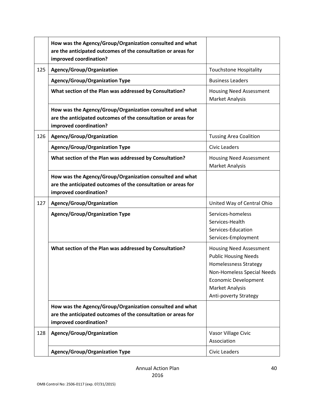|     | How was the Agency/Group/Organization consulted and what<br>are the anticipated outcomes of the consultation or areas for<br>improved coordination? |                                                                                                                                                                                                 |
|-----|-----------------------------------------------------------------------------------------------------------------------------------------------------|-------------------------------------------------------------------------------------------------------------------------------------------------------------------------------------------------|
| 125 | Agency/Group/Organization                                                                                                                           | <b>Touchstone Hospitality</b>                                                                                                                                                                   |
|     | <b>Agency/Group/Organization Type</b>                                                                                                               | <b>Business Leaders</b>                                                                                                                                                                         |
|     | What section of the Plan was addressed by Consultation?                                                                                             | <b>Housing Need Assessment</b><br>Market Analysis                                                                                                                                               |
|     | How was the Agency/Group/Organization consulted and what<br>are the anticipated outcomes of the consultation or areas for<br>improved coordination? |                                                                                                                                                                                                 |
| 126 | Agency/Group/Organization                                                                                                                           | <b>Tussing Area Coalition</b>                                                                                                                                                                   |
|     | <b>Agency/Group/Organization Type</b>                                                                                                               | <b>Civic Leaders</b>                                                                                                                                                                            |
|     | What section of the Plan was addressed by Consultation?                                                                                             | <b>Housing Need Assessment</b><br><b>Market Analysis</b>                                                                                                                                        |
|     | How was the Agency/Group/Organization consulted and what<br>are the anticipated outcomes of the consultation or areas for<br>improved coordination? |                                                                                                                                                                                                 |
| 127 | Agency/Group/Organization                                                                                                                           | United Way of Central Ohio                                                                                                                                                                      |
|     | <b>Agency/Group/Organization Type</b>                                                                                                               | Services-homeless<br>Services-Health<br>Services-Education<br>Services-Employment                                                                                                               |
|     | What section of the Plan was addressed by Consultation?                                                                                             | <b>Housing Need Assessment</b><br><b>Public Housing Needs</b><br>Homelessness Strategy<br>Non-Homeless Special Needs<br><b>Economic Development</b><br>Market Analysis<br>Anti-poverty Strategy |
|     | How was the Agency/Group/Organization consulted and what<br>are the anticipated outcomes of the consultation or areas for<br>improved coordination? |                                                                                                                                                                                                 |
| 128 | Agency/Group/Organization                                                                                                                           | Vasor Village Civic<br>Association                                                                                                                                                              |
|     | <b>Agency/Group/Organization Type</b>                                                                                                               | Civic Leaders                                                                                                                                                                                   |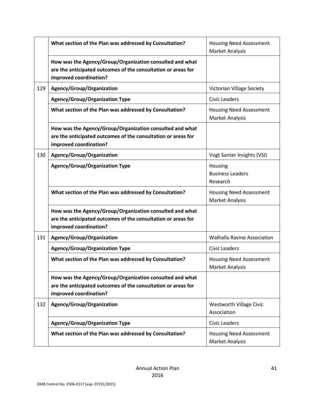|     | What section of the Plan was addressed by Consultation?                                                                                             | <b>Housing Need Assessment</b><br>Market Analysis        |
|-----|-----------------------------------------------------------------------------------------------------------------------------------------------------|----------------------------------------------------------|
|     | How was the Agency/Group/Organization consulted and what<br>are the anticipated outcomes of the consultation or areas for<br>improved coordination? |                                                          |
| 129 | Agency/Group/Organization                                                                                                                           | Victorian Village Society                                |
|     | <b>Agency/Group/Organization Type</b>                                                                                                               | <b>Civic Leaders</b>                                     |
|     | What section of the Plan was addressed by Consultation?                                                                                             | <b>Housing Need Assessment</b><br><b>Market Analysis</b> |
|     | How was the Agency/Group/Organization consulted and what<br>are the anticipated outcomes of the consultation or areas for<br>improved coordination? |                                                          |
| 130 | Agency/Group/Organization                                                                                                                           | Vogt Santer Insights (VSI)                               |
|     | <b>Agency/Group/Organization Type</b>                                                                                                               | Housing<br><b>Business Leaders</b><br>Research           |
|     | What section of the Plan was addressed by Consultation?                                                                                             | <b>Housing Need Assessment</b><br><b>Market Analysis</b> |
|     | How was the Agency/Group/Organization consulted and what<br>are the anticipated outcomes of the consultation or areas for<br>improved coordination? |                                                          |
| 131 | Agency/Group/Organization                                                                                                                           | <b>Walhalla Ravine Association</b>                       |
|     | <b>Agency/Group/Organization Type</b>                                                                                                               | <b>Civic Leaders</b>                                     |
|     | What section of the Plan was addressed by Consultation?                                                                                             | <b>Housing Need Assessment</b><br>Market Analysis        |
|     | How was the Agency/Group/Organization consulted and what<br>are the anticipated outcomes of the consultation or areas for<br>improved coordination? |                                                          |
| 132 | Agency/Group/Organization                                                                                                                           | <b>Westworth Village Civic</b><br>Association            |
|     | <b>Agency/Group/Organization Type</b>                                                                                                               | <b>Civic Leaders</b>                                     |
|     | What section of the Plan was addressed by Consultation?                                                                                             | <b>Housing Need Assessment</b><br><b>Market Analysis</b> |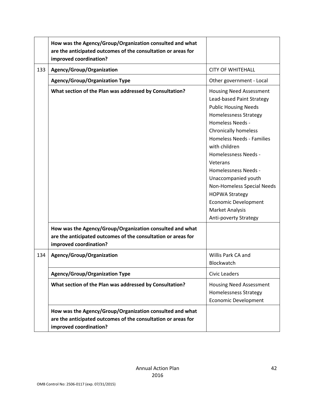|     | How was the Agency/Group/Organization consulted and what<br>are the anticipated outcomes of the consultation or areas for<br>improved coordination? |                                                                                                                                                                                                                                                                                                                                                                                                                                                                                     |
|-----|-----------------------------------------------------------------------------------------------------------------------------------------------------|-------------------------------------------------------------------------------------------------------------------------------------------------------------------------------------------------------------------------------------------------------------------------------------------------------------------------------------------------------------------------------------------------------------------------------------------------------------------------------------|
| 133 | Agency/Group/Organization                                                                                                                           | <b>CITY OF WHITEHALL</b>                                                                                                                                                                                                                                                                                                                                                                                                                                                            |
|     | <b>Agency/Group/Organization Type</b>                                                                                                               | Other government - Local                                                                                                                                                                                                                                                                                                                                                                                                                                                            |
|     | What section of the Plan was addressed by Consultation?                                                                                             | <b>Housing Need Assessment</b><br>Lead-based Paint Strategy<br><b>Public Housing Needs</b><br><b>Homelessness Strategy</b><br><b>Homeless Needs -</b><br><b>Chronically homeless</b><br><b>Homeless Needs - Families</b><br>with children<br><b>Homelessness Needs -</b><br>Veterans<br><b>Homelessness Needs -</b><br>Unaccompanied youth<br>Non-Homeless Special Needs<br><b>HOPWA Strategy</b><br><b>Economic Development</b><br><b>Market Analysis</b><br>Anti-poverty Strategy |
|     | How was the Agency/Group/Organization consulted and what<br>are the anticipated outcomes of the consultation or areas for<br>improved coordination? |                                                                                                                                                                                                                                                                                                                                                                                                                                                                                     |
| 134 | Agency/Group/Organization                                                                                                                           | Willis Park CA and<br>Blockwatch                                                                                                                                                                                                                                                                                                                                                                                                                                                    |
|     | <b>Agency/Group/Organization Type</b>                                                                                                               | <b>Civic Leaders</b>                                                                                                                                                                                                                                                                                                                                                                                                                                                                |
|     | What section of the Plan was addressed by Consultation?                                                                                             | <b>Housing Need Assessment</b><br><b>Homelessness Strategy</b><br><b>Economic Development</b>                                                                                                                                                                                                                                                                                                                                                                                       |
|     | How was the Agency/Group/Organization consulted and what<br>are the anticipated outcomes of the consultation or areas for<br>improved coordination? |                                                                                                                                                                                                                                                                                                                                                                                                                                                                                     |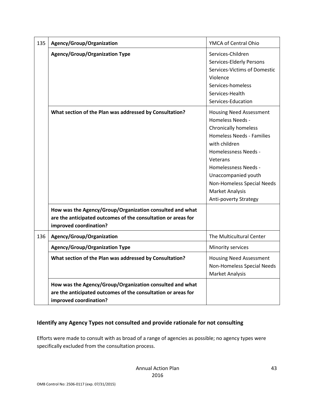| 135 | Agency/Group/Organization                                                                                                                           | YMCA of Central Ohio                                                                                                                                                                                                                                                                                |
|-----|-----------------------------------------------------------------------------------------------------------------------------------------------------|-----------------------------------------------------------------------------------------------------------------------------------------------------------------------------------------------------------------------------------------------------------------------------------------------------|
|     | <b>Agency/Group/Organization Type</b>                                                                                                               | Services-Children<br>Services-Elderly Persons<br>Services-Victims of Domestic<br>Violence<br>Services-homeless<br>Services-Health<br>Services-Education                                                                                                                                             |
|     | What section of the Plan was addressed by Consultation?                                                                                             | <b>Housing Need Assessment</b><br>Homeless Needs -<br><b>Chronically homeless</b><br>Homeless Needs - Families<br>with children<br><b>Homelessness Needs -</b><br>Veterans<br>Homelessness Needs -<br>Unaccompanied youth<br>Non-Homeless Special Needs<br>Market Analysis<br>Anti-poverty Strategy |
|     | How was the Agency/Group/Organization consulted and what<br>are the anticipated outcomes of the consultation or areas for<br>improved coordination? |                                                                                                                                                                                                                                                                                                     |
| 136 | Agency/Group/Organization                                                                                                                           | The Multicultural Center                                                                                                                                                                                                                                                                            |
|     | <b>Agency/Group/Organization Type</b>                                                                                                               | Minority services                                                                                                                                                                                                                                                                                   |
|     | What section of the Plan was addressed by Consultation?                                                                                             | <b>Housing Need Assessment</b><br>Non-Homeless Special Needs<br>Market Analysis                                                                                                                                                                                                                     |
|     | How was the Agency/Group/Organization consulted and what<br>are the anticipated outcomes of the consultation or areas for<br>improved coordination? |                                                                                                                                                                                                                                                                                                     |

## **Identify any Agency Types not consulted and provide rationale for not consulting**

Efforts were made to consult with as broad of a range of agencies as possible; no agency types were specifically excluded from the consultation process.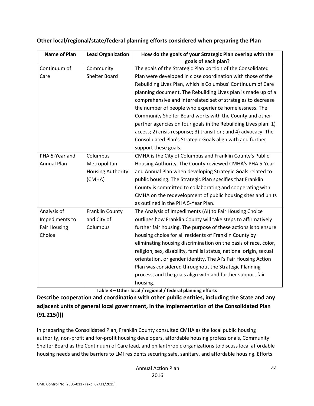| <b>Name of Plan</b> | <b>Lead Organization</b> | How do the goals of your Strategic Plan overlap with the            |
|---------------------|--------------------------|---------------------------------------------------------------------|
|                     |                          | goals of each plan?                                                 |
| Continuum of        | Community                | The goals of the Strategic Plan portion of the Consolidated         |
| Care                | <b>Shelter Board</b>     | Plan were developed in close coordination with those of the         |
|                     |                          | Rebuilding Lives Plan, which is Columbus' Continuum of Care         |
|                     |                          | planning document. The Rebuilding Lives plan is made up of a        |
|                     |                          | comprehensive and interrelated set of strategies to decrease        |
|                     |                          | the number of people who experience homelessness. The               |
|                     |                          | Community Shelter Board works with the County and other             |
|                     |                          | partner agencies on four goals in the Rebuilding Lives plan: 1)     |
|                     |                          | access; 2) crisis response; 3) transition; and 4) advocacy. The     |
|                     |                          | Consolidated Plan's Strategic Goals align with and further          |
|                     |                          | support these goals.                                                |
| PHA 5-Year and      | Columbus                 | CMHA is the City of Columbus and Franklin County's Public           |
| <b>Annual Plan</b>  | Metropolitan             | Housing Authority. The County reviewed CMHA's PHA 5-Year            |
|                     | <b>Housing Authority</b> | and Annual Plan when developing Strategic Goals related to          |
|                     | (CMHA)                   | public housing. The Strategic Plan specifies that Franklin          |
|                     |                          | County is committed to collaborating and cooperating with           |
|                     |                          | CMHA on the redevelopment of public housing sites and units         |
|                     |                          | as outlined in the PHA 5-Year Plan.                                 |
| Analysis of         | Franklin County          | The Analysis of Impediments (AI) to Fair Housing Choice             |
| Impediments to      | and City of              | outlines how Franklin County will take steps to affirmatively       |
| <b>Fair Housing</b> | Columbus                 | further fair housing. The purpose of these actions is to ensure     |
| Choice              |                          | housing choice for all residents of Franklin County by              |
|                     |                          | eliminating housing discrimination on the basis of race, color,     |
|                     |                          | religion, sex, disability, familial status, national origin, sexual |
|                     |                          | orientation, or gender identity. The AI's Fair Housing Action       |
|                     |                          | Plan was considered throughout the Strategic Planning               |
|                     |                          | process, and the goals align with and further support fair          |
|                     |                          | housing.                                                            |

### **Other local/regional/state/federal planning efforts considered when preparing the Plan**

**Table 3 – Other local / regional / federal planning efforts**

**Describe cooperation and coordination with other public entities, including the State and any adjacent units of general local government, in the implementation of the Consolidated Plan (91.215(l))**

In preparing the Consolidated Plan, Franklin County consulted CMHA as the local public housing authority, non-profit and for-profit housing developers, affordable housing professionals, Community Shelter Board as the Continuum of Care lead, and philanthropic organizations to discuss local affordable housing needs and the barriers to LMI residents securing safe, sanitary, and affordable housing. Efforts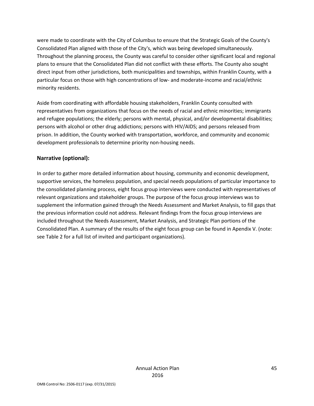were made to coordinate with the City of Columbus to ensure that the Strategic Goals of the County's Consolidated Plan aligned with those of the City's, which was being developed simultaneously. Throughout the planning process, the County was careful to consider other significant local and regional plans to ensure that the Consolidated Plan did not conflict with these efforts. The County also sought direct input from other jurisdictions, both municipalities and townships, within Franklin County, with a particular focus on those with high concentrations of low- and moderate-income and racial/ethnic minority residents.

Aside from coordinating with affordable housing stakeholders, Franklin County consulted with representatives from organizations that focus on the needs of racial and ethnic minorities; immigrants and refugee populations; the elderly; persons with mental, physical, and/or developmental disabilities; persons with alcohol or other drug addictions; persons with HIV/AIDS; and persons released from prison. In addition, the County worked with transportation, workforce, and community and economic development professionals to determine priority non-housing needs.

### **Narrative (optional):**

In order to gather more detailed information about housing, community and economic development, supportive services, the homeless population, and special needs populations of particular importance to the consolidated planning process, eight focus group interviews were conducted with representatives of relevant organizations and stakeholder groups. The purpose of the focus group interviews was to supplement the information gained through the Needs Assessment and Market Analysis, to fill gaps that the previous information could not address. Relevant findings from the focus group interviews are included throughout the Needs Assessment, Market Analysis, and Strategic Plan portions of the Consolidated Plan. A summary of the results of the eight focus group can be found in Apendix V. (note: see Table 2 for a full list of invited and participant organizations).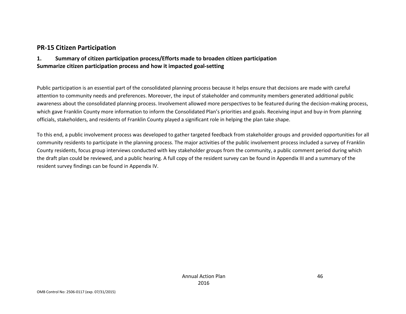## **PR-15 Citizen Participation**

### **1. Summary of citizen participation process/Efforts made to broaden citizen participation Summarize citizen participation process and how it impacted goal-setting**

Public participation is an essential part of the consolidated planning process because it helps ensure that decisions are made with careful attention to community needs and preferences. Moreover, the input of stakeholder and community members generated additional public awareness about the consolidated planning process. Involvement allowed more perspectives to be featured during the decision-making process, which gave Franklin County more information to inform the Consolidated Plan's priorities and goals. Receiving input and buy-in from planning officials, stakeholders, and residents of Franklin County played a significant role in helping the plan take shape.

To this end, a public involvement process was developed to gather targeted feedback from stakeholder groups and provided opportunities for all community residents to participate in the planning process. The major activities of the public involvement process included a survey of Franklin County residents, focus group interviews conducted with key stakeholder groups from the community, a public comment period during which the draft plan could be reviewed, and a public hearing. A full copy of the resident survey can be found in Appendix III and a summary of the resident survey findings can be found in Appendix IV.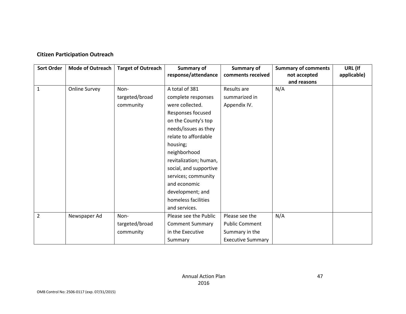## **Citizen Participation Outreach**

| <b>Sort Order</b> | <b>Mode of Outreach</b> | <b>Target of Outreach</b> | Summary of             | Summary of               | <b>Summary of comments</b> | URL (If     |
|-------------------|-------------------------|---------------------------|------------------------|--------------------------|----------------------------|-------------|
|                   |                         |                           | response/attendance    | comments received        | not accepted               | applicable) |
|                   |                         |                           |                        |                          | and reasons                |             |
| $\mathbf{1}$      | Online Survey           | Non-                      | A total of 381         | Results are              | N/A                        |             |
|                   |                         | targeted/broad            | complete responses     | summarized in            |                            |             |
|                   |                         | community                 | were collected.        | Appendix IV.             |                            |             |
|                   |                         |                           | Responses focused      |                          |                            |             |
|                   |                         |                           | on the County's top    |                          |                            |             |
|                   |                         |                           | needs/issues as they   |                          |                            |             |
|                   |                         |                           | relate to affordable   |                          |                            |             |
|                   |                         |                           | housing;               |                          |                            |             |
|                   |                         |                           | neighborhood           |                          |                            |             |
|                   |                         |                           | revitalization; human, |                          |                            |             |
|                   |                         |                           | social, and supportive |                          |                            |             |
|                   |                         |                           | services; community    |                          |                            |             |
|                   |                         |                           | and economic           |                          |                            |             |
|                   |                         |                           | development; and       |                          |                            |             |
|                   |                         |                           | homeless facilities    |                          |                            |             |
|                   |                         |                           | and services.          |                          |                            |             |
| $\overline{2}$    | Newspaper Ad            | Non-                      | Please see the Public  | Please see the           | N/A                        |             |
|                   |                         | targeted/broad            | <b>Comment Summary</b> | <b>Public Comment</b>    |                            |             |
|                   |                         | community                 | in the Executive       | Summary in the           |                            |             |
|                   |                         |                           | Summary                | <b>Executive Summary</b> |                            |             |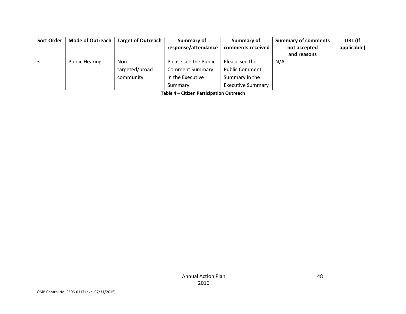| <b>Sort Order</b> | Mode of Outreach      | Target of Outreach | Summary of             | Summary of               | <b>Summary of comments</b> | URL (If     |
|-------------------|-----------------------|--------------------|------------------------|--------------------------|----------------------------|-------------|
|                   |                       |                    | response/attendance    | comments received        | not accepted               | applicable) |
|                   |                       |                    |                        |                          | and reasons                |             |
|                   | <b>Public Hearing</b> | Non-               | Please see the Public  | Please see the           | N/A                        |             |
|                   |                       | targeted/broad     | <b>Comment Summary</b> | <b>Public Comment</b>    |                            |             |
|                   |                       | community          | in the Executive       | Summary in the           |                            |             |
|                   |                       |                    | Summary                | <b>Executive Summary</b> |                            |             |

**Table 4 – Citizen Participation Outreach**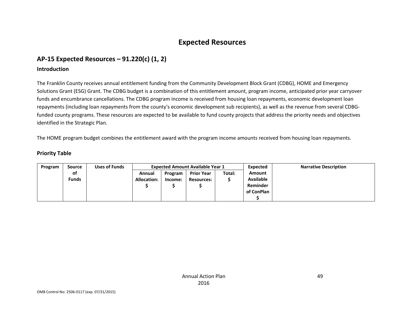## **Expected Resources**

## **AP-15 Expected Resources – 91.220(c) (1, 2)**

### **Introduction**

The Franklin County receives annual entitlement funding from the Community Development Block Grant (CDBG), HOME and Emergency Solutions Grant (ESG) Grant. The CDBG budget is a combination of this entitlement amount, program income, anticipated prior year carryover funds and encumbrance cancellations. The CDBG program income is received from housing loan repayments, economic development loan repayments (including loan repayments from the county's economic development sub recipients), as well as the revenue from several CDBGfunded county programs. These resources are expected to be available to fund county projects that address the priority needs and objectives identified in the Strategic Plan.

The HOME program budget combines the entitlement award with the program income amounts received from housing loan repayments.

### **Priority Table**

| Program | Source       | Uses of Funds | <b>Expected Amount Available Year 1</b> |         |                   |        | Expected         | <b>Narrative Description</b> |
|---------|--------------|---------------|-----------------------------------------|---------|-------------------|--------|------------------|------------------------------|
|         | <b>of</b>    |               | Annual                                  | Program | <b>Prior Year</b> | Total: | <b>Amount</b>    |                              |
|         | <b>Funds</b> |               | <b>Allocation:</b>                      | Income: | <b>Resources:</b> |        | <b>Available</b> |                              |
|         |              |               |                                         |         |                   |        | Reminder         |                              |
|         |              |               |                                         |         |                   |        | of ConPlan       |                              |
|         |              |               |                                         |         |                   |        |                  |                              |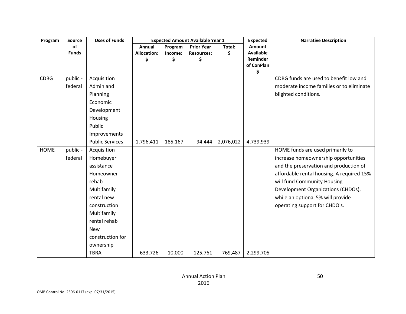| Program     | Source              | <b>Uses of Funds</b>                                                       |                    | <b>Expected Amount Available Year 1</b> |                   | <b>Expected</b> | <b>Narrative Description</b> |                                                                                                            |
|-------------|---------------------|----------------------------------------------------------------------------|--------------------|-----------------------------------------|-------------------|-----------------|------------------------------|------------------------------------------------------------------------------------------------------------|
|             | of                  |                                                                            | Annual             | Program                                 | <b>Prior Year</b> | Total:          | Amount                       |                                                                                                            |
|             | <b>Funds</b>        |                                                                            | <b>Allocation:</b> | Income:                                 | <b>Resources:</b> | \$              | <b>Available</b>             |                                                                                                            |
|             |                     |                                                                            | \$                 | \$                                      | \$                |                 | Reminder                     |                                                                                                            |
|             |                     |                                                                            |                    |                                         |                   |                 | of ConPlan<br>\$             |                                                                                                            |
| <b>CDBG</b> | public -<br>federal | Acquisition<br>Admin and<br>Planning<br>Economic<br>Development<br>Housing |                    |                                         |                   |                 |                              | CDBG funds are used to benefit low and<br>moderate income families or to eliminate<br>blighted conditions. |
|             |                     | Public                                                                     |                    |                                         |                   |                 |                              |                                                                                                            |
|             |                     | Improvements                                                               |                    |                                         |                   |                 |                              |                                                                                                            |
|             |                     | <b>Public Services</b>                                                     | 1,796,411          | 185,167                                 | 94,444            | 2,076,022       | 4,739,939                    |                                                                                                            |
| <b>HOME</b> | public -            | Acquisition                                                                |                    |                                         |                   |                 |                              | HOME funds are used primarily to                                                                           |
|             | federal             | Homebuyer                                                                  |                    |                                         |                   |                 |                              | increase homeownership opportunities                                                                       |
|             |                     | assistance                                                                 |                    |                                         |                   |                 |                              | and the preservation and production of                                                                     |
|             |                     | Homeowner                                                                  |                    |                                         |                   |                 |                              | affordable rental housing. A required 15%                                                                  |
|             |                     | rehab                                                                      |                    |                                         |                   |                 |                              | will fund Community Housing                                                                                |
|             |                     | Multifamily                                                                |                    |                                         |                   |                 |                              | Development Organizations (CHDOs),                                                                         |
|             |                     | rental new                                                                 |                    |                                         |                   |                 |                              | while an optional 5% will provide                                                                          |
|             |                     | construction                                                               |                    |                                         |                   |                 |                              | operating support for CHDO's.                                                                              |
|             |                     | Multifamily                                                                |                    |                                         |                   |                 |                              |                                                                                                            |
|             |                     | rental rehab                                                               |                    |                                         |                   |                 |                              |                                                                                                            |
|             |                     | <b>New</b>                                                                 |                    |                                         |                   |                 |                              |                                                                                                            |
|             |                     | construction for<br>ownership                                              |                    |                                         |                   |                 |                              |                                                                                                            |
|             |                     | <b>TBRA</b>                                                                | 633,726            | 10,000                                  | 125,761           | 769,487         | 2,299,705                    |                                                                                                            |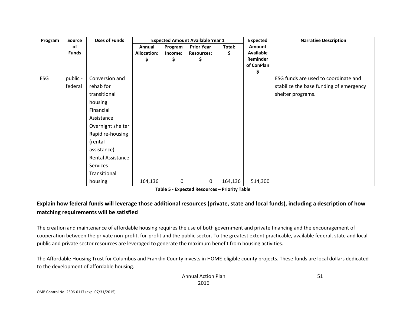| Program<br><b>Source</b> |              | <b>Uses of Funds</b> |                    |         | <b>Expected Amount Available Year 1</b> |         | <b>Expected</b>  | <b>Narrative Description</b>            |
|--------------------------|--------------|----------------------|--------------------|---------|-----------------------------------------|---------|------------------|-----------------------------------------|
|                          | оf           |                      | Annual             | Program | <b>Prior Year</b>                       | Total:  | <b>Amount</b>    |                                         |
|                          | <b>Funds</b> |                      | <b>Allocation:</b> | Income: | <b>Resources:</b>                       | \$      | <b>Available</b> |                                         |
|                          |              |                      | \$                 | \$      | Ş                                       |         | Reminder         |                                         |
|                          |              |                      |                    |         |                                         |         | of ConPlan       |                                         |
| ESG                      | public -     | Conversion and       |                    |         |                                         |         | \$               | ESG funds are used to coordinate and    |
|                          |              |                      |                    |         |                                         |         |                  |                                         |
|                          | federal      | rehab for            |                    |         |                                         |         |                  | stabilize the base funding of emergency |
|                          |              | transitional         |                    |         |                                         |         |                  | shelter programs.                       |
|                          |              | housing              |                    |         |                                         |         |                  |                                         |
|                          |              | Financial            |                    |         |                                         |         |                  |                                         |
|                          |              | Assistance           |                    |         |                                         |         |                  |                                         |
|                          |              | Overnight shelter    |                    |         |                                         |         |                  |                                         |
|                          |              | Rapid re-housing     |                    |         |                                         |         |                  |                                         |
|                          |              | (rental              |                    |         |                                         |         |                  |                                         |
|                          |              | assistance)          |                    |         |                                         |         |                  |                                         |
|                          |              | Rental Assistance    |                    |         |                                         |         |                  |                                         |
|                          |              | Services             |                    |         |                                         |         |                  |                                         |
|                          |              | Transitional         |                    |         |                                         |         |                  |                                         |
|                          |              | housing              | 164,136            | 0       | 0                                       | 164,136 | 514,300          |                                         |

**Table 5 - Expected Resources – Priority Table**

## **Explain how federal funds will leverage those additional resources (private, state and local funds), including a description of how matching requirements will be satisfied**

The creation and maintenance of affordable housing requires the use of both government and private financing and the encouragement of cooperation between the private non-profit, for-profit and the public sector. To the greatest extent practicable, available federal, state and local public and private sector resources are leveraged to generate the maximum benefit from housing activities.

The Affordable Housing Trust for Columbus and Franklin County invests in HOME-eligible county projects. These funds are local dollars dedicated to the development of affordable housing.

51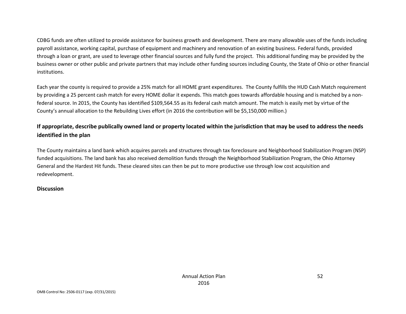CDBG funds are often utilized to provide assistance for business growth and development. There are many allowable uses of the funds including payroll assistance, working capital, purchase of equipment and machinery and renovation of an existing business. Federal funds, provided through a loan or grant, are used to leverage other financial sources and fully fund the project. This additional funding may be provided by the business owner or other public and private partners that may include other funding sources including County, the State of Ohio or other financial institutions.

Each year the county is required to provide a 25% match for all HOME grant expenditures. The County fulfills the HUD Cash Match requirement by providing a 25 percent cash match for every HOME dollar it expends. This match goes towards affordable housing and is matched by a nonfederal source. In 2015, the County has identified \$109,564.55 as its federal cash match amount. The match is easily met by virtue of the County's annual allocation to the Rebuilding Lives effort (in 2016 the contribution will be \$5,150,000 million.)

## **If appropriate, describe publically owned land or property located within the jurisdiction that may be used to address the needs identified in the plan**

The County maintains a land bank which acquires parcels and structures through tax foreclosure and Neighborhood Stabilization Program (NSP) funded acquisitions. The land bank has also received demolition funds through the Neighborhood Stabilization Program, the Ohio Attorney General and the Hardest Hit funds. These cleared sites can then be put to more productive use through low cost acquisition and redevelopment.

### **Discussion**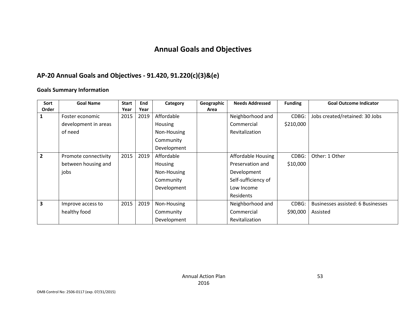# **Annual Goals and Objectives**

## **AP-20 Annual Goals and Objectives - 91.420, 91.220(c)(3)&(e)**

### **Goals Summary Information**

| Sort           | <b>Goal Name</b>     | <b>Start</b> | End  | Category       | Geographic | <b>Needs Addressed</b> | <b>Funding</b> | <b>Goal Outcome Indicator</b>     |
|----------------|----------------------|--------------|------|----------------|------------|------------------------|----------------|-----------------------------------|
| <b>Order</b>   |                      | Year         | Year |                | Area       |                        |                |                                   |
| 1              | Foster economic      | 2015         | 2019 | Affordable     |            | Neighborhood and       | CDBG:          | Jobs created/retained: 30 Jobs    |
|                | development in areas |              |      | <b>Housing</b> |            | Commercial             | \$210,000      |                                   |
|                | of need              |              |      | Non-Housing    |            | Revitalization         |                |                                   |
|                |                      |              |      | Community      |            |                        |                |                                   |
|                |                      |              |      | Development    |            |                        |                |                                   |
| $\overline{2}$ | Promote connectivity | 2015         | 2019 | Affordable     |            | Affordable Housing     | CDBG:          | Other: 1 Other                    |
|                | between housing and  |              |      | <b>Housing</b> |            | Preservation and       | \$10,000       |                                   |
|                | jobs                 |              |      | Non-Housing    |            | Development            |                |                                   |
|                |                      |              |      | Community      |            | Self-sufficiency of    |                |                                   |
|                |                      |              |      | Development    |            | Low Income             |                |                                   |
|                |                      |              |      |                |            | Residents              |                |                                   |
| 3              | Improve access to    | 2015         | 2019 | Non-Housing    |            | Neighborhood and       | CDBG:          | Businesses assisted: 6 Businesses |
|                | healthy food         |              |      | Community      |            | Commercial             | \$90,000       | Assisted                          |
|                |                      |              |      | Development    |            | Revitalization         |                |                                   |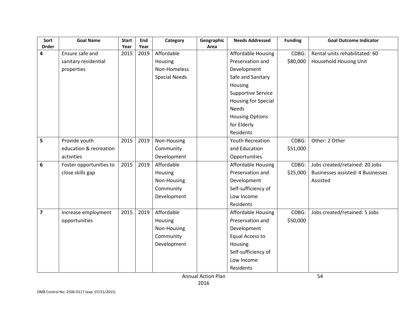| Sort           | <b>Goal Name</b>        | <b>Start</b> | End  | Category             | Geographic | <b>Needs Addressed</b>     | <b>Funding</b> | <b>Goal Outcome Indicator</b>            |
|----------------|-------------------------|--------------|------|----------------------|------------|----------------------------|----------------|------------------------------------------|
| Order          |                         | Year         | Year |                      | Area       |                            |                |                                          |
| 4              | Ensure safe and         | 2015         | 2019 | Affordable           |            | Affordable Housing         | CDBG:          | Rental units rehabilitated: 60           |
|                | sanitary residential    |              |      | Housing              |            | Preservation and           | \$80,000       | Household Housing Unit                   |
|                | properties              |              |      | Non-Homeless         |            | Development                |                |                                          |
|                |                         |              |      | <b>Special Needs</b> |            | Safe and Sanitary          |                |                                          |
|                |                         |              |      |                      |            | Housing                    |                |                                          |
|                |                         |              |      |                      |            | <b>Supportive Service</b>  |                |                                          |
|                |                         |              |      |                      |            | <b>Housing for Special</b> |                |                                          |
|                |                         |              |      |                      |            | <b>Needs</b>               |                |                                          |
|                |                         |              |      |                      |            | <b>Housing Options</b>     |                |                                          |
|                |                         |              |      |                      |            | for Elderly                |                |                                          |
|                |                         |              |      |                      |            | Residents                  |                |                                          |
| 5              | Provide youth           | 2015         | 2019 | Non-Housing          |            | <b>Youth Recreation</b>    | CDBG:          | Other: 2 Other                           |
|                | education & recreation  |              |      | Community            |            | and Education              | \$51,000       |                                          |
|                | activities              |              |      | Development          |            | Opportunities              |                |                                          |
| 6              | Foster opportunities to | 2015         | 2019 | Affordable           |            | <b>Affordable Housing</b>  | CDBG:          | Jobs created/retained: 20 Jobs           |
|                | close skills gap        |              |      | Housing              |            | Preservation and           | \$25,000       | <b>Businesses assisted: 4 Businesses</b> |
|                |                         |              |      | Non-Housing          |            | Development                |                | Assisted                                 |
|                |                         |              |      | Community            |            | Self-sufficiency of        |                |                                          |
|                |                         |              |      | Development          |            | Low Income                 |                |                                          |
|                |                         |              |      |                      |            | Residents                  |                |                                          |
| $\overline{7}$ | Increase employment     | 2015         | 2019 | Affordable           |            | Affordable Housing         | CDBG:          | Jobs created/retained: 5 Jobs            |
|                | opportunities           |              |      | Housing              |            | Preservation and           | \$50,000       |                                          |
|                |                         |              |      | Non-Housing          |            | Development                |                |                                          |
|                |                         |              |      | Community            |            | <b>Equal Access to</b>     |                |                                          |
|                |                         |              |      | Development          |            | Housing                    |                |                                          |
|                |                         |              |      |                      |            | Self-sufficiency of        |                |                                          |
|                |                         |              |      |                      |            | Low Income                 |                |                                          |
|                |                         |              |      |                      |            | Residents                  |                |                                          |

Annual Action Plan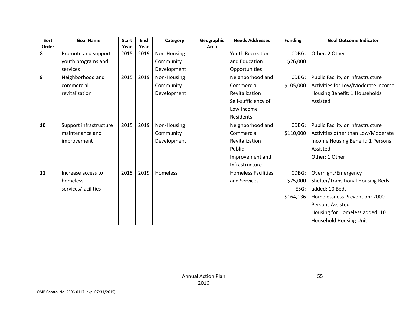| Sort  | <b>Goal Name</b>       | <b>Start</b> | End  | Category    | Geographic | <b>Needs Addressed</b>     | <b>Funding</b> | <b>Goal Outcome Indicator</b>      |
|-------|------------------------|--------------|------|-------------|------------|----------------------------|----------------|------------------------------------|
| Order |                        | Year         | Year |             | Area       |                            |                |                                    |
| 8     | Promote and support    | 2015         | 2019 | Non-Housing |            | <b>Youth Recreation</b>    | CDBG:          | Other: 2 Other                     |
|       | youth programs and     |              |      | Community   |            | and Education              | \$26,000       |                                    |
|       | services               |              |      | Development |            | Opportunities              |                |                                    |
| 9     | Neighborhood and       | 2015         | 2019 | Non-Housing |            | Neighborhood and           | CDBG:          | Public Facility or Infrastructure  |
|       | commercial             |              |      | Community   |            | Commercial                 | \$105,000      | Activities for Low/Moderate Income |
|       | revitalization         |              |      | Development |            | Revitalization             |                | Housing Benefit: 1 Households      |
|       |                        |              |      |             |            | Self-sufficiency of        |                | Assisted                           |
|       |                        |              |      |             |            | Low Income                 |                |                                    |
|       |                        |              |      |             |            | Residents                  |                |                                    |
| 10    | Support infrastructure | 2015         | 2019 | Non-Housing |            | Neighborhood and           | CDBG:          | Public Facility or Infrastructure  |
|       | maintenance and        |              |      | Community   |            | Commercial                 | \$110,000      | Activities other than Low/Moderate |
|       | improvement            |              |      | Development |            | Revitalization             |                | Income Housing Benefit: 1 Persons  |
|       |                        |              |      |             |            | Public                     |                | Assisted                           |
|       |                        |              |      |             |            | Improvement and            |                | Other: 1 Other                     |
|       |                        |              |      |             |            | Infrastructure             |                |                                    |
| 11    | Increase access to     | 2015         | 2019 | Homeless    |            | <b>Homeless Facilities</b> | CDBG:          | Overnight/Emergency                |
|       | homeless               |              |      |             |            | and Services               | \$75,000       | Shelter/Transitional Housing Beds  |
|       | services/facilities    |              |      |             |            |                            | ESG:           | added: 10 Beds                     |
|       |                        |              |      |             |            |                            | \$164,136      | Homelessness Prevention: 2000      |
|       |                        |              |      |             |            |                            |                | Persons Assisted                   |
|       |                        |              |      |             |            |                            |                | Housing for Homeless added: 10     |
|       |                        |              |      |             |            |                            |                | Household Housing Unit             |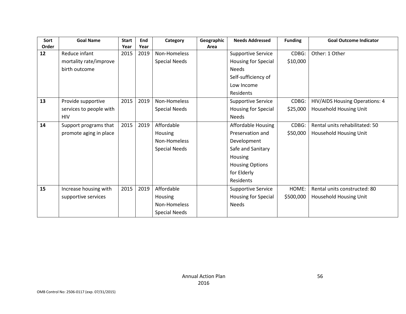| Sort<br>Order | <b>Goal Name</b>        | <b>Start</b><br>Year | End<br>Year | Category             | Geographic<br>Area | <b>Needs Addressed</b>    | <b>Funding</b> | <b>Goal Outcome Indicator</b>  |
|---------------|-------------------------|----------------------|-------------|----------------------|--------------------|---------------------------|----------------|--------------------------------|
| 12            | Reduce infant           | 2015                 | 2019        | Non-Homeless         |                    | <b>Supportive Service</b> | CDBG:          | Other: 1 Other                 |
|               | mortality rate/improve  |                      |             | <b>Special Needs</b> |                    | Housing for Special       | \$10,000       |                                |
|               | birth outcome           |                      |             |                      |                    | <b>Needs</b>              |                |                                |
|               |                         |                      |             |                      |                    | Self-sufficiency of       |                |                                |
|               |                         |                      |             |                      |                    | Low Income                |                |                                |
|               |                         |                      |             |                      |                    | Residents                 |                |                                |
| 13            | Provide supportive      | 2015                 | 2019        | Non-Homeless         |                    | <b>Supportive Service</b> | CDBG:          | HIV/AIDS Housing Operations: 4 |
|               | services to people with |                      |             | <b>Special Needs</b> |                    | Housing for Special       | \$25,000       | Household Housing Unit         |
|               | <b>HIV</b>              |                      |             |                      |                    | <b>Needs</b>              |                |                                |
| 14            | Support programs that   | 2015                 | 2019        | Affordable           |                    | Affordable Housing        | CDBG:          | Rental units rehabilitated: 50 |
|               | promote aging in place  |                      |             | Housing              |                    | Preservation and          | \$50,000       | Household Housing Unit         |
|               |                         |                      |             | Non-Homeless         |                    | Development               |                |                                |
|               |                         |                      |             | <b>Special Needs</b> |                    | Safe and Sanitary         |                |                                |
|               |                         |                      |             |                      |                    | <b>Housing</b>            |                |                                |
|               |                         |                      |             |                      |                    | <b>Housing Options</b>    |                |                                |
|               |                         |                      |             |                      |                    | for Elderly               |                |                                |
|               |                         |                      |             |                      |                    | Residents                 |                |                                |
| 15            | Increase housing with   | 2015                 | 2019        | Affordable           |                    | <b>Supportive Service</b> | HOME:          | Rental units constructed: 80   |
|               | supportive services     |                      |             | Housing              |                    | Housing for Special       | \$500,000      | Household Housing Unit         |
|               |                         |                      |             | Non-Homeless         |                    | <b>Needs</b>              |                |                                |
|               |                         |                      |             | <b>Special Needs</b> |                    |                           |                |                                |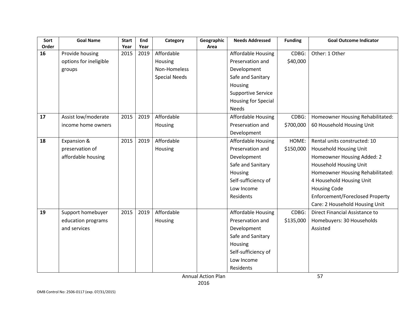| Sort<br>Order | <b>Goal Name</b>       | <b>Start</b> | End          | Category             | Geographic | <b>Needs Addressed</b>     | <b>Funding</b> | <b>Goal Outcome Indicator</b>    |
|---------------|------------------------|--------------|--------------|----------------------|------------|----------------------------|----------------|----------------------------------|
| 16            | Provide housing        | Year<br>2015 | Year<br>2019 | Affordable           | Area       | <b>Affordable Housing</b>  | CDBG:          | Other: 1 Other                   |
|               | options for ineligible |              |              | Housing              |            | Preservation and           | \$40,000       |                                  |
|               |                        |              |              |                      |            |                            |                |                                  |
|               | groups                 |              |              | Non-Homeless         |            | Development                |                |                                  |
|               |                        |              |              | <b>Special Needs</b> |            | Safe and Sanitary          |                |                                  |
|               |                        |              |              |                      |            | Housing                    |                |                                  |
|               |                        |              |              |                      |            | <b>Supportive Service</b>  |                |                                  |
|               |                        |              |              |                      |            | <b>Housing for Special</b> |                |                                  |
|               |                        |              |              |                      |            | <b>Needs</b>               |                |                                  |
| 17            | Assist low/moderate    | 2015         | 2019         | Affordable           |            | <b>Affordable Housing</b>  | CDBG:          | Homeowner Housing Rehabilitated: |
|               | income home owners     |              |              | Housing              |            | Preservation and           | \$700,000      | 60 Household Housing Unit        |
|               |                        |              |              |                      |            | Development                |                |                                  |
| 18            | Expansion &            | 2015         | 2019         | Affordable           |            | <b>Affordable Housing</b>  | HOME:          | Rental units constructed: 10     |
|               | preservation of        |              |              | Housing              |            | Preservation and           | \$150,000      | Household Housing Unit           |
|               | affordable housing     |              |              |                      |            | Development                |                | Homeowner Housing Added: 2       |
|               |                        |              |              |                      |            | Safe and Sanitary          |                | Household Housing Unit           |
|               |                        |              |              |                      |            | Housing                    |                | Homeowner Housing Rehabilitated: |
|               |                        |              |              |                      |            | Self-sufficiency of        |                | 4 Household Housing Unit         |
|               |                        |              |              |                      |            | Low Income                 |                | <b>Housing Code</b>              |
|               |                        |              |              |                      |            | Residents                  |                | Enforcement/Foreclosed Property  |
|               |                        |              |              |                      |            |                            |                | Care: 2 Household Housing Unit   |
| 19            | Support homebuyer      | 2015         | 2019         | Affordable           |            | <b>Affordable Housing</b>  | CDBG:          | Direct Financial Assistance to   |
|               | education programs     |              |              | Housing              |            | Preservation and           | \$135,000      | Homebuyers: 30 Households        |
|               | and services           |              |              |                      |            | Development                |                | Assisted                         |
|               |                        |              |              |                      |            | Safe and Sanitary          |                |                                  |
|               |                        |              |              |                      |            | Housing                    |                |                                  |
|               |                        |              |              |                      |            | Self-sufficiency of        |                |                                  |
|               |                        |              |              |                      |            | Low Income                 |                |                                  |
|               |                        |              |              |                      |            | Residents                  |                |                                  |
|               |                        |              |              |                      |            |                            |                |                                  |

Annual Action Plan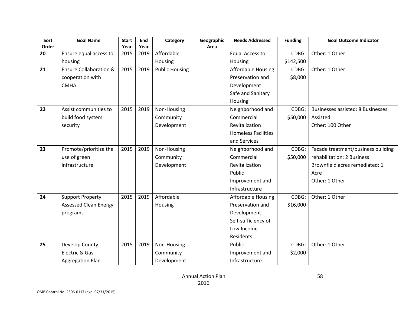| Sort        | <b>Goal Name</b>                  | <b>Start</b> | End  | Category              | Geographic | <b>Needs Addressed</b>     | <b>Funding</b> | <b>Goal Outcome Indicator</b>            |
|-------------|-----------------------------------|--------------|------|-----------------------|------------|----------------------------|----------------|------------------------------------------|
| Order<br>20 |                                   | Year         | Year | Affordable            | Area       |                            | CDBG:          |                                          |
|             | Ensure equal access to            | 2015         | 2019 |                       |            | <b>Equal Access to</b>     |                | Other: 1 Other                           |
|             | housing                           |              |      | Housing               |            | Housing                    | \$142,500      |                                          |
| 21          | <b>Ensure Collaboration &amp;</b> | 2015         | 2019 | <b>Public Housing</b> |            | Affordable Housing         | CDBG:          | Other: 1 Other                           |
|             | cooperation with                  |              |      |                       |            | Preservation and           | \$8,000        |                                          |
|             | <b>CMHA</b>                       |              |      |                       |            | Development                |                |                                          |
|             |                                   |              |      |                       |            | Safe and Sanitary          |                |                                          |
|             |                                   |              |      |                       |            | Housing                    |                |                                          |
| 22          | Assist communities to             | 2015         | 2019 | Non-Housing           |            | Neighborhood and           | CDBG:          | <b>Businesses assisted: 8 Businesses</b> |
|             | build food system                 |              |      | Community             |            | Commercial                 | \$50,000       | Assisted                                 |
|             | security                          |              |      | Development           |            | Revitalization             |                | Other: 100 Other                         |
|             |                                   |              |      |                       |            | <b>Homeless Facilities</b> |                |                                          |
|             |                                   |              |      |                       |            | and Services               |                |                                          |
| 23          | Promote/prioritize the            | 2015         | 2019 | Non-Housing           |            | Neighborhood and           | CDBG:          | Facade treatment/business building       |
|             | use of green                      |              |      | Community             |            | Commercial                 | \$50,000       | rehabilitation: 2 Business               |
|             | infrastructure                    |              |      | Development           |            | Revitalization             |                | Brownfield acres remediated: 1           |
|             |                                   |              |      |                       |            | Public                     |                | Acre                                     |
|             |                                   |              |      |                       |            | Improvement and            |                | Other: 1 Other                           |
|             |                                   |              |      |                       |            | Infrastructure             |                |                                          |
| 24          | <b>Support Property</b>           | 2015         | 2019 | Affordable            |            | Affordable Housing         | CDBG:          | Other: 1 Other                           |
|             | <b>Assessed Clean Energy</b>      |              |      | Housing               |            | Preservation and           | \$16,000       |                                          |
|             | programs                          |              |      |                       |            | Development                |                |                                          |
|             |                                   |              |      |                       |            | Self-sufficiency of        |                |                                          |
|             |                                   |              |      |                       |            | Low Income                 |                |                                          |
|             |                                   |              |      |                       |            | Residents                  |                |                                          |
| 25          | Develop County                    | 2015         | 2019 | Non-Housing           |            | Public                     | CDBG:          | Other: 1 Other                           |
|             | Electric & Gas                    |              |      | Community             |            | Improvement and            | \$2,000        |                                          |
|             | <b>Aggregation Plan</b>           |              |      | Development           |            | Infrastructure             |                |                                          |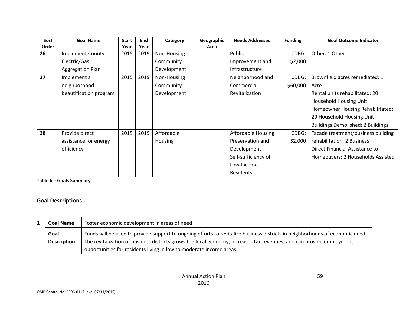| Sort  | <b>Goal Name</b>        | <b>Start</b> | End  | Category       | Geographic | <b>Needs Addressed</b> | <b>Funding</b> | <b>Goal Outcome Indicator</b>            |
|-------|-------------------------|--------------|------|----------------|------------|------------------------|----------------|------------------------------------------|
| Order |                         | Year         | Year |                | Area       |                        |                |                                          |
| 26    | <b>Implement County</b> | 2015         | 2019 | Non-Housing    |            | Public                 | CDBG:          | Other: 1 Other                           |
|       | Electric/Gas            |              |      | Community      |            | Improvement and        | \$2,000        |                                          |
|       | Aggregation Plan        |              |      | Development    |            | Infrastructure         |                |                                          |
| 27    | Implement a             | 2015         | 2019 | Non-Housing    |            | Neighborhood and       | CDBG:          | Brownfield acres remediated: 1           |
|       | neighborhood            |              |      | Community      |            | Commercial             | \$60,000       | Acre                                     |
|       | beautification program  |              |      | Development    |            | Revitalization         |                | Rental units rehabilitated: 20           |
|       |                         |              |      |                |            |                        |                | <b>Household Housing Unit</b>            |
|       |                         |              |      |                |            |                        |                | Homeowner Housing Rehabilitated:         |
|       |                         |              |      |                |            |                        |                | 20 Household Housing Unit                |
|       |                         |              |      |                |            |                        |                | <b>Buildings Demolished: 2 Buildings</b> |
| 28    | Provide direct          | 2015         | 2019 | Affordable     |            | Affordable Housing     | CDBG:          | Facade treatment/business building       |
|       | assistance for energy   |              |      | <b>Housing</b> |            | Preservation and       | \$2,000        | rehabilitation: 2 Business               |
|       | efficiency              |              |      |                |            | Development            |                | Direct Financial Assistance to           |
|       |                         |              |      |                |            | Self-sufficiency of    |                | Homebuyers: 2 Households Assisted        |
|       |                         |              |      |                |            | Low Income             |                |                                          |
|       |                         |              |      |                |            | Residents              |                |                                          |

**Table 6 – Goals Summary**

## **Goal Descriptions**

| <b>Goal Name</b>           | Foster economic development in areas of need                                                                                                                                                                                                         |
|----------------------------|------------------------------------------------------------------------------------------------------------------------------------------------------------------------------------------------------------------------------------------------------|
| Goal<br><b>Description</b> | Funds will be used to provide support to ongoing efforts to revitalize business districts in neighborhoods of economic need.<br>The revitalization of business districts grows the local economy, increases tax revenues, and can provide employment |
|                            | opportunities for residents living in low to moderate income areas.                                                                                                                                                                                  |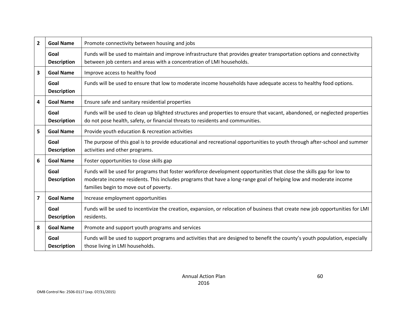| $\overline{2}$ | <b>Goal Name</b>           | Promote connectivity between housing and jobs                                                                                                                                                                                                                                      |
|----------------|----------------------------|------------------------------------------------------------------------------------------------------------------------------------------------------------------------------------------------------------------------------------------------------------------------------------|
|                | Goal<br><b>Description</b> | Funds will be used to maintain and improve infrastructure that provides greater transportation options and connectivity<br>between job centers and areas with a concentration of LMI households.                                                                                   |
| 3              | <b>Goal Name</b>           | Improve access to healthy food                                                                                                                                                                                                                                                     |
|                | Goal<br><b>Description</b> | Funds will be used to ensure that low to moderate income households have adequate access to healthy food options.                                                                                                                                                                  |
| 4              | <b>Goal Name</b>           | Ensure safe and sanitary residential properties                                                                                                                                                                                                                                    |
|                | Goal<br><b>Description</b> | Funds will be used to clean up blighted structures and properties to ensure that vacant, abandoned, or neglected properties<br>do not pose health, safety, or financial threats to residents and communities.                                                                      |
| 5              | <b>Goal Name</b>           | Provide youth education & recreation activities                                                                                                                                                                                                                                    |
|                | Goal<br><b>Description</b> | The purpose of this goal is to provide educational and recreational opportunities to youth through after-school and summer<br>activities and other programs.                                                                                                                       |
| 6              | <b>Goal Name</b>           | Foster opportunities to close skills gap                                                                                                                                                                                                                                           |
|                | Goal<br><b>Description</b> | Funds will be used for programs that foster workforce development opportunities that close the skills gap for low to<br>moderate income residents. This includes programs that have a long-range goal of helping low and moderate income<br>families begin to move out of poverty. |
| $\overline{7}$ | <b>Goal Name</b>           | Increase employment opportunities                                                                                                                                                                                                                                                  |
|                | Goal<br><b>Description</b> | Funds will be used to incentivize the creation, expansion, or relocation of business that create new job opportunities for LMI<br>residents.                                                                                                                                       |
| 8              | <b>Goal Name</b>           | Promote and support youth programs and services                                                                                                                                                                                                                                    |
|                | Goal<br><b>Description</b> | Funds will be used to support programs and activities that are designed to benefit the county's youth population, especially<br>those living in LMI households.                                                                                                                    |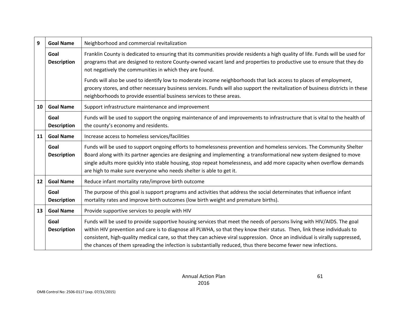| 9  | <b>Goal Name</b>           | Neighborhood and commercial revitalization                                                                                                                                                                                                                                                                                                                                                                                                                                                           |
|----|----------------------------|------------------------------------------------------------------------------------------------------------------------------------------------------------------------------------------------------------------------------------------------------------------------------------------------------------------------------------------------------------------------------------------------------------------------------------------------------------------------------------------------------|
|    | Goal<br><b>Description</b> | Franklin County is dedicated to ensuring that its communities provide residents a high quality of life. Funds will be used for<br>programs that are designed to restore County-owned vacant land and properties to productive use to ensure that they do<br>not negatively the communities in which they are found.                                                                                                                                                                                  |
|    |                            | Funds will also be used to identify low to moderate income neighborhoods that lack access to places of employment,<br>grocery stores, and other necessary business services. Funds will also support the revitalization of business districts in these<br>neighborhoods to provide essential business services to these areas.                                                                                                                                                                       |
| 10 | <b>Goal Name</b>           | Support infrastructure maintenance and improvement                                                                                                                                                                                                                                                                                                                                                                                                                                                   |
|    | Goal<br><b>Description</b> | Funds will be used to support the ongoing maintenance of and improvements to infrastructure that is vital to the health of<br>the county's economy and residents.                                                                                                                                                                                                                                                                                                                                    |
| 11 | <b>Goal Name</b>           | Increase access to homeless services/facilities                                                                                                                                                                                                                                                                                                                                                                                                                                                      |
|    | Goal<br><b>Description</b> | Funds will be used to support ongoing efforts to homelessness prevention and homeless services. The Community Shelter<br>Board along with its partner agencies are designing and implementing a transformational new system designed to move<br>single adults more quickly into stable housing, stop repeat homelessness, and add more capacity when overflow demands<br>are high to make sure everyone who needs shelter is able to get it.                                                         |
| 12 | <b>Goal Name</b>           | Reduce infant mortality rate/improve birth outcome                                                                                                                                                                                                                                                                                                                                                                                                                                                   |
|    | Goal<br><b>Description</b> | The purpose of this goal is support programs and activities that address the social determinates that influence infant<br>mortality rates and improve birth outcomes (low birth weight and premature births).                                                                                                                                                                                                                                                                                        |
| 13 | <b>Goal Name</b>           | Provide supportive services to people with HIV                                                                                                                                                                                                                                                                                                                                                                                                                                                       |
|    | Goal<br><b>Description</b> | Funds will be used to provide supportive housing services that meet the needs of persons living with HIV/AIDS. The goal<br>within HIV prevention and care is to diagnose all PLWHA, so that they know their status. Then, link these individuals to<br>consistent, high-quality medical care, so that they can achieve viral suppression. Once an individual is virally suppressed,<br>the chances of them spreading the infection is substantially reduced, thus there become fewer new infections. |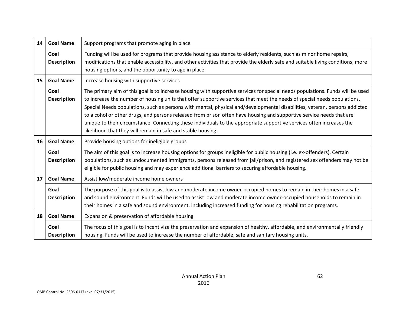| 14 | <b>Goal Name</b>           | Support programs that promote aging in place                                                                                                                                                                                                                                                                                                                                                                                                                                                                                                                                                                                                                                                              |
|----|----------------------------|-----------------------------------------------------------------------------------------------------------------------------------------------------------------------------------------------------------------------------------------------------------------------------------------------------------------------------------------------------------------------------------------------------------------------------------------------------------------------------------------------------------------------------------------------------------------------------------------------------------------------------------------------------------------------------------------------------------|
|    | Goal<br><b>Description</b> | Funding will be used for programs that provide housing assistance to elderly residents, such as minor home repairs,<br>modifications that enable accessibility, and other activities that provide the elderly safe and suitable living conditions, more<br>housing options, and the opportunity to age in place.                                                                                                                                                                                                                                                                                                                                                                                          |
| 15 | <b>Goal Name</b>           | Increase housing with supportive services                                                                                                                                                                                                                                                                                                                                                                                                                                                                                                                                                                                                                                                                 |
|    | Goal<br><b>Description</b> | The primary aim of this goal is to increase housing with supportive services for special needs populations. Funds will be used<br>to increase the number of housing units that offer supportive services that meet the needs of special needs populations.<br>Special Needs populations, such as persons with mental, physical and/developmental disabilities, veteran, persons addicted<br>to alcohol or other drugs, and persons released from prison often have housing and supportive service needs that are<br>unique to their circumstance. Connecting these individuals to the appropriate supportive services often increases the<br>likelihood that they will remain in safe and stable housing. |
| 16 | <b>Goal Name</b>           | Provide housing options for ineligible groups                                                                                                                                                                                                                                                                                                                                                                                                                                                                                                                                                                                                                                                             |
|    | Goal<br><b>Description</b> | The aim of this goal is to increase housing options for groups ineligible for public housing (i.e. ex-offenders). Certain<br>populations, such as undocumented immigrants, persons released from jail/prison, and registered sex offenders may not be<br>eligible for public housing and may experience additional barriers to securing affordable housing.                                                                                                                                                                                                                                                                                                                                               |
| 17 | <b>Goal Name</b>           | Assist low/moderate income home owners                                                                                                                                                                                                                                                                                                                                                                                                                                                                                                                                                                                                                                                                    |
|    | Goal<br><b>Description</b> | The purpose of this goal is to assist low and moderate income owner-occupied homes to remain in their homes in a safe<br>and sound environment. Funds will be used to assist low and moderate income owner-occupied households to remain in<br>their homes in a safe and sound environment, including increased funding for housing rehabilitation programs.                                                                                                                                                                                                                                                                                                                                              |
| 18 | <b>Goal Name</b>           | Expansion & preservation of affordable housing                                                                                                                                                                                                                                                                                                                                                                                                                                                                                                                                                                                                                                                            |
|    | Goal<br><b>Description</b> | The focus of this goal is to incentivize the preservation and expansion of healthy, affordable, and environmentally friendly<br>housing. Funds will be used to increase the number of affordable, safe and sanitary housing units.                                                                                                                                                                                                                                                                                                                                                                                                                                                                        |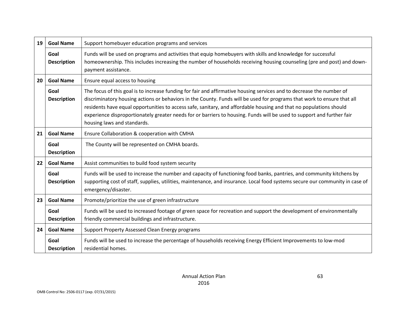| 19                                                                           | <b>Goal Name</b>                                   | Support homebuyer education programs and services                                                                                                                                                                                                                                                                                                                                                                                                                                                                               |  |
|------------------------------------------------------------------------------|----------------------------------------------------|---------------------------------------------------------------------------------------------------------------------------------------------------------------------------------------------------------------------------------------------------------------------------------------------------------------------------------------------------------------------------------------------------------------------------------------------------------------------------------------------------------------------------------|--|
|                                                                              | Goal<br><b>Description</b>                         | Funds will be used on programs and activities that equip homebuyers with skills and knowledge for successful<br>homeownership. This includes increasing the number of households receiving housing counseling (pre and post) and down-<br>payment assistance.                                                                                                                                                                                                                                                                   |  |
| 20                                                                           | <b>Goal Name</b><br>Ensure equal access to housing |                                                                                                                                                                                                                                                                                                                                                                                                                                                                                                                                 |  |
|                                                                              | Goal<br><b>Description</b>                         | The focus of this goal is to increase funding for fair and affirmative housing services and to decrease the number of<br>discriminatory housing actions or behaviors in the County. Funds will be used for programs that work to ensure that all<br>residents have equal opportunities to access safe, sanitary, and affordable housing and that no populations should<br>experience disproportionately greater needs for or barriers to housing. Funds will be used to support and further fair<br>housing laws and standards. |  |
| <b>Goal Name</b><br>21<br>Ensure Collaboration & cooperation with CMHA       |                                                    |                                                                                                                                                                                                                                                                                                                                                                                                                                                                                                                                 |  |
|                                                                              | Goal<br><b>Description</b>                         | The County will be represented on CMHA boards.                                                                                                                                                                                                                                                                                                                                                                                                                                                                                  |  |
| <b>Goal Name</b><br>22<br>Assist communities to build food system security   |                                                    |                                                                                                                                                                                                                                                                                                                                                                                                                                                                                                                                 |  |
|                                                                              | Goal<br><b>Description</b>                         | Funds will be used to increase the number and capacity of functioning food banks, pantries, and community kitchens by<br>supporting cost of staff, supplies, utilities, maintenance, and insurance. Local food systems secure our community in case of<br>emergency/disaster.                                                                                                                                                                                                                                                   |  |
| 23<br><b>Goal Name</b><br>Promote/prioritize the use of green infrastructure |                                                    |                                                                                                                                                                                                                                                                                                                                                                                                                                                                                                                                 |  |
|                                                                              | Goal<br><b>Description</b>                         | Funds will be used to increased footage of green space for recreation and support the development of environmentally<br>friendly commercial buildings and infrastructure.                                                                                                                                                                                                                                                                                                                                                       |  |
| 24                                                                           | <b>Goal Name</b>                                   | Support Property Assessed Clean Energy programs                                                                                                                                                                                                                                                                                                                                                                                                                                                                                 |  |
|                                                                              | Goal<br><b>Description</b>                         | Funds will be used to increase the percentage of households receiving Energy Efficient Improvements to low-mod<br>residential homes.                                                                                                                                                                                                                                                                                                                                                                                            |  |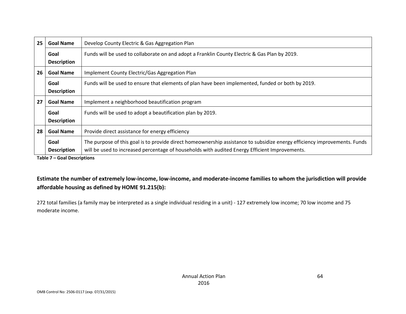| 25                                                                        | <b>Goal Name</b>                                                   | Develop County Electric & Gas Aggregation Plan                                                                                                                                                                              |  |
|---------------------------------------------------------------------------|--------------------------------------------------------------------|-----------------------------------------------------------------------------------------------------------------------------------------------------------------------------------------------------------------------------|--|
|                                                                           | Goal<br><b>Description</b>                                         | Funds will be used to collaborate on and adopt a Franklin County Electric & Gas Plan by 2019.                                                                                                                               |  |
| 26                                                                        | <b>Goal Name</b><br>Implement County Electric/Gas Aggregation Plan |                                                                                                                                                                                                                             |  |
|                                                                           | Goal<br><b>Description</b>                                         | Funds will be used to ensure that elements of plan have been implemented, funded or both by 2019.                                                                                                                           |  |
| 27<br><b>Goal Name</b><br>Implement a neighborhood beautification program |                                                                    |                                                                                                                                                                                                                             |  |
|                                                                           | Goal<br><b>Description</b>                                         | Funds will be used to adopt a beautification plan by 2019.                                                                                                                                                                  |  |
| 28<br>Provide direct assistance for energy efficiency<br><b>Goal Name</b> |                                                                    |                                                                                                                                                                                                                             |  |
|                                                                           | Goal<br><b>Description</b><br>エントレン ヨー・ウェット ちょうしょしょうしょう            | The purpose of this goal is to provide direct homeownership assistance to subsidize energy efficiency improvements. Funds<br>will be used to increased percentage of households with audited Energy Efficient Improvements. |  |

**Table 7 – Goal Descriptions**

## **Estimate the number of extremely low-income, low-income, and moderate-income families to whom the jurisdiction will provide affordable housing as defined by HOME 91.215(b):**

272 total families (a family may be interpreted as a single individual residing in a unit) - 127 extremely low income; 70 low income and 75 moderate income.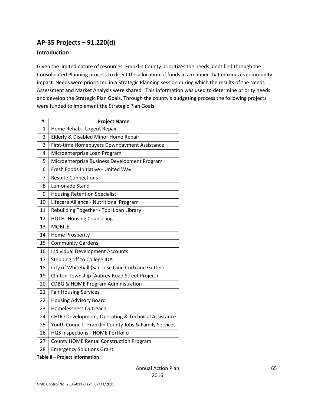## **AP-35 Projects – 91.220(d)**

### **Introduction**

Given the limited nature of resources, Franklin County prioritizes the needs identified through the Consolidated Planning process to direct the allocation of funds in a manner that maximizes community impact. Needs were prioritized in a Strategic Planning session during which the results of the Needs Assessment and Market Analysis were shared. This information was used to determine priority needs and develop the Strategic Plan Goals. Through the county's budgeting process the following projects were funded to implement the Strategic Plan Goals.

| #              | <b>Project Name</b>                                    |
|----------------|--------------------------------------------------------|
| 1              | Home Rehab - Urgent Repair                             |
| $\overline{2}$ | Elderly & Disabled Minor Home Repair                   |
| 3              | First-time Homebuyers Downpayment Assistance           |
| 4              | Microenterprise Loan Program                           |
| 5              | Microenterprise Business Development Program           |
| 6              | Fresh Foods Initiative - United Way                    |
| 7              | <b>Respite Connections</b>                             |
| 8              | Lemonade Stand                                         |
| 9              | <b>Housing Retention Specialist</b>                    |
| 10             | Lifecare Alliance - Nutritional Program                |
| 11             | Rebuilding Together - Tool Loan Library                |
| 12             | <b>HOTH- Housing Counseling</b>                        |
| 13             | <b>MOBILE</b>                                          |
| 14             | Home Prosperity                                        |
| 15             | <b>Community Gardens</b>                               |
| 16             | <b>Individual Development Accounts</b>                 |
| 17             | Stepping off to College IDA                            |
| 18             | City of Whitehall (San Jose Lane Curb and Gutter)      |
| 19             | Clinton Township (Aubrey Road Street Project)          |
| 20             | CDBG & HOME Program Administration                     |
| 21             | <b>Fair Housing Services</b>                           |
| 22             | <b>Housing Advisory Board</b>                          |
| 23             | <b>Homelessness Outreach</b>                           |
| 24             | CHDO Development, Operating & Technical Assistance     |
| 25             | Youth Council - Franklin County Jobs & Family Services |
| 26             | HQS Inspections - HOME Portfolio                       |
| 27             | County HOME Rental Construction Program                |
| 28             | <b>Emergency Solutions Grant</b>                       |

**Table 8 – Project Information**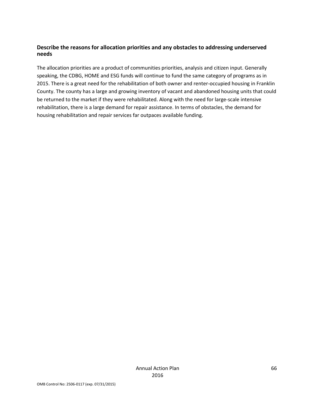### **Describe the reasons for allocation priorities and any obstacles to addressing underserved needs**

The allocation priorities are a product of communities priorities, analysis and citizen input. Generally speaking, the CDBG, HOME and ESG funds will continue to fund the same category of programs as in 2015. There is a great need for the rehabilitation of both owner and renter-occupied housing in Franklin County. The county has a large and growing inventory of vacant and abandoned housing units that could be returned to the market if they were rehabilitated. Along with the need for large-scale intensive rehabilitation, there is a large demand for repair assistance. In terms of obstacles, the demand for housing rehabilitation and repair services far outpaces available funding.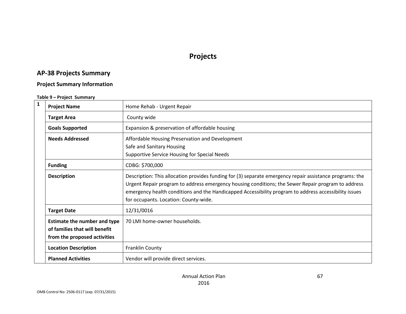## **Projects**

# **AP-38 Projects Summary**

### **Project Summary Information**

### **Table 9 – Project Summary**

| $\mathbf{1}$ | <b>Project Name</b>                                                                                  | Home Rehab - Urgent Repair                                                                                                                                                                                                                                                                                                                                       |
|--------------|------------------------------------------------------------------------------------------------------|------------------------------------------------------------------------------------------------------------------------------------------------------------------------------------------------------------------------------------------------------------------------------------------------------------------------------------------------------------------|
|              | <b>Target Area</b>                                                                                   | County wide                                                                                                                                                                                                                                                                                                                                                      |
|              | <b>Goals Supported</b>                                                                               | Expansion & preservation of affordable housing                                                                                                                                                                                                                                                                                                                   |
|              | <b>Needs Addressed</b>                                                                               | Affordable Housing Preservation and Development<br>Safe and Sanitary Housing<br>Supportive Service Housing for Special Needs                                                                                                                                                                                                                                     |
|              | <b>Funding</b>                                                                                       | CDBG: \$700,000                                                                                                                                                                                                                                                                                                                                                  |
|              | <b>Description</b>                                                                                   | Description: This allocation provides funding for (3) separate emergency repair assistance programs: the<br>Urgent Repair program to address emergency housing conditions; the Sewer Repair program to address<br>emergency health conditions and the Handicapped Accessibility program to address accessibility issues<br>for occupants. Location: County-wide. |
|              | <b>Target Date</b>                                                                                   | 12/31/0016                                                                                                                                                                                                                                                                                                                                                       |
|              | <b>Estimate the number and type</b><br>of families that will benefit<br>from the proposed activities | 70 LMI home-owner households.                                                                                                                                                                                                                                                                                                                                    |
|              | <b>Location Description</b>                                                                          | Franklin County                                                                                                                                                                                                                                                                                                                                                  |
|              | <b>Planned Activities</b>                                                                            | Vendor will provide direct services.                                                                                                                                                                                                                                                                                                                             |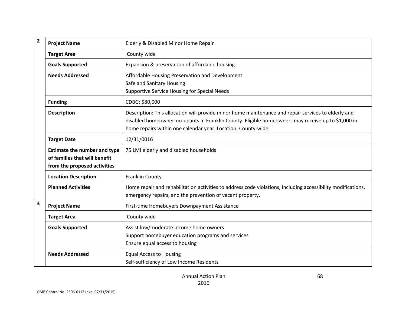| $\overline{2}$          | <b>Project Name</b>                                                                                  | Elderly & Disabled Minor Home Repair                                                                                                                                                                                                                                      |
|-------------------------|------------------------------------------------------------------------------------------------------|---------------------------------------------------------------------------------------------------------------------------------------------------------------------------------------------------------------------------------------------------------------------------|
|                         | <b>Target Area</b>                                                                                   | County wide                                                                                                                                                                                                                                                               |
|                         | <b>Goals Supported</b>                                                                               | Expansion & preservation of affordable housing                                                                                                                                                                                                                            |
|                         | <b>Needs Addressed</b>                                                                               | Affordable Housing Preservation and Development<br>Safe and Sanitary Housing<br>Supportive Service Housing for Special Needs                                                                                                                                              |
|                         | <b>Funding</b>                                                                                       | CDBG: \$80,000                                                                                                                                                                                                                                                            |
|                         | <b>Description</b>                                                                                   | Description: This allocation will provide minor home maintenance and repair services to elderly and<br>disabled homeowner-occupants in Franklin County. Eligible homeowners may receive up to \$1,000 in<br>home repairs within one calendar year. Location: County-wide. |
|                         | <b>Target Date</b>                                                                                   | 12/31/0016                                                                                                                                                                                                                                                                |
|                         | <b>Estimate the number and type</b><br>of families that will benefit<br>from the proposed activities | 75 LMI elderly and disabled households                                                                                                                                                                                                                                    |
|                         | <b>Location Description</b>                                                                          | Franklin County                                                                                                                                                                                                                                                           |
|                         | <b>Planned Activities</b>                                                                            | Home repair and rehabilitation activities to address code violations, including accessibility modifications,<br>emergency repairs, and the prevention of vacant property.                                                                                                 |
| $\overline{\mathbf{3}}$ | <b>Project Name</b>                                                                                  | First-time Homebuyers Downpayment Assistance                                                                                                                                                                                                                              |
|                         | <b>Target Area</b>                                                                                   | County wide                                                                                                                                                                                                                                                               |
|                         | <b>Goals Supported</b>                                                                               | Assist low/moderate income home owners<br>Support homebuyer education programs and services<br>Ensure equal access to housing                                                                                                                                             |
|                         | <b>Needs Addressed</b>                                                                               | <b>Equal Access to Housing</b><br>Self-sufficiency of Low Income Residents                                                                                                                                                                                                |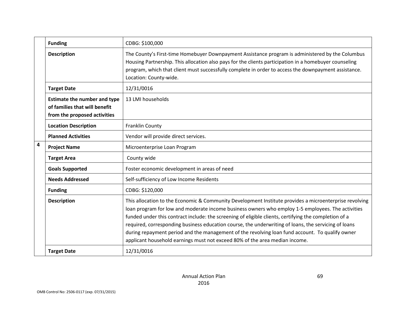|                | <b>Funding</b>                                                                                       | CDBG: \$100,000                                                                                                                                                                                                                                                                                                                                                                                                                                                                                                                                                                                                |
|----------------|------------------------------------------------------------------------------------------------------|----------------------------------------------------------------------------------------------------------------------------------------------------------------------------------------------------------------------------------------------------------------------------------------------------------------------------------------------------------------------------------------------------------------------------------------------------------------------------------------------------------------------------------------------------------------------------------------------------------------|
|                | <b>Description</b>                                                                                   | The County's First-time Homebuyer Downpayment Assistance program is administered by the Columbus<br>Housing Partnership. This allocation also pays for the clients participation in a homebuyer counseling<br>program, which that client must successfully complete in order to access the downpayment assistance.<br>Location: County-wide.                                                                                                                                                                                                                                                                   |
|                | <b>Target Date</b>                                                                                   | 12/31/0016                                                                                                                                                                                                                                                                                                                                                                                                                                                                                                                                                                                                     |
|                | <b>Estimate the number and type</b><br>of families that will benefit<br>from the proposed activities | 13 LMI households                                                                                                                                                                                                                                                                                                                                                                                                                                                                                                                                                                                              |
|                | <b>Location Description</b>                                                                          | Franklin County                                                                                                                                                                                                                                                                                                                                                                                                                                                                                                                                                                                                |
|                | <b>Planned Activities</b>                                                                            | Vendor will provide direct services.                                                                                                                                                                                                                                                                                                                                                                                                                                                                                                                                                                           |
| $\overline{4}$ | <b>Project Name</b>                                                                                  | Microenterprise Loan Program                                                                                                                                                                                                                                                                                                                                                                                                                                                                                                                                                                                   |
|                | <b>Target Area</b>                                                                                   | County wide                                                                                                                                                                                                                                                                                                                                                                                                                                                                                                                                                                                                    |
|                | <b>Goals Supported</b>                                                                               | Foster economic development in areas of need                                                                                                                                                                                                                                                                                                                                                                                                                                                                                                                                                                   |
|                | <b>Needs Addressed</b>                                                                               | Self-sufficiency of Low Income Residents                                                                                                                                                                                                                                                                                                                                                                                                                                                                                                                                                                       |
|                | <b>Funding</b>                                                                                       | CDBG: \$120,000                                                                                                                                                                                                                                                                                                                                                                                                                                                                                                                                                                                                |
|                | <b>Description</b>                                                                                   | This allocation to the Economic & Community Development Institute provides a microenterprise revolving<br>loan program for low and moderate income business owners who employ 1-5 employees. The activities<br>funded under this contract include: the screening of eligible clients, certifying the completion of a<br>required, corresponding business education course, the underwriting of loans, the servicing of loans<br>during repayment period and the management of the revolving loan fund account. To qualify owner<br>applicant household earnings must not exceed 80% of the area median income. |
|                | <b>Target Date</b>                                                                                   | 12/31/0016                                                                                                                                                                                                                                                                                                                                                                                                                                                                                                                                                                                                     |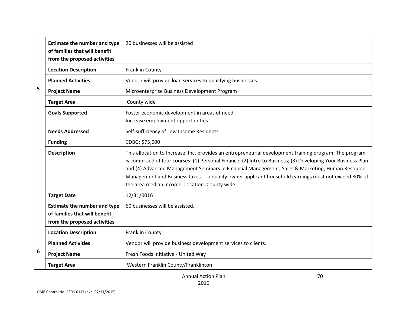|   | <b>Estimate the number and type</b><br>of families that will benefit<br>from the proposed activities | 20 businesses will be assisted                                                                                                                                                                                                                                                                                                                                                                                                                                                      |
|---|------------------------------------------------------------------------------------------------------|-------------------------------------------------------------------------------------------------------------------------------------------------------------------------------------------------------------------------------------------------------------------------------------------------------------------------------------------------------------------------------------------------------------------------------------------------------------------------------------|
|   | <b>Location Description</b>                                                                          | Franklin County                                                                                                                                                                                                                                                                                                                                                                                                                                                                     |
|   | <b>Planned Activities</b>                                                                            | Vendor will provide loan services to qualifying businesses.                                                                                                                                                                                                                                                                                                                                                                                                                         |
| 5 | <b>Project Name</b>                                                                                  | Microenterprise Business Development Program                                                                                                                                                                                                                                                                                                                                                                                                                                        |
|   | <b>Target Area</b>                                                                                   | County wide                                                                                                                                                                                                                                                                                                                                                                                                                                                                         |
|   | <b>Goals Supported</b>                                                                               | Foster economic development in areas of need<br>Increase employment opportunities                                                                                                                                                                                                                                                                                                                                                                                                   |
|   | <b>Needs Addressed</b>                                                                               | Self-sufficiency of Low Income Residents                                                                                                                                                                                                                                                                                                                                                                                                                                            |
|   | <b>Funding</b>                                                                                       | CDBG: \$75,000                                                                                                                                                                                                                                                                                                                                                                                                                                                                      |
|   | <b>Description</b>                                                                                   | This allocation to Increase, Inc. provides an entrepreneurial development training program. The program<br>is comprised of four courses: (1) Personal Finance; (2) Intro to Business; (3) Developing Your Business Plan<br>and (4) Advanced Management Seminars in Financial Management; Sales & Marketing; Human Resource<br>Management and Business taxes. To qualify owner applicant household earnings must not exceed 80% of<br>the area median income. Location: County wide. |
|   | <b>Target Date</b>                                                                                   | 12/31/0016                                                                                                                                                                                                                                                                                                                                                                                                                                                                          |
|   | <b>Estimate the number and type</b><br>of families that will benefit<br>from the proposed activities | 60 businesses will be assisted.                                                                                                                                                                                                                                                                                                                                                                                                                                                     |
|   | <b>Location Description</b>                                                                          | Franklin County                                                                                                                                                                                                                                                                                                                                                                                                                                                                     |
|   | <b>Planned Activities</b>                                                                            | Vendor will provide business development services to clients.                                                                                                                                                                                                                                                                                                                                                                                                                       |
| 6 | <b>Project Name</b>                                                                                  | Fresh Foods Initiative - United Way                                                                                                                                                                                                                                                                                                                                                                                                                                                 |
|   | <b>Target Area</b>                                                                                   | Western Franklin County/Franklinton                                                                                                                                                                                                                                                                                                                                                                                                                                                 |

70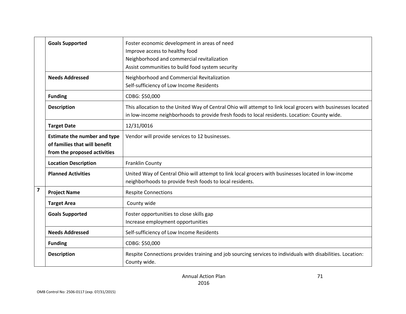|                | <b>Goals Supported</b>                                                                               | Foster economic development in areas of need<br>Improve access to healthy food<br>Neighborhood and commercial revitalization<br>Assist communities to build food system security                              |
|----------------|------------------------------------------------------------------------------------------------------|---------------------------------------------------------------------------------------------------------------------------------------------------------------------------------------------------------------|
|                | <b>Needs Addressed</b>                                                                               | Neighborhood and Commercial Revitalization<br>Self-sufficiency of Low Income Residents                                                                                                                        |
|                | <b>Funding</b>                                                                                       | CDBG: \$50,000                                                                                                                                                                                                |
|                | <b>Description</b>                                                                                   | This allocation to the United Way of Central Ohio will attempt to link local grocers with businesses located<br>in low-income neighborhoods to provide fresh foods to local residents. Location: County wide. |
|                | <b>Target Date</b>                                                                                   | 12/31/0016                                                                                                                                                                                                    |
|                | <b>Estimate the number and type</b><br>of families that will benefit<br>from the proposed activities | Vendor will provide services to 12 businesses.                                                                                                                                                                |
|                | <b>Location Description</b>                                                                          | <b>Franklin County</b>                                                                                                                                                                                        |
|                | <b>Planned Activities</b>                                                                            | United Way of Central Ohio will attempt to link local grocers with businesses located in low-income<br>neighborhoods to provide fresh foods to local residents.                                               |
| $\overline{7}$ | <b>Project Name</b>                                                                                  | <b>Respite Connections</b>                                                                                                                                                                                    |
|                | <b>Target Area</b>                                                                                   | County wide                                                                                                                                                                                                   |
|                | <b>Goals Supported</b>                                                                               | Foster opportunities to close skills gap<br>Increase employment opportunities                                                                                                                                 |
|                | <b>Needs Addressed</b>                                                                               | Self-sufficiency of Low Income Residents                                                                                                                                                                      |
|                | <b>Funding</b>                                                                                       | CDBG: \$50,000                                                                                                                                                                                                |
|                | <b>Description</b>                                                                                   | Respite Connections provides training and job sourcing services to individuals with disabilities. Location:<br>County wide.                                                                                   |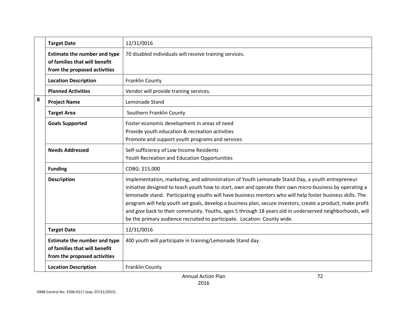|   | <b>Target Date</b>                                                                                   | 12/31/0016                                                                                                                                                                                                                                                                                                                                                                                                                                                                                                                                                                                                                      |
|---|------------------------------------------------------------------------------------------------------|---------------------------------------------------------------------------------------------------------------------------------------------------------------------------------------------------------------------------------------------------------------------------------------------------------------------------------------------------------------------------------------------------------------------------------------------------------------------------------------------------------------------------------------------------------------------------------------------------------------------------------|
|   | <b>Estimate the number and type</b><br>of families that will benefit<br>from the proposed activities | 70 disabled individuals will receive training services.                                                                                                                                                                                                                                                                                                                                                                                                                                                                                                                                                                         |
|   | <b>Location Description</b>                                                                          | Franklin County                                                                                                                                                                                                                                                                                                                                                                                                                                                                                                                                                                                                                 |
|   | <b>Planned Activities</b>                                                                            | Vendor will provide training services.                                                                                                                                                                                                                                                                                                                                                                                                                                                                                                                                                                                          |
| 8 | <b>Project Name</b>                                                                                  | Lemonade Stand                                                                                                                                                                                                                                                                                                                                                                                                                                                                                                                                                                                                                  |
|   | <b>Target Area</b>                                                                                   | Southern Franklin County                                                                                                                                                                                                                                                                                                                                                                                                                                                                                                                                                                                                        |
|   | <b>Goals Supported</b>                                                                               | Foster economic development in areas of need<br>Provide youth education & recreation activities<br>Promote and support youth programs and services                                                                                                                                                                                                                                                                                                                                                                                                                                                                              |
|   | <b>Needs Addressed</b>                                                                               | Self-sufficiency of Low Income Residents<br>Youth Recreation and Education Opportunities                                                                                                                                                                                                                                                                                                                                                                                                                                                                                                                                        |
|   | <b>Funding</b>                                                                                       | CDBG: \$15,000                                                                                                                                                                                                                                                                                                                                                                                                                                                                                                                                                                                                                  |
|   | <b>Description</b>                                                                                   | Implementation, marketing, and administration of Youth Lemonade Stand Day, a youth entrepreneur<br>initiative designed to teach youth how to start, own and operate their own micro-business by operating a<br>lemonade stand. Participating youths will have business mentors who will help foster business skills. The<br>program will help youth set goals, develop a business plan, secure investors, create a product, make profit<br>and give back to their community. Youths, ages 5 through 18 years old in underserved neighborhoods, will<br>be the primary audience recruited to participate. Location: County wide. |
|   | <b>Target Date</b>                                                                                   | 12/31/0016                                                                                                                                                                                                                                                                                                                                                                                                                                                                                                                                                                                                                      |
|   | <b>Estimate the number and type</b><br>of families that will benefit<br>from the proposed activities | 400 youth will participate in training/Lemonade Stand day.                                                                                                                                                                                                                                                                                                                                                                                                                                                                                                                                                                      |
|   | <b>Location Description</b>                                                                          | Franklin County                                                                                                                                                                                                                                                                                                                                                                                                                                                                                                                                                                                                                 |
|   |                                                                                                      | 72<br><b>Annual Action Plan</b>                                                                                                                                                                                                                                                                                                                                                                                                                                                                                                                                                                                                 |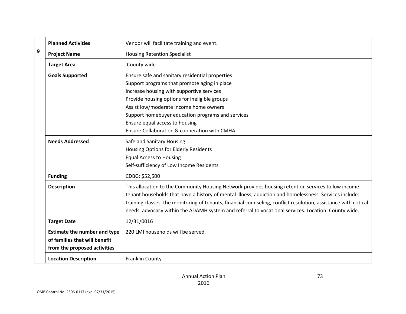|                  | <b>Planned Activities</b>           | Vendor will facilitate training and event.                                                                       |
|------------------|-------------------------------------|------------------------------------------------------------------------------------------------------------------|
| $\boldsymbol{9}$ | <b>Project Name</b>                 | <b>Housing Retention Specialist</b>                                                                              |
|                  | <b>Target Area</b>                  | County wide                                                                                                      |
|                  | <b>Goals Supported</b>              | Ensure safe and sanitary residential properties                                                                  |
|                  |                                     | Support programs that promote aging in place                                                                     |
|                  |                                     | Increase housing with supportive services                                                                        |
|                  |                                     | Provide housing options for ineligible groups                                                                    |
|                  |                                     | Assist low/moderate income home owners                                                                           |
|                  |                                     | Support homebuyer education programs and services                                                                |
|                  |                                     | Ensure equal access to housing                                                                                   |
|                  |                                     | Ensure Collaboration & cooperation with CMHA                                                                     |
|                  | <b>Needs Addressed</b>              | Safe and Sanitary Housing                                                                                        |
|                  |                                     | Housing Options for Elderly Residents                                                                            |
|                  |                                     | <b>Equal Access to Housing</b>                                                                                   |
|                  |                                     | Self-sufficiency of Low Income Residents                                                                         |
|                  | <b>Funding</b>                      | CDBG: \$52,500                                                                                                   |
|                  | <b>Description</b>                  | This allocation to the Community Housing Network provides housing retention services to low income               |
|                  |                                     | tenant households that have a history of mental illness, addiction and homelessness. Services include:           |
|                  |                                     | training classes, the monitoring of tenants, financial counseling, conflict resolution, assistance with critical |
|                  |                                     | needs, advocacy within the ADAMH system and referral to vocational services. Location: County wide.              |
|                  | <b>Target Date</b>                  | 12/31/0016                                                                                                       |
|                  | <b>Estimate the number and type</b> | 220 LMI households will be served.                                                                               |
|                  | of families that will benefit       |                                                                                                                  |
|                  | from the proposed activities        |                                                                                                                  |
|                  | <b>Location Description</b>         | Franklin County                                                                                                  |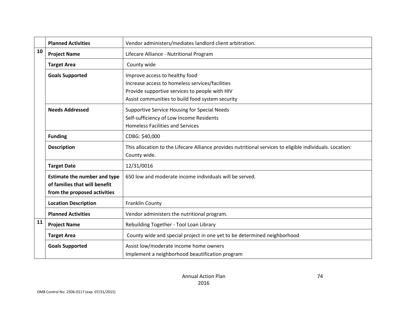|    | <b>Planned Activities</b>                                                                            | Vendor administers/mediates landlord client arbitration.                                                                                                                                |
|----|------------------------------------------------------------------------------------------------------|-----------------------------------------------------------------------------------------------------------------------------------------------------------------------------------------|
| 10 | <b>Project Name</b>                                                                                  | Lifecare Alliance - Nutritional Program                                                                                                                                                 |
|    | <b>Target Area</b>                                                                                   | County wide                                                                                                                                                                             |
|    | <b>Goals Supported</b>                                                                               | Improve access to healthy food<br>Increase access to homeless services/facilities<br>Provide supportive services to people with HIV<br>Assist communities to build food system security |
|    | <b>Needs Addressed</b>                                                                               | Supportive Service Housing for Special Needs<br>Self-sufficiency of Low Income Residents<br><b>Homeless Facilities and Services</b>                                                     |
|    | <b>Funding</b>                                                                                       | CDBG: \$40,000                                                                                                                                                                          |
|    | <b>Description</b>                                                                                   | This allocation to the Lifecare Alliance provides nutritional services to eligible individuals. Location:<br>County wide.                                                               |
|    | <b>Target Date</b>                                                                                   | 12/31/0016                                                                                                                                                                              |
|    | <b>Estimate the number and type</b><br>of families that will benefit<br>from the proposed activities | 650 low and moderate income individuals will be served.                                                                                                                                 |
|    | <b>Location Description</b>                                                                          | Franklin County                                                                                                                                                                         |
|    | <b>Planned Activities</b>                                                                            | Vendor administers the nutritional program.                                                                                                                                             |
| 11 | <b>Project Name</b>                                                                                  | Rebuilding Together - Tool Loan Library                                                                                                                                                 |
|    | <b>Target Area</b>                                                                                   | County wide and special project in one yet to be determined neighborhood                                                                                                                |
|    | <b>Goals Supported</b>                                                                               | Assist low/moderate income home owners<br>Implement a neighborhood beautification program                                                                                               |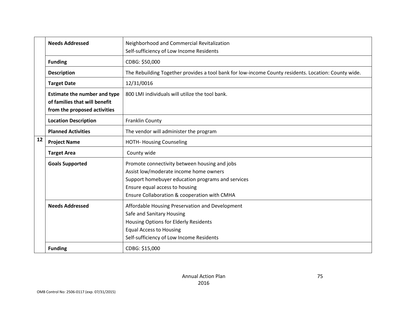|    | <b>Needs Addressed</b>                                                                               | Neighborhood and Commercial Revitalization                                                                                                                                                                                     |
|----|------------------------------------------------------------------------------------------------------|--------------------------------------------------------------------------------------------------------------------------------------------------------------------------------------------------------------------------------|
|    |                                                                                                      | Self-sufficiency of Low Income Residents                                                                                                                                                                                       |
|    | <b>Funding</b>                                                                                       | CDBG: \$50,000                                                                                                                                                                                                                 |
|    | <b>Description</b>                                                                                   | The Rebuilding Together provides a tool bank for low-income County residents. Location: County wide.                                                                                                                           |
|    | <b>Target Date</b>                                                                                   | 12/31/0016                                                                                                                                                                                                                     |
|    | <b>Estimate the number and type</b><br>of families that will benefit<br>from the proposed activities | 800 LMI individuals will utilize the tool bank.                                                                                                                                                                                |
|    | <b>Location Description</b>                                                                          | Franklin County                                                                                                                                                                                                                |
|    | <b>Planned Activities</b>                                                                            | The vendor will administer the program                                                                                                                                                                                         |
| 12 | <b>Project Name</b>                                                                                  | <b>HOTH- Housing Counseling</b>                                                                                                                                                                                                |
|    | <b>Target Area</b>                                                                                   | County wide                                                                                                                                                                                                                    |
|    | <b>Goals Supported</b>                                                                               | Promote connectivity between housing and jobs<br>Assist low/moderate income home owners<br>Support homebuyer education programs and services<br>Ensure equal access to housing<br>Ensure Collaboration & cooperation with CMHA |
|    | <b>Needs Addressed</b>                                                                               | Affordable Housing Preservation and Development<br>Safe and Sanitary Housing<br>Housing Options for Elderly Residents<br><b>Equal Access to Housing</b><br>Self-sufficiency of Low Income Residents                            |
|    | <b>Funding</b>                                                                                       | CDBG: \$15,000                                                                                                                                                                                                                 |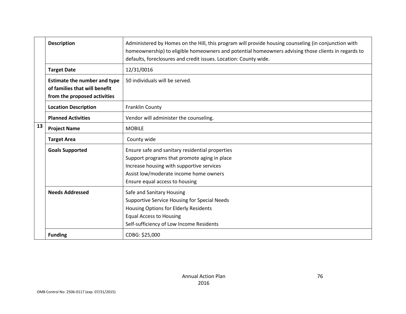|    | <b>Description</b>                                                                                   | Administered by Homes on the Hill, this program will provide housing counseling (in conjunction with<br>homeownership) to eligible homeowners and potential homeowners advising those clients in regards to<br>defaults, foreclosures and credit issues. Location: County wide. |
|----|------------------------------------------------------------------------------------------------------|---------------------------------------------------------------------------------------------------------------------------------------------------------------------------------------------------------------------------------------------------------------------------------|
|    | <b>Target Date</b>                                                                                   | 12/31/0016                                                                                                                                                                                                                                                                      |
|    | <b>Estimate the number and type</b><br>of families that will benefit<br>from the proposed activities | 50 individuals will be served.                                                                                                                                                                                                                                                  |
|    | <b>Location Description</b>                                                                          | <b>Franklin County</b>                                                                                                                                                                                                                                                          |
|    | <b>Planned Activities</b>                                                                            | Vendor will administer the counseling.                                                                                                                                                                                                                                          |
| 13 | <b>Project Name</b>                                                                                  | <b>MOBILE</b>                                                                                                                                                                                                                                                                   |
|    | <b>Target Area</b>                                                                                   | County wide                                                                                                                                                                                                                                                                     |
|    | <b>Goals Supported</b>                                                                               | Ensure safe and sanitary residential properties<br>Support programs that promote aging in place<br>Increase housing with supportive services<br>Assist low/moderate income home owners<br>Ensure equal access to housing                                                        |
|    | <b>Needs Addressed</b>                                                                               | Safe and Sanitary Housing<br>Supportive Service Housing for Special Needs<br>Housing Options for Elderly Residents<br><b>Equal Access to Housing</b><br>Self-sufficiency of Low Income Residents                                                                                |
|    | <b>Funding</b>                                                                                       | CDBG: \$25,000                                                                                                                                                                                                                                                                  |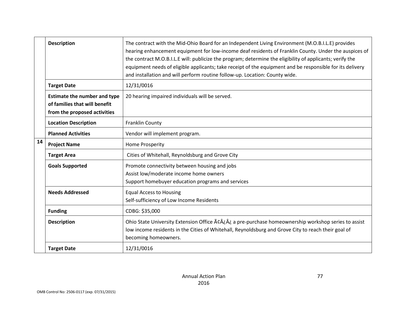|    | <b>Description</b>                                                                                   | The contract with the Mid-Ohio Board for an Independent Living Environment (M.O.B.I.L.E) provides<br>hearing enhancement equipment for low-income deaf residents of Franklin County. Under the auspices of<br>the contract M.O.B.I.L.E will: publicize the program; determine the eligibility of applicants; verify the<br>equipment needs of eligible applicants; take receipt of the equipment and be responsible for its delivery<br>and installation and will perform routine follow-up. Location: County wide. |
|----|------------------------------------------------------------------------------------------------------|---------------------------------------------------------------------------------------------------------------------------------------------------------------------------------------------------------------------------------------------------------------------------------------------------------------------------------------------------------------------------------------------------------------------------------------------------------------------------------------------------------------------|
|    | <b>Target Date</b>                                                                                   | 12/31/0016                                                                                                                                                                                                                                                                                                                                                                                                                                                                                                          |
|    | <b>Estimate the number and type</b><br>of families that will benefit<br>from the proposed activities | 20 hearing impaired individuals will be served.                                                                                                                                                                                                                                                                                                                                                                                                                                                                     |
|    | <b>Location Description</b>                                                                          | Franklin County                                                                                                                                                                                                                                                                                                                                                                                                                                                                                                     |
|    | <b>Planned Activities</b>                                                                            | Vendor will implement program.                                                                                                                                                                                                                                                                                                                                                                                                                                                                                      |
| 14 | <b>Project Name</b>                                                                                  | <b>Home Prosperity</b>                                                                                                                                                                                                                                                                                                                                                                                                                                                                                              |
|    | <b>Target Area</b>                                                                                   | Cities of Whitehall, Reynoldsburg and Grove City                                                                                                                                                                                                                                                                                                                                                                                                                                                                    |
|    | <b>Goals Supported</b>                                                                               | Promote connectivity between housing and jobs<br>Assist low/moderate income home owners<br>Support homebuyer education programs and services                                                                                                                                                                                                                                                                                                                                                                        |
|    | <b>Needs Addressed</b>                                                                               | <b>Equal Access to Housing</b><br>Self-sufficiency of Low Income Residents                                                                                                                                                                                                                                                                                                                                                                                                                                          |
|    | <b>Funding</b>                                                                                       | CDBG: \$35,000                                                                                                                                                                                                                                                                                                                                                                                                                                                                                                      |
|    | <b>Description</b>                                                                                   | Ohio State University Extension Office Ãc¿¿ a pre-purchase homeownership workshop series to assist<br>low income residents in the Cities of Whitehall, Reynoldsburg and Grove City to reach their goal of<br>becoming homeowners.                                                                                                                                                                                                                                                                                   |
|    | <b>Target Date</b>                                                                                   | 12/31/0016                                                                                                                                                                                                                                                                                                                                                                                                                                                                                                          |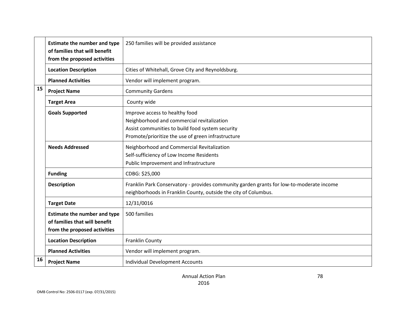|    | <b>Estimate the number and type</b><br>of families that will benefit<br>from the proposed activities | 250 families will be provided assistance                                                                                                                                               |
|----|------------------------------------------------------------------------------------------------------|----------------------------------------------------------------------------------------------------------------------------------------------------------------------------------------|
|    | <b>Location Description</b>                                                                          | Cities of Whitehall, Grove City and Reynoldsburg.                                                                                                                                      |
|    | <b>Planned Activities</b>                                                                            | Vendor will implement program.                                                                                                                                                         |
| 15 | <b>Project Name</b>                                                                                  | <b>Community Gardens</b>                                                                                                                                                               |
|    | <b>Target Area</b>                                                                                   | County wide                                                                                                                                                                            |
|    | <b>Goals Supported</b>                                                                               | Improve access to healthy food<br>Neighborhood and commercial revitalization<br>Assist communities to build food system security<br>Promote/prioritize the use of green infrastructure |
|    | <b>Needs Addressed</b>                                                                               | Neighborhood and Commercial Revitalization<br>Self-sufficiency of Low Income Residents<br>Public Improvement and Infrastructure                                                        |
|    | <b>Funding</b>                                                                                       | CDBG: \$25,000                                                                                                                                                                         |
|    | <b>Description</b>                                                                                   | Franklin Park Conservatory - provides community garden grants for low-to-moderate income<br>neighborhoods in Franklin County, outside the city of Columbus.                            |
|    | <b>Target Date</b>                                                                                   | 12/31/0016                                                                                                                                                                             |
|    | <b>Estimate the number and type</b><br>of families that will benefit<br>from the proposed activities | 500 families                                                                                                                                                                           |
|    | <b>Location Description</b>                                                                          | Franklin County                                                                                                                                                                        |
|    | <b>Planned Activities</b>                                                                            | Vendor will implement program.                                                                                                                                                         |
| 16 | <b>Project Name</b>                                                                                  | Individual Development Accounts                                                                                                                                                        |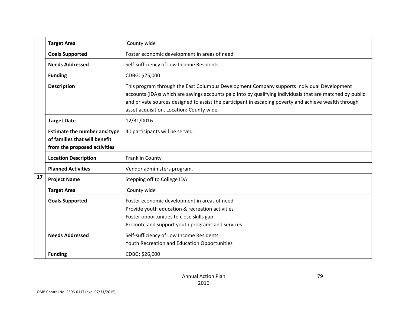|    | <b>Target Area</b>                                                                                   | County wide                                                                                                                                                                                                                                                                                                                                                   |
|----|------------------------------------------------------------------------------------------------------|---------------------------------------------------------------------------------------------------------------------------------------------------------------------------------------------------------------------------------------------------------------------------------------------------------------------------------------------------------------|
|    | <b>Goals Supported</b>                                                                               | Foster economic development in areas of need                                                                                                                                                                                                                                                                                                                  |
|    | <b>Needs Addressed</b>                                                                               | Self-sufficiency of Low Income Residents                                                                                                                                                                                                                                                                                                                      |
|    | <b>Funding</b>                                                                                       | CDBG: \$25,000                                                                                                                                                                                                                                                                                                                                                |
|    | <b>Description</b>                                                                                   | This program through the East Columbus Development Company supports Individual Development<br>accounts (IDA)s which are savings accounts paid into by qualifying individuals that are matched by public<br>and private sources designed to assist the participant in escaping poverty and achieve wealth through<br>asset acquisition. Location: County wide. |
|    | <b>Target Date</b>                                                                                   | 12/31/0016                                                                                                                                                                                                                                                                                                                                                    |
|    | <b>Estimate the number and type</b><br>of families that will benefit<br>from the proposed activities | 40 participants will be served.                                                                                                                                                                                                                                                                                                                               |
|    | <b>Location Description</b>                                                                          | Franklin County                                                                                                                                                                                                                                                                                                                                               |
|    | <b>Planned Activities</b>                                                                            | Vendor administers program.                                                                                                                                                                                                                                                                                                                                   |
| 17 | <b>Project Name</b>                                                                                  | Stepping off to College IDA                                                                                                                                                                                                                                                                                                                                   |
|    | <b>Target Area</b>                                                                                   | County wide                                                                                                                                                                                                                                                                                                                                                   |
|    | <b>Goals Supported</b>                                                                               | Foster economic development in areas of need<br>Provide youth education & recreation activities<br>Foster opportunities to close skills gap<br>Promote and support youth programs and services                                                                                                                                                                |
|    | <b>Needs Addressed</b>                                                                               | Self-sufficiency of Low Income Residents<br>Youth Recreation and Education Opportunities                                                                                                                                                                                                                                                                      |
|    | <b>Funding</b>                                                                                       | CDBG: \$26,000                                                                                                                                                                                                                                                                                                                                                |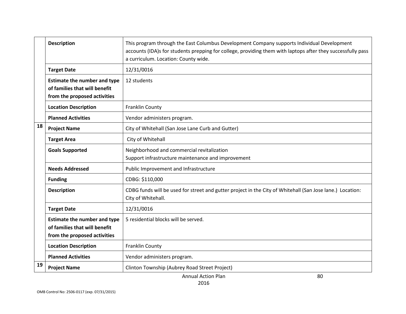|    | <b>Description</b>                                                                                   | This program through the East Columbus Development Company supports Individual Development<br>accounts (IDA)s for students prepping for college, providing them with laptops after they successfully pass<br>a curriculum. Location: County wide. |
|----|------------------------------------------------------------------------------------------------------|---------------------------------------------------------------------------------------------------------------------------------------------------------------------------------------------------------------------------------------------------|
|    | <b>Target Date</b>                                                                                   | 12/31/0016                                                                                                                                                                                                                                        |
|    | <b>Estimate the number and type</b><br>of families that will benefit<br>from the proposed activities | 12 students                                                                                                                                                                                                                                       |
|    | <b>Location Description</b>                                                                          | Franklin County                                                                                                                                                                                                                                   |
|    | <b>Planned Activities</b>                                                                            | Vendor administers program.                                                                                                                                                                                                                       |
| 18 | <b>Project Name</b>                                                                                  | City of Whitehall (San Jose Lane Curb and Gutter)                                                                                                                                                                                                 |
|    | <b>Target Area</b>                                                                                   | City of Whitehall                                                                                                                                                                                                                                 |
|    | <b>Goals Supported</b>                                                                               | Neighborhood and commercial revitalization<br>Support infrastructure maintenance and improvement                                                                                                                                                  |
|    | <b>Needs Addressed</b>                                                                               | Public Improvement and Infrastructure                                                                                                                                                                                                             |
|    | <b>Funding</b>                                                                                       | CDBG: \$110,000                                                                                                                                                                                                                                   |
|    | <b>Description</b>                                                                                   | CDBG funds will be used for street and gutter project in the City of Whitehall (San Jose lane.) Location:<br>City of Whitehall.                                                                                                                   |
|    | <b>Target Date</b>                                                                                   | 12/31/0016                                                                                                                                                                                                                                        |
|    | <b>Estimate the number and type</b><br>of families that will benefit<br>from the proposed activities | 5 residential blocks will be served.                                                                                                                                                                                                              |
|    | <b>Location Description</b>                                                                          | Franklin County                                                                                                                                                                                                                                   |
|    | <b>Planned Activities</b>                                                                            | Vendor administers program.                                                                                                                                                                                                                       |
| 19 | <b>Project Name</b>                                                                                  | Clinton Township (Aubrey Road Street Project)                                                                                                                                                                                                     |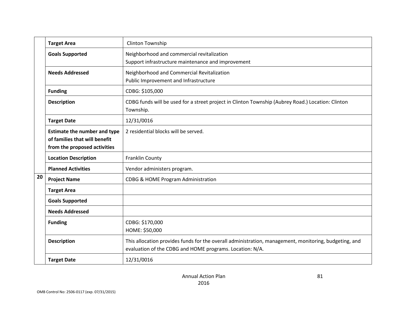|    | <b>Target Area</b>                                                                                   | <b>Clinton Township</b>                                                                                                                                           |
|----|------------------------------------------------------------------------------------------------------|-------------------------------------------------------------------------------------------------------------------------------------------------------------------|
|    | <b>Goals Supported</b>                                                                               | Neighborhood and commercial revitalization<br>Support infrastructure maintenance and improvement                                                                  |
|    | <b>Needs Addressed</b>                                                                               | Neighborhood and Commercial Revitalization<br>Public Improvement and Infrastructure                                                                               |
|    | <b>Funding</b>                                                                                       | CDBG: \$105,000                                                                                                                                                   |
|    | <b>Description</b>                                                                                   | CDBG funds will be used for a street project in Clinton Township (Aubrey Road.) Location: Clinton<br>Township.                                                    |
|    | <b>Target Date</b>                                                                                   | 12/31/0016                                                                                                                                                        |
|    | <b>Estimate the number and type</b><br>of families that will benefit<br>from the proposed activities | 2 residential blocks will be served.                                                                                                                              |
|    | <b>Location Description</b>                                                                          | Franklin County                                                                                                                                                   |
|    | <b>Planned Activities</b>                                                                            | Vendor administers program.                                                                                                                                       |
| 20 | <b>Project Name</b>                                                                                  | CDBG & HOME Program Administration                                                                                                                                |
|    | <b>Target Area</b>                                                                                   |                                                                                                                                                                   |
|    | <b>Goals Supported</b>                                                                               |                                                                                                                                                                   |
|    | <b>Needs Addressed</b>                                                                               |                                                                                                                                                                   |
|    | <b>Funding</b>                                                                                       | CDBG: \$170,000<br>HOME: \$50,000                                                                                                                                 |
|    | <b>Description</b>                                                                                   | This allocation provides funds for the overall administration, management, monitoring, budgeting, and<br>evaluation of the CDBG and HOME programs. Location: N/A. |
|    | <b>Target Date</b>                                                                                   | 12/31/0016                                                                                                                                                        |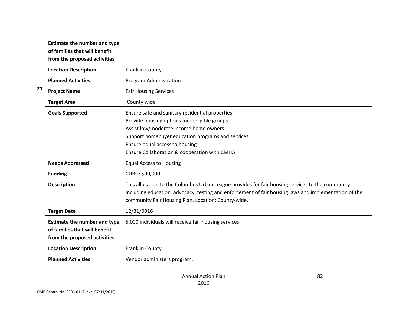|    | <b>Estimate the number and type</b><br>of families that will benefit<br>from the proposed activities |                                                                                                                                                                                                                                                                                   |
|----|------------------------------------------------------------------------------------------------------|-----------------------------------------------------------------------------------------------------------------------------------------------------------------------------------------------------------------------------------------------------------------------------------|
|    | <b>Location Description</b>                                                                          | Franklin County                                                                                                                                                                                                                                                                   |
|    | <b>Planned Activities</b>                                                                            | Program Administration                                                                                                                                                                                                                                                            |
| 21 | <b>Project Name</b>                                                                                  | <b>Fair Housing Services</b>                                                                                                                                                                                                                                                      |
|    | <b>Target Area</b>                                                                                   | County wide                                                                                                                                                                                                                                                                       |
|    | <b>Goals Supported</b>                                                                               | Ensure safe and sanitary residential properties<br>Provide housing options for ineligible groups<br>Assist low/moderate income home owners<br>Support homebuyer education programs and services<br>Ensure equal access to housing<br>Ensure Collaboration & cooperation with CMHA |
|    | <b>Needs Addressed</b>                                                                               | <b>Equal Access to Housing</b>                                                                                                                                                                                                                                                    |
|    | <b>Funding</b>                                                                                       | CDBG: \$90,000                                                                                                                                                                                                                                                                    |
|    | <b>Description</b>                                                                                   | This allocation to the Columbus Urban League provides for fair housing services to the community<br>including education, advocacy, testing and enforcement of fair housing laws and implementation of the<br>community Fair Housing Plan. Location: County-wide.                  |
|    | <b>Target Date</b>                                                                                   | 12/31/0016                                                                                                                                                                                                                                                                        |
|    | <b>Estimate the number and type</b><br>of families that will benefit<br>from the proposed activities | 5,000 individuals will receive fair housing services                                                                                                                                                                                                                              |
|    | <b>Location Description</b>                                                                          | Franklin County                                                                                                                                                                                                                                                                   |
|    | <b>Planned Activities</b>                                                                            | Vendor administers program.                                                                                                                                                                                                                                                       |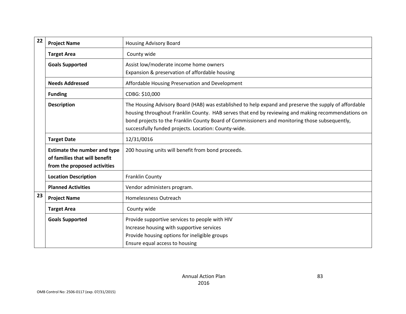| 22 | <b>Project Name</b>                                                                                  | <b>Housing Advisory Board</b>                                                                                                                                                                                                                                                                                                                                         |
|----|------------------------------------------------------------------------------------------------------|-----------------------------------------------------------------------------------------------------------------------------------------------------------------------------------------------------------------------------------------------------------------------------------------------------------------------------------------------------------------------|
|    | <b>Target Area</b>                                                                                   | County wide                                                                                                                                                                                                                                                                                                                                                           |
|    | <b>Goals Supported</b>                                                                               | Assist low/moderate income home owners<br>Expansion & preservation of affordable housing                                                                                                                                                                                                                                                                              |
|    | <b>Needs Addressed</b>                                                                               | Affordable Housing Preservation and Development                                                                                                                                                                                                                                                                                                                       |
|    | <b>Funding</b>                                                                                       | CDBG: \$10,000                                                                                                                                                                                                                                                                                                                                                        |
|    | <b>Description</b>                                                                                   | The Housing Advisory Board (HAB) was established to help expand and preserve the supply of affordable<br>housing throughout Franklin County. HAB serves that end by reviewing and making recommendations on<br>bond projects to the Franklin County Board of Commissioners and monitoring those subsequently,<br>successfully funded projects. Location: County-wide. |
|    | <b>Target Date</b>                                                                                   | 12/31/0016                                                                                                                                                                                                                                                                                                                                                            |
|    | <b>Estimate the number and type</b><br>of families that will benefit<br>from the proposed activities | 200 housing units will benefit from bond proceeds.                                                                                                                                                                                                                                                                                                                    |
|    | <b>Location Description</b>                                                                          | Franklin County                                                                                                                                                                                                                                                                                                                                                       |
|    | <b>Planned Activities</b>                                                                            | Vendor administers program.                                                                                                                                                                                                                                                                                                                                           |
| 23 | <b>Project Name</b>                                                                                  | Homelessness Outreach                                                                                                                                                                                                                                                                                                                                                 |
|    | <b>Target Area</b>                                                                                   | County wide                                                                                                                                                                                                                                                                                                                                                           |
|    | <b>Goals Supported</b>                                                                               | Provide supportive services to people with HIV<br>Increase housing with supportive services<br>Provide housing options for ineligible groups<br>Ensure equal access to housing                                                                                                                                                                                        |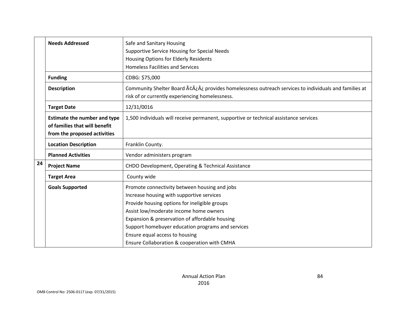|    | <b>Needs Addressed</b>                                                                               | Safe and Sanitary Housing<br>Supportive Service Housing for Special Needs<br>Housing Options for Elderly Residents<br><b>Homeless Facilities and Services</b>                                                                                                                                                                                                                  |
|----|------------------------------------------------------------------------------------------------------|--------------------------------------------------------------------------------------------------------------------------------------------------------------------------------------------------------------------------------------------------------------------------------------------------------------------------------------------------------------------------------|
|    | <b>Funding</b>                                                                                       | CDBG: \$75,000                                                                                                                                                                                                                                                                                                                                                                 |
|    | <b>Description</b>                                                                                   | Community Shelter Board Ãc¿¿ provides homelessness outreach services to individuals and families at<br>risk of or currently experiencing homelessness.                                                                                                                                                                                                                         |
|    | <b>Target Date</b>                                                                                   | 12/31/0016                                                                                                                                                                                                                                                                                                                                                                     |
|    | <b>Estimate the number and type</b><br>of families that will benefit<br>from the proposed activities | 1,500 individuals will receive permanent, supportive or technical assistance services                                                                                                                                                                                                                                                                                          |
|    | <b>Location Description</b>                                                                          | Franklin County.                                                                                                                                                                                                                                                                                                                                                               |
|    | <b>Planned Activities</b>                                                                            | Vendor administers program                                                                                                                                                                                                                                                                                                                                                     |
| 24 | <b>Project Name</b>                                                                                  | CHDO Development, Operating & Technical Assistance                                                                                                                                                                                                                                                                                                                             |
|    | <b>Target Area</b>                                                                                   | County wide                                                                                                                                                                                                                                                                                                                                                                    |
|    | <b>Goals Supported</b>                                                                               | Promote connectivity between housing and jobs<br>Increase housing with supportive services<br>Provide housing options for ineligible groups<br>Assist low/moderate income home owners<br>Expansion & preservation of affordable housing<br>Support homebuyer education programs and services<br>Ensure equal access to housing<br>Ensure Collaboration & cooperation with CMHA |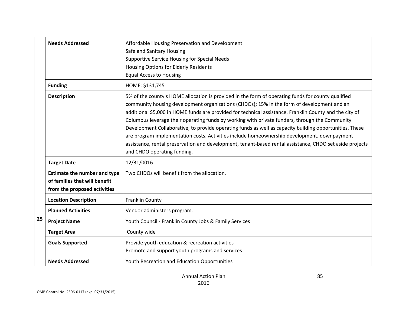|    | <b>Needs Addressed</b>                                                                               | Affordable Housing Preservation and Development<br>Safe and Sanitary Housing<br>Supportive Service Housing for Special Needs<br><b>Housing Options for Elderly Residents</b><br><b>Equal Access to Housing</b>                                                                                                                                                                                                                                                                                                                                                                                                                                                                                                                                                     |
|----|------------------------------------------------------------------------------------------------------|--------------------------------------------------------------------------------------------------------------------------------------------------------------------------------------------------------------------------------------------------------------------------------------------------------------------------------------------------------------------------------------------------------------------------------------------------------------------------------------------------------------------------------------------------------------------------------------------------------------------------------------------------------------------------------------------------------------------------------------------------------------------|
|    | <b>Funding</b>                                                                                       | HOME: \$131,745                                                                                                                                                                                                                                                                                                                                                                                                                                                                                                                                                                                                                                                                                                                                                    |
|    | <b>Description</b>                                                                                   | 5% of the county's HOME allocation is provided in the form of operating funds for county qualified<br>community housing development organizations (CHDOs); 15% in the form of development and an<br>additional \$5,000 in HOME funds are provided for technical assistance. Franklin County and the city of<br>Columbus leverage their operating funds by working with private funders, through the Community<br>Development Collaborative, to provide operating funds as well as capacity building opportunities. These<br>are program implementation costs. Activities include homeownership development, downpayment<br>assistance, rental preservation and development, tenant-based rental assistance, CHDO set aside projects<br>and CHDO operating funding. |
|    | <b>Target Date</b>                                                                                   | 12/31/0016                                                                                                                                                                                                                                                                                                                                                                                                                                                                                                                                                                                                                                                                                                                                                         |
|    | <b>Estimate the number and type</b><br>of families that will benefit<br>from the proposed activities | Two CHDOs will benefit from the allocation.                                                                                                                                                                                                                                                                                                                                                                                                                                                                                                                                                                                                                                                                                                                        |
|    | <b>Location Description</b>                                                                          | Franklin County                                                                                                                                                                                                                                                                                                                                                                                                                                                                                                                                                                                                                                                                                                                                                    |
|    | <b>Planned Activities</b>                                                                            | Vendor administers program.                                                                                                                                                                                                                                                                                                                                                                                                                                                                                                                                                                                                                                                                                                                                        |
| 25 | <b>Project Name</b>                                                                                  | Youth Council - Franklin County Jobs & Family Services                                                                                                                                                                                                                                                                                                                                                                                                                                                                                                                                                                                                                                                                                                             |
|    | <b>Target Area</b>                                                                                   | County wide                                                                                                                                                                                                                                                                                                                                                                                                                                                                                                                                                                                                                                                                                                                                                        |
|    | <b>Goals Supported</b>                                                                               | Provide youth education & recreation activities<br>Promote and support youth programs and services                                                                                                                                                                                                                                                                                                                                                                                                                                                                                                                                                                                                                                                                 |
|    | <b>Needs Addressed</b>                                                                               | Youth Recreation and Education Opportunities                                                                                                                                                                                                                                                                                                                                                                                                                                                                                                                                                                                                                                                                                                                       |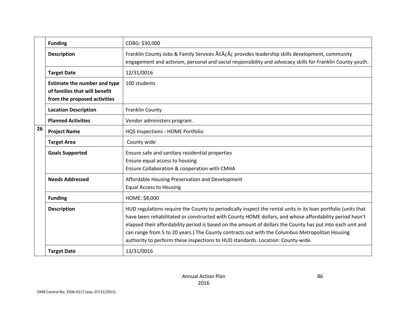|    | <b>Funding</b>                                                                                       | CDBG: \$30,000                                                                                                                                                                                                                                                                                                                                                                                                                                                                                                             |
|----|------------------------------------------------------------------------------------------------------|----------------------------------------------------------------------------------------------------------------------------------------------------------------------------------------------------------------------------------------------------------------------------------------------------------------------------------------------------------------------------------------------------------------------------------------------------------------------------------------------------------------------------|
|    | <b>Description</b>                                                                                   | Franklin County Jobs & Family Services Ãc¿¿ provides leadership skills development, community<br>engagement and activism, personal and social responsibility and advocacy skills for Franklin County youth.                                                                                                                                                                                                                                                                                                                |
|    | <b>Target Date</b>                                                                                   | 12/31/0016                                                                                                                                                                                                                                                                                                                                                                                                                                                                                                                 |
|    | <b>Estimate the number and type</b><br>of families that will benefit<br>from the proposed activities | 100 students                                                                                                                                                                                                                                                                                                                                                                                                                                                                                                               |
|    | <b>Location Description</b>                                                                          | Franklin County                                                                                                                                                                                                                                                                                                                                                                                                                                                                                                            |
|    | <b>Planned Activities</b>                                                                            | Vendor administers program.                                                                                                                                                                                                                                                                                                                                                                                                                                                                                                |
| 26 | <b>Project Name</b>                                                                                  | HQS Inspections - HOME Portfolio                                                                                                                                                                                                                                                                                                                                                                                                                                                                                           |
|    | <b>Target Area</b>                                                                                   | County wide                                                                                                                                                                                                                                                                                                                                                                                                                                                                                                                |
|    | <b>Goals Supported</b>                                                                               | Ensure safe and sanitary residential properties<br>Ensure equal access to housing<br>Ensure Collaboration & cooperation with CMHA                                                                                                                                                                                                                                                                                                                                                                                          |
|    | <b>Needs Addressed</b>                                                                               | Affordable Housing Preservation and Development<br><b>Equal Access to Housing</b>                                                                                                                                                                                                                                                                                                                                                                                                                                          |
|    | <b>Funding</b>                                                                                       | HOME: \$8,000                                                                                                                                                                                                                                                                                                                                                                                                                                                                                                              |
|    | <b>Description</b>                                                                                   | HUD regulations require the County to periodically inspect the rental units in its loan portfolio (units that<br>have been rehabilitated or constructed with County HOME dollars, and whose affordability period hasn't<br>elapsed their affordability period is based on the amount of dollars the County has put into each unit and<br>can range from 5 to 20 years.) The County contracts out with the Columbus Metropolitan Housing<br>authority to perform these inspections to HUD standards. Location: County-wide. |
|    | <b>Target Date</b>                                                                                   | 12/31/0016                                                                                                                                                                                                                                                                                                                                                                                                                                                                                                                 |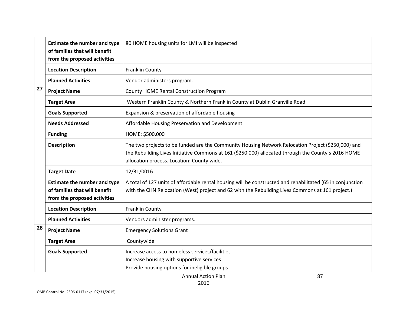|    | <b>Estimate the number and type</b><br>of families that will benefit<br>from the proposed activities | 80 HOME housing units for LMI will be inspected                                                                                                                                                                                                         |
|----|------------------------------------------------------------------------------------------------------|---------------------------------------------------------------------------------------------------------------------------------------------------------------------------------------------------------------------------------------------------------|
|    | <b>Location Description</b>                                                                          | Franklin County                                                                                                                                                                                                                                         |
|    | <b>Planned Activities</b>                                                                            | Vendor administers program.                                                                                                                                                                                                                             |
| 27 | <b>Project Name</b>                                                                                  | <b>County HOME Rental Construction Program</b>                                                                                                                                                                                                          |
|    | <b>Target Area</b>                                                                                   | Western Franklin County & Northern Franklin County at Dublin Granville Road                                                                                                                                                                             |
|    | <b>Goals Supported</b>                                                                               | Expansion & preservation of affordable housing                                                                                                                                                                                                          |
|    | <b>Needs Addressed</b>                                                                               | Affordable Housing Preservation and Development                                                                                                                                                                                                         |
|    | <b>Funding</b>                                                                                       | HOME: \$500,000                                                                                                                                                                                                                                         |
|    | <b>Description</b>                                                                                   | The two projects to be funded are the Community Housing Network Relocation Project (\$250,000) and<br>the Rebuilding Lives Initiative Commons at 161 (\$250,000) allocated through the County's 2016 HOME<br>allocation process. Location: County wide. |
|    | <b>Target Date</b>                                                                                   | 12/31/0016                                                                                                                                                                                                                                              |
|    | <b>Estimate the number and type</b><br>of families that will benefit<br>from the proposed activities | A total of 127 units of affordable rental housing will be constructed and rehabilitated (65 in conjunction<br>with the CHN Relocation (West) project and 62 with the Rebuilding Lives Commons at 161 project.)                                          |
|    | <b>Location Description</b>                                                                          | Franklin County                                                                                                                                                                                                                                         |
|    | <b>Planned Activities</b>                                                                            | Vendors administer programs.                                                                                                                                                                                                                            |
| 28 | <b>Project Name</b>                                                                                  | <b>Emergency Solutions Grant</b>                                                                                                                                                                                                                        |
|    | <b>Target Area</b>                                                                                   | Countywide                                                                                                                                                                                                                                              |
|    | <b>Goals Supported</b>                                                                               | Increase access to homeless services/facilities<br>Increase housing with supportive services<br>Provide housing options for ineligible groups<br>87<br><b>Annual Action Plan</b>                                                                        |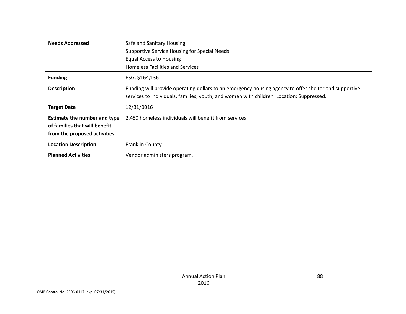|  | <b>Needs Addressed</b>                                                                               | Safe and Sanitary Housing<br>Supportive Service Housing for Special Needs<br>Equal Access to Housing<br><b>Homeless Facilities and Services</b>                                                   |
|--|------------------------------------------------------------------------------------------------------|---------------------------------------------------------------------------------------------------------------------------------------------------------------------------------------------------|
|  | <b>Funding</b>                                                                                       | ESG: \$164,136                                                                                                                                                                                    |
|  | <b>Description</b>                                                                                   | Funding will provide operating dollars to an emergency housing agency to offer shelter and supportive<br>services to individuals, families, youth, and women with children. Location: Suppressed. |
|  | <b>Target Date</b>                                                                                   | 12/31/0016                                                                                                                                                                                        |
|  | <b>Estimate the number and type</b><br>of families that will benefit<br>from the proposed activities | 2,450 homeless individuals will benefit from services.                                                                                                                                            |
|  | <b>Location Description</b>                                                                          | <b>Franklin County</b>                                                                                                                                                                            |
|  | <b>Planned Activities</b>                                                                            | Vendor administers program.                                                                                                                                                                       |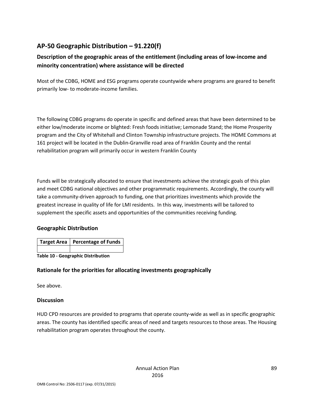# **AP-50 Geographic Distribution – 91.220(f)**

# **Description of the geographic areas of the entitlement (including areas of low-income and minority concentration) where assistance will be directed**

Most of the CDBG, HOME and ESG programs operate countywide where programs are geared to benefit primarily low- to moderate-income families.

The following CDBG programs do operate in specific and defined areas that have been determined to be either low/moderate income or blighted: Fresh foods initiative; Lemonade Stand; the Home Prosperity program and the City of Whitehall and Clinton Township infrastructure projects. The HOME Commons at 161 project will be located in the Dublin-Granville road area of Franklin County and the rental rehabilitation program will primarily occur in western Franklin County

Funds will be strategically allocated to ensure that investments achieve the strategic goals of this plan and meet CDBG national objectives and other programmatic requirements. Accordingly, the county will take a community-driven approach to funding, one that prioritizes investments which provide the greatest increase in quality of life for LMI residents. In this way, investments will be tailored to supplement the specific assets and opportunities of the communities receiving funding.

## **Geographic Distribution**

| Target Area   Percentage of Funds |
|-----------------------------------|
|                                   |

**Table 10 - Geographic Distribution** 

## **Rationale for the priorities for allocating investments geographically**

See above.

#### **Discussion**

HUD CPD resources are provided to programs that operate county-wide as well as in specific geographic areas. The county has identified specific areas of need and targets resources to those areas. The Housing rehabilitation program operates throughout the county.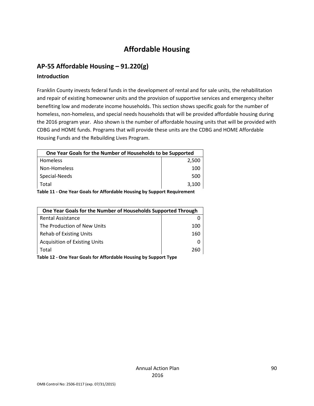# **Affordable Housing**

# **AP-55 Affordable Housing – 91.220(g)**

### **Introduction**

Franklin County invests federal funds in the development of rental and for sale units, the rehabilitation and repair of existing homeowner units and the provision of supportive services and emergency shelter benefiting low and moderate income households. This section shows specific goals for the number of homeless, non-homeless, and special needs households that will be provided affordable housing during the 2016 program year. Also shown is the number of affordable housing units that will be provided with CDBG and HOME funds. Programs that will provide these units are the CDBG and HOME Affordable Housing Funds and the Rebuilding Lives Program.

| One Year Goals for the Number of Households to be Supported          |       |  |
|----------------------------------------------------------------------|-------|--|
| <b>Homeless</b>                                                      | 2.500 |  |
| Non-Homeless                                                         | 100   |  |
| Special-Needs                                                        | 500   |  |
| Total                                                                | 3,100 |  |
| One Vesu Caele fau Affandele Hausine bu Cunnent Basulusma<br>T.L. 44 |       |  |

**Table 11 - One Year Goals for Affordable Housing by Support Requirement**

| One Year Goals for the Number of Households Supported Through |     |
|---------------------------------------------------------------|-----|
| <b>Rental Assistance</b>                                      |     |
| The Production of New Units                                   | 100 |
| <b>Rehab of Existing Units</b>                                | 160 |
| <b>Acquisition of Existing Units</b>                          |     |
| Total                                                         | 76C |

**Table 12 - One Year Goals for Affordable Housing by Support Type**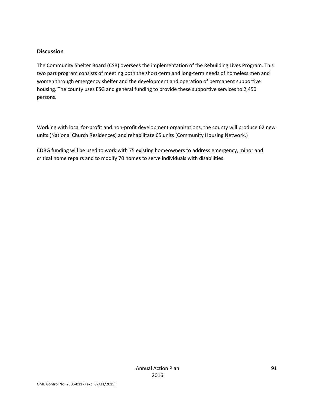#### **Discussion**

The Community Shelter Board (CSB) oversees the implementation of the Rebuilding Lives Program. This two part program consists of meeting both the short-term and long-term needs of homeless men and women through emergency shelter and the development and operation of permanent supportive housing. The county uses ESG and general funding to provide these supportive services to 2,450 persons.

Working with local for-profit and non-profit development organizations, the county will produce 62 new units (National Church Residences) and rehabilitate 65 units (Community Housing Network.)

CDBG funding will be used to work with 75 existing homeowners to address emergency, minor and critical home repairs and to modify 70 homes to serve individuals with disabilities.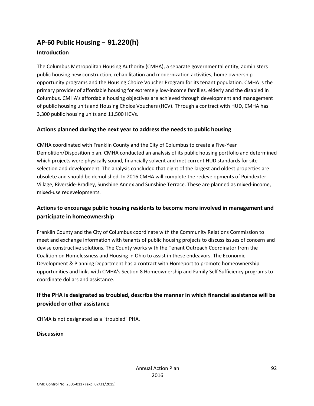# **AP-60 Public Housing** *–* **91.220(h)**

## **Introduction**

The Columbus Metropolitan Housing Authority (CMHA), a separate governmental entity, administers public housing new construction, rehabilitation and modernization activities, home ownership opportunity programs and the Housing Choice Voucher Program for its tenant population. CMHA is the primary provider of affordable housing for extremely low-income families, elderly and the disabled in Columbus. CMHA's affordable housing objectives are achieved through development and management of public housing units and Housing Choice Vouchers (HCV). Through a contract with HUD, CMHA has 3,300 public housing units and 11,500 HCVs.

## **Actions planned during the next year to address the needs to public housing**

CMHA coordinated with Franklin County and the City of Columbus to create a Five-Year Demolition/Disposition plan. CMHA conducted an analysis of its public housing portfolio and determined which projects were physically sound, financially solvent and met current HUD standards for site selection and development. The analysis concluded that eight of the largest and oldest properties are obsolete and should be demolished. In 2016 CMHA will complete the redevelopments of Poindexter Village, Riverside-Bradley, Sunshine Annex and Sunshine Terrace. These are planned as mixed-income, mixed-use redevelopments.

# **Actions to encourage public housing residents to become more involved in management and participate in homeownership**

Franklin County and the City of Columbus coordinate with the Community Relations Commission to meet and exchange information with tenants of public housing projects to discuss issues of concern and devise constructive solutions. The County works with the Tenant Outreach Coordinator from the Coalition on Homelessness and Housing in Ohio to assist in these endeavors. The Economic Development & Planning Department has a contract with Homeport to promote homeownership opportunities and links with CMHA's Section 8 Homeownership and Family Self Sufficiency programs to coordinate dollars and assistance.

# **If the PHA is designated as troubled, describe the manner in which financial assistance will be provided or other assistance**

CHMA is not designated as a "troubled" PHA.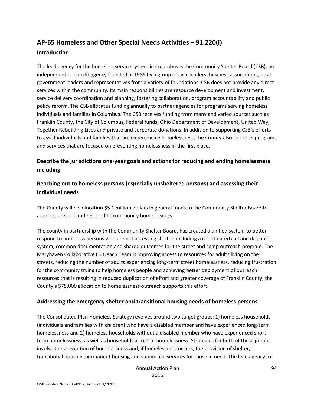# **AP-65 Homeless and Other Special Needs Activities – 91.220(i)**

#### **Introduction**

The lead agency for the homeless service system in Columbus is the Community Shelter Board (CSB), an independent nonprofit agency founded in 1986 by a group of civic leaders, business associations, local government leaders and representatives from a variety of foundations. CSB does not provide any direct services within the community. Its main responsibilities are resource development and investment, service delivery coordination and planning, fostering collaboration, program accountability and public policy reform. The CSB allocates funding annually to partner agencies for programs serving homeless individuals and families in Columbus. The CSB receives funding from many and varied sources such as Franklin County, the City of Columbus, Federal funds, Ohio Department of Development, United Way, Together Rebuilding Lives and private and corporate donations. In addition to supporting CSB's efforts to assist individuals and families that are experiencing homelessness, the County also supports programs and services that are focused on preventing homelessness in the first place.

# **Describe the jurisdictions one-year goals and actions for reducing and ending homelessness including**

# **Reaching out to homeless persons (especially unsheltered persons) and assessing their individual needs**

The County will be allocation \$5.1 million dollars in general funds to the Community Shelter Board to address, prevent and respond to community homelessness.

The county in partnership with the Community Shelter Board, has created a unified system to better respond to homeless persons who are not accessing shelter, including a coordinated call and dispatch system, common documentation and shared outcomes for the street and camp outreach program. The Maryhaven Collaborative Outreach Team is improving access to resources for adults living on the streets, reducing the number of adults experiencing long-term street homelessness, reducing frustration for the community trying to help homeless people and achieving better deployment of outreach resources that is resulting in reduced duplication of effort and greater coverage of Franklin County; the County's \$75,000 allocation to homelessness outreach supports this effort.

## **Addressing the emergency shelter and transitional housing needs of homeless persons**

The Consolidated Plan Homeless Strategy revolves around two target groups: 1) homeless households (individuals and families with children) who have a disabled member and have experienced long-term homelessness and 2) homeless households without a disabled member who have experienced shortterm homelessness, as well as households at-risk of homelessness. Strategies for both of these groups involve the prevention of homelessness and, if homelessness occurs, the provision of shelter, transitional housing, permanent housing and supportive services for those in need. The lead agency for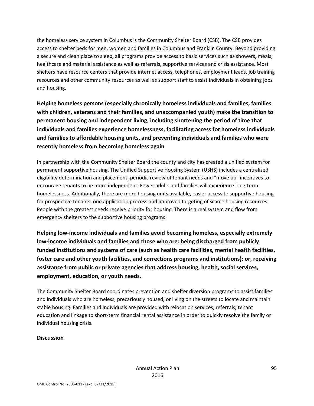the homeless service system in Columbus is the Community Shelter Board (CSB). The CSB provides access to shelter beds for men, women and families in Columbus and Franklin County. Beyond providing a secure and clean place to sleep, all programs provide access to basic services such as showers, meals, healthcare and material assistance as well as referrals, supportive services and crisis assistance. Most shelters have resource centers that provide internet access, telephones, employment leads, job training resources and other community resources as well as support staff to assist individuals in obtaining jobs and housing.

**Helping homeless persons (especially chronically homeless individuals and families, families with children, veterans and their families, and unaccompanied youth) make the transition to permanent housing and independent living, including shortening the period of time that individuals and families experience homelessness, facilitating access for homeless individuals and families to affordable housing units, and preventing individuals and families who were recently homeless from becoming homeless again**

In partnership with the Community Shelter Board the county and city has created a unified system for permanent supportive housing. The Unified Supportive Housing System (USHS) includes a centralized eligibility determination and placement, periodic review of tenant needs and "move up" incentives to encourage tenants to be more independent. Fewer adults and families will experience long-term homelessness. Additionally, there are more housing units available, easier access to supportive housing for prospective tenants, one application process and improved targeting of scarce housing resources. People with the greatest needs receive priority for housing. There is a real system and flow from emergency shelters to the supportive housing programs.

**Helping low-income individuals and families avoid becoming homeless, especially extremely low-income individuals and families and those who are: being discharged from publicly funded institutions and systems of care (such as health care facilities, mental health facilities, foster care and other youth facilities, and corrections programs and institutions); or, receiving assistance from public or private agencies that address housing, health, social services, employment, education, or youth needs.**

The Community Shelter Board coordinates prevention and shelter diversion programs to assist families and individuals who are homeless, precariously housed, or living on the streets to locate and maintain stable housing. Families and individuals are provided with relocation services, referrals, tenant education and linkage to short-term financial rental assistance in order to quickly resolve the family or individual housing crisis.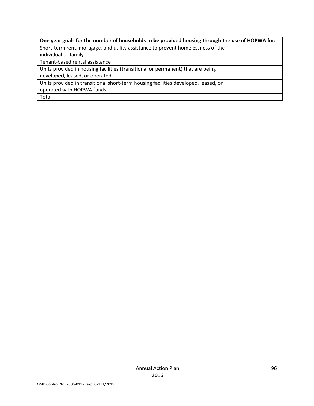# **One year goals for the number of households to be provided housing through the use of HOPWA for:**

Short-term rent, mortgage, and utility assistance to prevent homelessness of the

individual or family

Tenant-based rental assistance

Units provided in housing facilities (transitional or permanent) that are being

developed, leased, or operated

Units provided in transitional short-term housing facilities developed, leased, or

operated with HOPWA funds

Total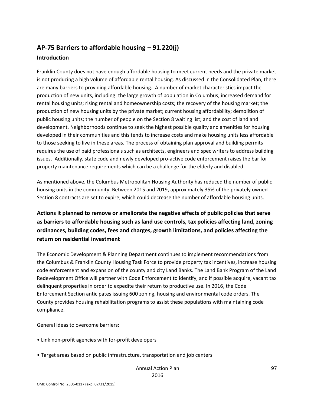# **AP-75 Barriers to affordable housing – 91.220(j) Introduction**

Franklin County does not have enough affordable housing to meet current needs and the private market is not producing a high volume of affordable rental housing. As discussed in the Consolidated Plan, there are many barriers to providing affordable housing. A number of market characteristics impact the production of new units, including: the large growth of population in Columbus; increased demand for rental housing units; rising rental and homeownership costs; the recovery of the housing market; the production of new housing units by the private market; current housing affordability; demolition of public housing units; the number of people on the Section 8 waiting list; and the cost of land and development. Neighborhoods continue to seek the highest possible quality and amenities for housing developed in their communities and this tends to increase costs and make housing units less affordable to those seeking to live in these areas. The process of obtaining plan approval and building permits requires the use of paid professionals such as architects, engineers and spec writers to address building issues. Additionally, state code and newly developed pro-active code enforcement raises the bar for property maintenance requirements which can be a challenge for the elderly and disabled.

As mentioned above, the Columbus Metropolitan Housing Authority has reduced the number of public housing units in the community. Between 2015 and 2019, approximately 35% of the privately owned Section 8 contracts are set to expire, which could decrease the number of affordable housing units.

**Actions it planned to remove or ameliorate the negative effects of public policies that serve as barriers to affordable housing such as land use controls, tax policies affecting land, zoning ordinances, building codes, fees and charges, growth limitations, and policies affecting the return on residential investment**

The Economic Development & Planning Department continues to implement recommendations from the Columbus & Franklin County Housing Task Force to provide property tax incentives, increase housing code enforcement and expansion of the county and city Land Banks. The Land Bank Program of the Land Redevelopment Office will partner with Code Enforcement to identify, and if possible acquire, vacant tax delinquent properties in order to expedite their return to productive use. In 2016, the Code Enforcement Section anticipates issuing 600 zoning, housing and environmental code orders. The County provides housing rehabilitation programs to assist these populations with maintaining code compliance.

General ideas to overcome barriers:

- Link non-profit agencies with for-profit developers
- Target areas based on public infrastructure, transportation and job centers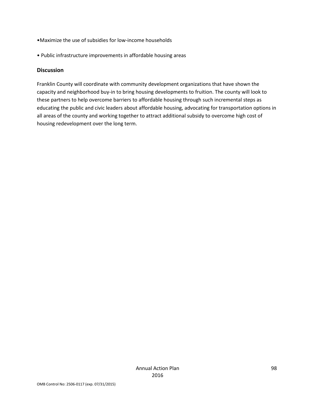- •Maximize the use of subsidies for low-income households
- Public infrastructure improvements in affordable housing areas

#### **Discussion**

Franklin County will coordinate with community development organizations that have shown the capacity and neighborhood buy-in to bring housing developments to fruition. The county will look to these partners to help overcome barriers to affordable housing through such incremental steps as educating the public and civic leaders about affordable housing, advocating for transportation options in all areas of the county and working together to attract additional subsidy to overcome high cost of housing redevelopment over the long term.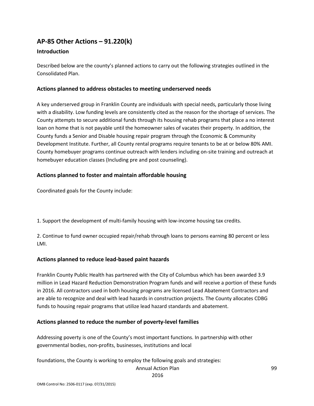# **AP-85 Other Actions – 91.220(k)**

#### **Introduction**

Described below are the county's planned actions to carry out the following strategies outlined in the Consolidated Plan.

### **Actions planned to address obstacles to meeting underserved needs**

A key underserved group in Franklin County are individuals with special needs, particularly those living with a disability. Low funding levels are consistently cited as the reason for the shortage of services. The County attempts to secure additional funds through its housing rehab programs that place a no interest loan on home that is not payable until the homeowner sales of vacates their property. In addition, the County funds a Senior and Disable housing repair program through the Economic & Community Development Institute. Further, all County rental programs require tenants to be at or below 80% AMI. County homebuyer programs continue outreach with lenders including on-site training and outreach at homebuyer education classes (Including pre and post counseling).

### **Actions planned to foster and maintain affordable housing**

Coordinated goals for the County include:

1. Support the development of multi-family housing with low-income housing tax credits.

2. Continue to fund owner occupied repair/rehab through loans to persons earning 80 percent or less LMI.

#### **Actions planned to reduce lead-based paint hazards**

Franklin County Public Health has partnered with the City of Columbus which has been awarded 3.9 million in Lead Hazard Reduction Demonstration Program funds and will receive a portion of these funds in 2016. All contractors used in both housing programs are licensed Lead Abatement Contractors and are able to recognize and deal with lead hazards in construction projects. The County allocates CDBG funds to housing repair programs that utilize lead hazard standards and abatement.

#### **Actions planned to reduce the number of poverty-level families**

Addressing poverty is one of the County's most important functions. In partnership with other governmental bodies, non-profits, businesses, institutions and local

foundations, the County is working to employ the following goals and strategies:

Annual Action Plan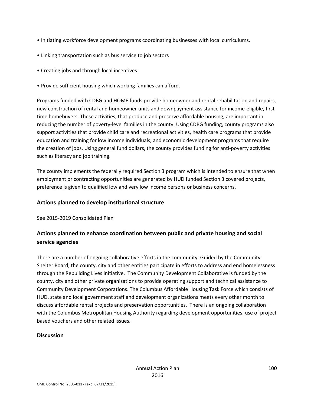- Initiating workforce development programs coordinating businesses with local curriculums.
- Linking transportation such as bus service to job sectors
- Creating jobs and through local incentives
- Provide sufficient housing which working families can afford.

Programs funded with CDBG and HOME funds provide homeowner and rental rehabilitation and repairs, new construction of rental and homeowner units and downpayment assistance for income-eligible, firsttime homebuyers. These activities, that produce and preserve affordable housing, are important in reducing the number of poverty-level families in the county. Using CDBG funding, county programs also support activities that provide child care and recreational activities, health care programs that provide education and training for low income individuals, and economic development programs that require the creation of jobs. Using general fund dollars, the county provides funding for anti-poverty activities such as literacy and job training.

The county implements the federally required Section 3 program which is intended to ensure that when employment or contracting opportunities are generated by HUD funded Section 3 covered projects, preference is given to qualified low and very low income persons or business concerns.

### **Actions planned to develop institutional structure**

See 2015-2019 Consolidated Plan

# **Actions planned to enhance coordination between public and private housing and social service agencies**

There are a number of ongoing collaborative efforts in the community. Guided by the Community Shelter Board, the county, city and other entities participate in efforts to address and end homelessness through the Rebuilding Lives initiative. The Community Development Collaborative is funded by the county, city and other private organizations to provide operating support and technical assistance to Community Development Corporations. The Columbus Affordable Housing Task Force which consists of HUD, state and local government staff and development organizations meets every other month to discuss affordable rental projects and preservation opportunities. There is an ongoing collaboration with the Columbus Metropolitan Housing Authority regarding development opportunities, use of project based vouchers and other related issues.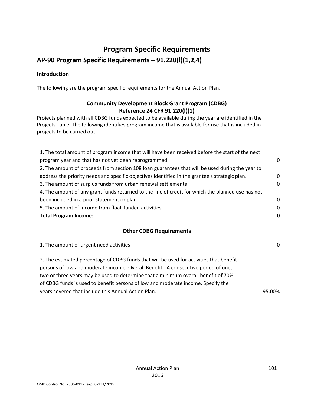# **Program Specific Requirements**

# **AP-90 Program Specific Requirements – 91.220(l)(1,2,4)**

## **Introduction**

The following are the program specific requirements for the Annual Action Plan.

# **Community Development Block Grant Program (CDBG) Reference 24 CFR 91.220(l)(1)**

Projects planned with all CDBG funds expected to be available during the year are identified in the Projects Table. The following identifies program income that is available for use that is included in projects to be carried out.

| 1. The total amount of program income that will have been received before the start of the next   |             |
|---------------------------------------------------------------------------------------------------|-------------|
| program year and that has not yet been reprogrammed                                               | $\Omega$    |
| 2. The amount of proceeds from section 108 loan guarantees that will be used during the year to   |             |
| address the priority needs and specific objectives identified in the grantee's strategic plan.    | $\mathbf 0$ |
| 3. The amount of surplus funds from urban renewal settlements                                     | $\Omega$    |
| 4. The amount of any grant funds returned to the line of credit for which the planned use has not |             |
| been included in a prior statement or plan                                                        | $\Omega$    |
| 5. The amount of income from float-funded activities                                              | $\Omega$    |
| <b>Total Program Income:</b>                                                                      | 0           |

## **Other CDBG Requirements**

| 1. The amount of urgent need activities                                                 | $\Omega$ |
|-----------------------------------------------------------------------------------------|----------|
| 2. The estimated percentage of CDBG funds that will be used for activities that benefit |          |
| persons of low and moderate income. Overall Benefit - A consecutive period of one,      |          |
| two or three years may be used to determine that a minimum overall benefit of 70%       |          |
| of CDBG funds is used to benefit persons of low and moderate income. Specify the        |          |
| years covered that include this Annual Action Plan.                                     | 95.00%   |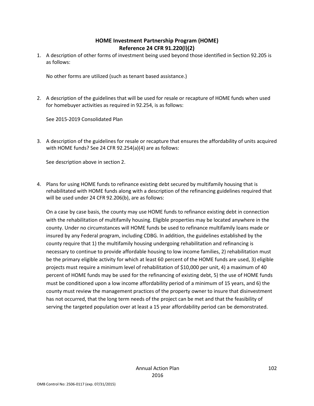## **HOME Investment Partnership Program (HOME) Reference 24 CFR 91.220(l)(2)**

1. A description of other forms of investment being used beyond those identified in Section 92.205 is as follows:

No other forms are utilized (such as tenant based assistance.)

2. A description of the guidelines that will be used for resale or recapture of HOME funds when used for homebuyer activities as required in 92.254, is as follows:

See 2015-2019 Consolidated Plan

3. A description of the guidelines for resale or recapture that ensures the affordability of units acquired with HOME funds? See 24 CFR 92.254(a)(4) are as follows:

See description above in section 2.

4. Plans for using HOME funds to refinance existing debt secured by multifamily housing that is rehabilitated with HOME funds along with a description of the refinancing guidelines required that will be used under 24 CFR 92.206(b), are as follows:

On a case by case basis, the county may use HOME funds to refinance existing debt in connection with the rehabilitation of multifamily housing. Eligible properties may be located anywhere in the county. Under no circumstances will HOME funds be used to refinance multifamily loans made or insured by any Federal program, including CDBG. In addition, the guidelines established by the county require that 1) the multifamily housing undergoing rehabilitation and refinancing is necessary to continue to provide affordable housing to low income families, 2) rehabilitation must be the primary eligible activity for which at least 60 percent of the HOME funds are used, 3) eligible projects must require a minimum level of rehabilitation of \$10,000 per unit, 4) a maximum of 40 percent of HOME funds may be used for the refinancing of existing debt, 5) the use of HOME funds must be conditioned upon a low income affordability period of a minimum of 15 years, and 6) the county must review the management practices of the property owner to insure that disinvestment has not occurred, that the long term needs of the project can be met and that the feasibility of serving the targeted population over at least a 15 year affordability period can be demonstrated.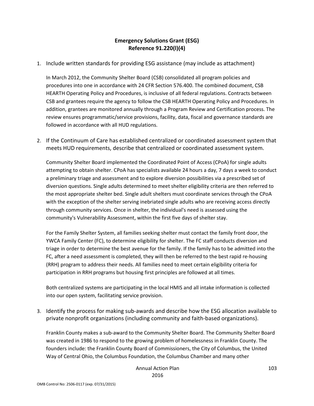# **Emergency Solutions Grant (ESG) Reference 91.220(l)(4)**

1. Include written standards for providing ESG assistance (may include as attachment)

In March 2012, the Community Shelter Board (CSB) consolidated all program policies and procedures into one in accordance with 24 CFR Section 576.400. The combined document, CSB HEARTH Operating Policy and Procedures, is inclusive of all federal regulations. Contracts between CSB and grantees require the agency to follow the CSB HEARTH Operating Policy and Procedures. In addition, grantees are monitored annually through a Program Review and Certification process. The review ensures programmatic/service provisions, facility, data, fiscal and governance standards are followed in accordance with all HUD regulations.

2. If the Continuum of Care has established centralized or coordinated assessment system that meets HUD requirements, describe that centralized or coordinated assessment system.

Community Shelter Board implemented the Coordinated Point of Access (CPoA) for single adults attempting to obtain shelter. CPoA has specialists available 24 hours a day, 7 days a week to conduct a preliminary triage and assessment and to explore diversion possibilities via a prescribed set of diversion questions. Single adults determined to meet shelter eligibility criteria are then referred to the most appropriate shelter bed. Single adult shelters must coordinate services through the CPoA with the exception of the shelter serving inebriated single adults who are receiving access directly through community services. Once in shelter, the individual's need is assessed using the community's Vulnerability Assessment, within the first five days of shelter stay.

For the Family Shelter System, all families seeking shelter must contact the family front door, the YWCA Family Center (FC), to determine eligibility for shelter. The FC staff conducts diversion and triage in order to determine the best avenue for the family. If the family has to be admitted into the FC, after a need assessment is completed, they will then be referred to the best rapid re-housing (RRH) program to address their needs. All families need to meet certain eligibility criteria for participation in RRH programs but housing first principles are followed at all times.

Both centralized systems are participating in the local HMIS and all intake information is collected into our open system, facilitating service provision.

3. Identify the process for making sub-awards and describe how the ESG allocation available to private nonprofit organizations (including community and faith-based organizations).

Franklin County makes a sub-award to the Community Shelter Board. The Community Shelter Board was created in 1986 to respond to the growing problem of homelessness in Franklin County. The founders include: the Franklin County Board of Commissioners, the City of Columbus, the United Way of Central Ohio, the Columbus Foundation, the Columbus Chamber and many other